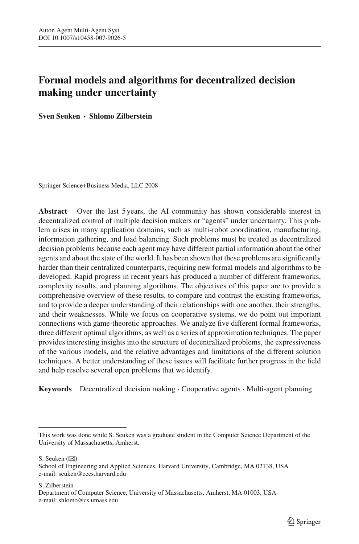# **Formal models and algorithms for decentralized decision making under uncertainty**

**Sven Seuken · Shlomo Zilberstein**

Springer Science+Business Media, LLC 2008

**Abstract** Over the last 5 years, the AI community has shown considerable interest in decentralized control of multiple decision makers or "agents" under uncertainty. This problem arises in many application domains, such as multi-robot coordination, manufacturing, information gathering, and load balancing. Such problems must be treated as decentralized decision problems because each agent may have different partial information about the other agents and about the state of the world. It has been shown that these problems are significantly harder than their centralized counterparts, requiring new formal models and algorithms to be developed. Rapid progress in recent years has produced a number of different frameworks, complexity results, and planning algorithms. The objectives of this paper are to provide a comprehensive overview of these results, to compare and contrast the existing frameworks, and to provide a deeper understanding of their relationships with one another, their strengths, and their weaknesses. While we focus on cooperative systems, we do point out important connections with game-theoretic approaches. We analyze five different formal frameworks, three different optimal algorithms, as well as a series of approximation techniques. The paper provides interesting insights into the structure of decentralized problems, the expressiveness of the various models, and the relative advantages and limitations of the different solution techniques. A better understanding of these issues will facilitate further progress in the field and help resolve several open problems that we identify.

**Keywords** Decentralized decision making · Cooperative agents · Multi-agent planning

S. Seuken  $(\boxtimes)$ 

S. Zilberstein

Department of Computer Science, University of Massachusetts, Amherst, MA 01003, USA e-mail: shlomo@cs.umass.edu

This work was done while S. Seuken was a graduate student in the Computer Science Department of the University of Massachusetts, Amherst.

School of Engineering and Applied Sciences, Harvard University, Cambridge, MA 02138, USA e-mail: seuken@eecs.harvard.edu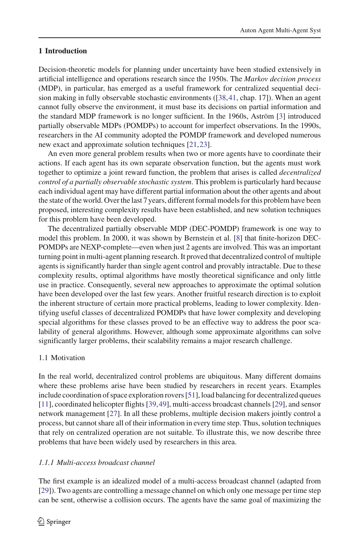### **1 Introduction**

Decision-theoretic models for planning under uncertainty have been studied extensively in artificial intelligence and operations research since the 1950s. The *Markov decision process* (MDP), in particular, has emerged as a useful framework for centralized sequential decision making in fully observable stochastic environments ([\[38](#page-60-0)[,41](#page-60-1), chap. 17]). When an agent cannot fully observe the environment, it must base its decisions on partial information and the standard MDP framework is no longer sufficient. In the 1960s, Aström [\[3](#page-58-0)] introduced partially observable MDPs (POMDPs) to account for imperfect observations. In the 1990s, researchers in the AI community adopted the POMDP framework and developed numerous new exact and approximate solution techniques [\[21](#page-59-0)[,23\]](#page-59-1).

An even more general problem results when two or more agents have to coordinate their actions. If each agent has its own separate observation function, but the agents must work together to optimize a joint reward function, the problem that arises is called *decentralized control of a partially observable stochastic system*. This problem is particularly hard because each individual agent may have different partial information about the other agents and about the state of the world. Over the last 7 years, different formal models for this problem have been proposed, interesting complexity results have been established, and new solution techniques for this problem have been developed.

The decentralized partially observable MDP (DEC-POMDP) framework is one way to model this problem. In 2000, it was shown by Bernstein et al. [\[8\]](#page-58-1) that finite-horizon DEC-POMDPs are NEXP-complete—even when just 2 agents are involved. This was an important turning point in multi-agent planning research. It proved that decentralized control of multiple agents is significantly harder than single agent control and provably intractable. Due to these complexity results, optimal algorithms have mostly theoretical significance and only little use in practice. Consequently, several new approaches to approximate the optimal solution have been developed over the last few years. Another fruitful research direction is to exploit the inherent structure of certain more practical problems, leading to lower complexity. Identifying useful classes of decentralized POMDPs that have lower complexity and developing special algorithms for these classes proved to be an effective way to address the poor scalability of general algorithms. However, although some approximate algorithms can solve significantly larger problems, their scalability remains a major research challenge.

#### <span id="page-1-0"></span>1.1 Motivation

In the real world, decentralized control problems are ubiquitous. Many different domains where these problems arise have been studied by researchers in recent years. Examples include coordination of space exploration rovers [\[51](#page-60-2)], load balancing for decentralized queues [\[11\]](#page-59-2), coordinated helicopter flights [\[39](#page-60-3),[49\]](#page-60-4), multi-access broadcast channels [\[29](#page-59-3)], and sensor network management [\[27\]](#page-59-4). In all these problems, multiple decision makers jointly control a process, but cannot share all of their information in every time step. Thus, solution techniques that rely on centralized operation are not suitable. To illustrate this, we now describe three problems that have been widely used by researchers in this area.

### <span id="page-1-1"></span>*1.1.1 Multi-access broadcast channel*

The first example is an idealized model of a multi-access broadcast channel (adapted from [\[29\]](#page-59-3)). Two agents are controlling a message channel on which only one message per time step can be sent, otherwise a collision occurs. The agents have the same goal of maximizing the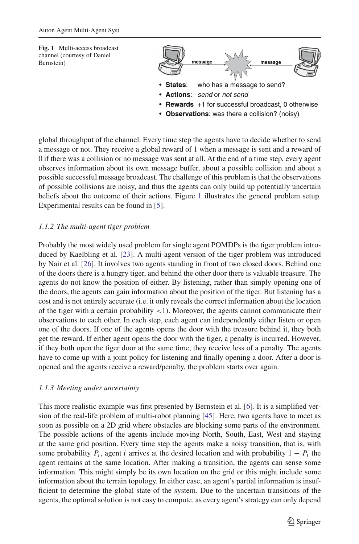<span id="page-2-0"></span>



- **States:** who has a message to send?
- **Actions**: *send* or *not send*
- **Rewards** +1 for successful broadcast, 0 otherwise
- **Observations**: was there a collision? (noisy)

global throughput of the channel. Every time step the agents have to decide whether to send a message or not. They receive a global reward of 1 when a message is sent and a reward of 0 if there was a collision or no message was sent at all. At the end of a time step, every agent observes information about its own message buffer, about a possible collision and about a possible successful message broadcast. The challenge of this problem is that the observations of possible collisions are noisy, and thus the agents can only build up potentially uncertain beliefs about the outcome of their actions. Figure [1](#page-2-0) illustrates the general problem setup. Experimental results can be found in [\[5](#page-58-2)].

## <span id="page-2-1"></span>*1.1.2 The multi-agent tiger problem*

Probably the most widely used problem for single agent POMDPs is the tiger problem introduced by Kaelbling et al. [\[23\]](#page-59-1). A multi-agent version of the tiger problem was introduced by Nair et al. [\[26\]](#page-59-5). It involves two agents standing in front of two closed doors. Behind one of the doors there is a hungry tiger, and behind the other door there is valuable treasure. The agents do not know the position of either. By listening, rather than simply opening one of the doors, the agents can gain information about the position of the tiger. But listening has a cost and is not entirely accurate (i.e. it only reveals the correct information about the location of the tiger with a certain probability *<*1). Moreover, the agents cannot communicate their observations to each other. In each step, each agent can independently either listen or open one of the doors. If one of the agents opens the door with the treasure behind it, they both get the reward. If either agent opens the door with the tiger, a penalty is incurred. However, if they both open the tiger door at the same time, they receive less of a penalty. The agents have to come up with a joint policy for listening and finally opening a door. After a door is opened and the agents receive a reward/penalty, the problem starts over again.

### *1.1.3 Meeting under uncertainty*

This more realistic example was first presented by Bernstein et al. [\[6](#page-58-3)]. It is a simplified version of the real-life problem of multi-robot planning [\[45](#page-60-5)]. Here, two agents have to meet as soon as possible on a 2D grid where obstacles are blocking some parts of the environment. The possible actions of the agents include moving North, South, East, West and staying at the same grid position. Every time step the agents make a noisy transition, that is, with some probability  $P_i$ , agent *i* arrives at the desired location and with probability  $1 - P_i$  the agent remains at the same location. After making a transition, the agents can sense some information. This might simply be its own location on the grid or this might include some information about the terrain topology. In either case, an agent's partial information is insufficient to determine the global state of the system. Due to the uncertain transitions of the agents, the optimal solution is not easy to compute, as every agent's strategy can only depend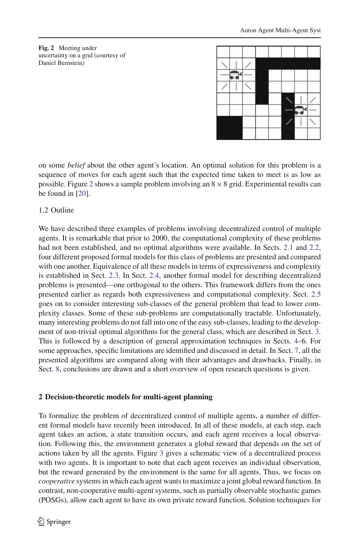<span id="page-3-0"></span>



on some *belief* about the other agent's location. An optimal solution for this problem is a sequence of moves for each agent such that the expected time taken to meet is as low as possible. Figure [2](#page-3-0) shows a sample problem involving an  $8 \times 8$  grid. Experimental results can be found in [\[20](#page-59-6)].

## 1.2 Outline

We have described three examples of problems involving decentralized control of multiple agents. It is remarkable that prior to 2000, the computational complexity of these problems had not been established, and no optimal algorithms were available. In Sects. [2.1](#page-4-0) and [2.2,](#page-8-0) four different proposed formal models for this class of problems are presented and compared with one another. Equivalence of all these models in terms of expressiveness and complexity is established in Sect. [2.3.](#page-13-0) In Sect. [2.4,](#page-19-0) another formal model for describing decentralized problems is presented—one orthogonal to the others. This framework differs from the ones presented earlier as regards both expressiveness and computational complexity. Sect. [2.5](#page-24-0) goes on to consider interesting sub-classes of the general problem that lead to lower complexity classes. Some of these sub-problems are computationally tractable. Unfortunately, many interesting problems do not fall into one of the easy sub-classes, leading to the development of non-trivial optimal algorithms for the general class, which are described in Sect. [3.](#page-29-0) This is followed by a description of general approximation techniques in Sects. [4–](#page-39-0)6. For some approaches, specific limitations are identified and discussed in detail. In Sect. [7,](#page-54-0) all the presented algorithms are compared along with their advantages and drawbacks. Finally, in Sect. [8,](#page-57-0) conclusions are drawn and a short overview of open research questions is given.

## **2 Decision-theoretic models for multi-agent planning**

To formalize the problem of decentralized control of multiple agents, a number of different formal models have recently been introduced. In all of these models, at each step, each agent takes an action, a state transition occurs, and each agent receives a local observation. Following this, the environment generates a global reward that depends on the set of actions taken by all the agents. Figure [3](#page-4-1) gives a schematic view of a decentralized process with two agents. It is important to note that each agent receives an individual observation, but the reward generated by the environment is the same for all agents. Thus, we focus on *cooperative* systems in which each agent wants to maximize a joint global reward function. In contrast, non-cooperative multi-agent systems, such as partially observable stochastic games (POSGs), allow each agent to have its own private reward function. Solution techniques for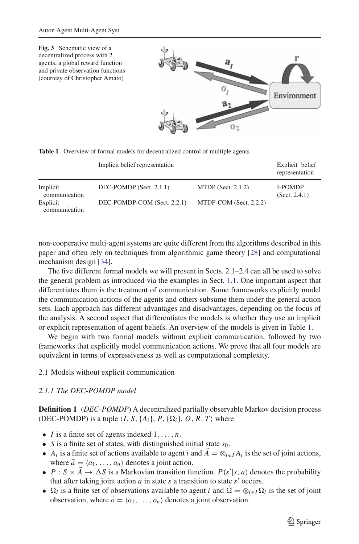<span id="page-4-1"></span>**Fig. 3** Schematic view of a decentralized process with 2 agents, a global reward function and private observation functions (courtesy of Christopher Amato)



|  |  |  |  | <b>Table 1</b> Overview of formal models for decentralized control of multiple agents |  |  |  |
|--|--|--|--|---------------------------------------------------------------------------------------|--|--|--|
|--|--|--|--|---------------------------------------------------------------------------------------|--|--|--|

<span id="page-4-2"></span>

|                           | Implicit belief representation |                        | Explicit belief<br>representation |
|---------------------------|--------------------------------|------------------------|-----------------------------------|
| Implicit<br>communication | DEC-POMDP (Sect. 2.1.1)        | $MTDP$ (Sect. 2.1.2)   | I-POMDP<br>(Sect. 2.4.1)          |
| Explicit<br>communication | DEC-POMDP-COM (Sect. 2.2.1)    | MTDP-COM (Sect. 2.2.2) |                                   |

non-cooperative multi-agent systems are quite different from the algorithms described in this paper and often rely on techniques from algorithmic game theory [\[28\]](#page-59-7) and computational mechanism design [\[34](#page-60-6)].

The five different formal models we will present in Sects. 2.1–2.4 can all be used to solve the general problem as introduced via the examples in Sect. [1.1.](#page-1-0) One important aspect that differentiates them is the treatment of communication. Some frameworks explicitly model the communication actions of the agents and others subsume them under the general action sets. Each approach has different advantages and disadvantages, depending on the focus of the analysis. A second aspect that differentiates the models is whether they use an implicit or explicit representation of agent beliefs. An overview of the models is given in Table [1.](#page-4-2)

We begin with two formal models without explicit communication, followed by two frameworks that explicitly model communication actions. We prove that all four models are equivalent in terms of expressiveness as well as computational complexity.

<span id="page-4-0"></span>2.1 Models without explicit communication

### *2.1.1 The DEC-POMDP model*

**Definition 1** (*DEC-POMDP*) A decentralized partially observable Markov decision process (DEC-POMDP) is a tuple  $\langle I, S, \{A_i\}, P, \{\Omega_i\}, O, R, T \rangle$  where

- *I* is a finite set of agents indexed 1*,...,n*.
- *S* is a finite set of states, with distinguished initial state *s*<sub>0</sub>.
- *A<sub>i</sub>* is a finite set of actions available to agent *i* and  $\vec{A} = \otimes_{i \in I} A_i$  is the set of joint actions, where  $\vec{a} = \langle a_1, \ldots, a_n \rangle$  denotes a joint action.<br>  $P \cdot S \times \vec{A} \rightarrow \Delta S$  is a Markovian transition function.
- $P : S \times \vec{A} \rightarrow \Delta S$  is a Markovian transition function.  $P(s'|s, \vec{a})$  denotes the probability that after taking joint action  $\vec{a}$  in state s a transition to state s' occurs that after taking joint action  $\vec{a}$  in state *s* a transition to state *s'* occurs.
- $\Omega_i$  is a finite set of observations available to agent *i* and  $\overline{\Omega} = \otimes_{i \in I} \Omega_i$  is the set of joint observation, where  $\vec{o} = \langle o_1, \dots, o_n \rangle$  denotes a joint observation.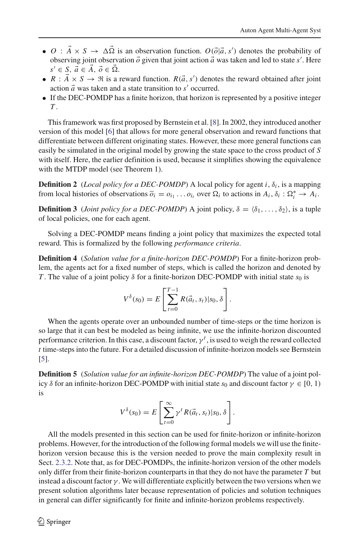- $\overrightarrow{O}$  :  $\overrightarrow{A} \times S \rightarrow \Delta \overrightarrow{\Omega}$  is an observation function.  $\overrightarrow{O}(\overrightarrow{o}|\overrightarrow{a}, s')$  denotes the probability of observing joint observation  $\overrightarrow{o}$  given that joint action  $\overrightarrow{a}$  was taken and led to state s'. Here observing joint observation  $\vec{o}$  given that joint action  $\vec{a}$  was taken and led to state *s'*. Here  $s' \in S$ ,  $\vec{a} \in \vec{A}$ ,  $\vec{o} \in \vec{Q}$  $s' \in S$ ,  $\vec{a} \in \vec{A}$ ,  $\vec{o} \in \vec{\Omega}$ .
- $R : \vec{A} \times S \rightarrow \Re$  is a reward function.  $R(\vec{a}, s')$  denotes the reward obtained after joint action  $\vec{a}$  was taken and a state transition to s' occurred action  $\vec{a}$  was taken and a state transition to  $s'$  occurred.
- If the DEC-POMDP has a finite horizon, that horizon is represented by a positive integer *T* .

This framework was first proposed by Bernstein et al. [\[8](#page-58-1)]. In 2002, they introduced another version of this model [\[6](#page-58-3)] that allows for more general observation and reward functions that differentiate between different originating states. However, these more general functions can easily be simulated in the original model by growing the state space to the cross product of *S* with itself. Here, the earlier definition is used, because it simplifies showing the equivalence with the MTDP model (see Theorem 1).

**Definition 2** (*Local policy for a DEC-POMDP*) A local policy for agent *<sup>i</sup>*, *δi*, is a mapping from local histories of observations  $\overline{o}_i = o_{i_1} \dots o_{i_t}$  over  $\Omega_i$  to actions in  $A_i$ ,  $\delta_i : \Omega_i^* \to A_i$ .

**Definition 3** (*Joint policy for a DEC-POMDP*) A joint policy,  $\delta = \langle \delta_1, \ldots, \delta_2 \rangle$ , is a tuple of local policies, one for each agent of local policies, one for each agent.

Solving a DEC-POMDP means finding a joint policy that maximizes the expected total reward. This is formalized by the following *performance criteria*.

**Definition 4** (*Solution value for a finite-horizon DEC-POMDP*) For a finite-horizon problem, the agents act for a fixed number of steps, which is called the horizon and denoted by *T*. The value of a joint policy  $\delta$  for a finite-horizon DEC-POMDP with initial state  $s_0$  is

$$
V^{\delta}(s_0) = E\left[\sum_{t=0}^{T-1} R(\vec{a}_t, s_t) | s_0, \delta\right].
$$

When the agents operate over an unbounded number of time-steps or the time horizon is so large that it can best be modeled as being infinite, we use the infinite-horizon discounted performance criterion. In this case, a discount factor,  $\gamma^t$ , is used to weigh the reward collected<br>t time-steps into the future. For a detailed discussion of infinite-horizon models see Bernstein *t* time-steps into the future. For a detailed discussion of infinite-horizon models see Bernstein [\[5](#page-58-2)].

**Definition 5** (*Solution value for an infinite-horizon DEC-POMDP*) The value of a joint policy *δ* for an infinite-horizon DEC-POMDP with initial state  $s_0$  and discount factor  $\gamma \in [0, 1)$ is

$$
V^{\delta}(s_0) = E\left[\sum_{t=0}^{\infty} \gamma^t R(\vec{a}_t, s_t) | s_0, \delta\right].
$$

All the models presented in this section can be used for finite-horizon or infinite-horizon problems. However, for the introduction of the following formal models we will use the finitehorizon version because this is the version needed to prove the main complexity result in Sect. [2.3.2.](#page-15-0) Note that, as for DEC-POMDPs, the infinite-horizon version of the other models only differ from their finite-horizon counterparts in that they do not have the parameter *T* but instead a discount factor  $\gamma$ . We will differentiate explicitly between the two versions when we present solution algorithms later because representation of policies and solution techniques in general can differ significantly for finite and infinite-horizon problems respectively.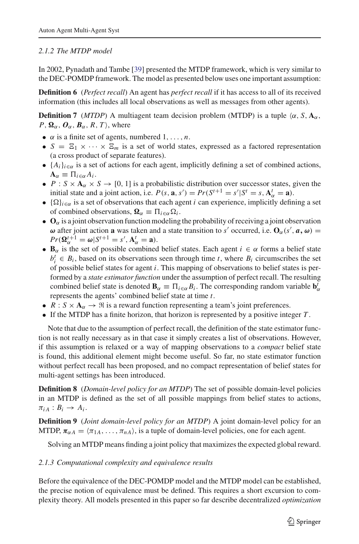## *2.1.2 The MTDP model*

In 2002, Pynadath and Tambe [\[39\]](#page-60-3) presented the MTDP framework, which is very similar to the DEC-POMDP framework. The model as presented below uses one important assumption:

**Definition 6** (*Perfect recall*) An agent has *perfect recall* if it has access to all of its received information (this includes all local observations as well as messages from other agents).

**Definition 7** (*MTDP*) A multiagent team decision problem (MTDP) is a tuple  $\langle \alpha, S, A_{\alpha} \rangle$ *P*,  $\Omega_{\alpha}$ ,  $O_{\alpha}$ ,  $B_{\alpha}$ ,  $R$ ,  $T$ ), where

- $\alpha$  is a finite set of agents, numbered  $1, \ldots, n$ .
- $S = \Sigma_1 \times \cdots \times \Sigma_m$  is a set of world states, expressed as a factored representation (a cross product of separate features).
- $\{A_i\}_{i \in \alpha}$  is a set of actions for each agent, implicitly defining a set of combined actions,  $\mathbf{A}_{\alpha} \equiv \Pi_{i \in \alpha} A_i$ .
- $P : S \times A_\alpha \times S \rightarrow [0, 1]$  is a probabilistic distribution over successor states, given the initial state and a joint action, i.e.  $P(s, \mathbf{a}, s') = Pr(S^{t+1} = s'|S^t = s, \mathbf{A}^t_\alpha = \mathbf{a})$ .<br>  $\{Q\}_{t\geq 0}$  is a set of observations that each agent *i* can experience implicitly defined
- $\{\Omega\}_{i\in\alpha}$  is a set of observations that each agent *i* can experience, implicitly defining a set of combined observations,  $\Omega_{\alpha} \equiv \Pi_{i \in \alpha} \Omega_{i}$ .
- $\mathbf{O}_{\alpha}$  is a joint observation function modeling the probability of receiving a joint observation *ω* after joint action **a** was taken and a state transition to *s'* occurred, i.e. **O**<sub>*α*</sub>(*s'*, *a, ω*) =  $Pr(\mathbf{Q}^{t+1} - \omega | S^{t+1} - s' | \mathbf{A}^t = \mathbf{a})$ *Pr*( $\mathbf{\Omega}_{\alpha}^{t+1} = \omega | S^{t+1} = s'$ ,  $\mathbf{A}_{\alpha}^{t} = \mathbf{a}$ ).<br>**R**<sub>th</sub> is the set of possible combined
- $\mathbf{B}_{\alpha}$  is the set of possible combined belief states. Each agent  $i \in \alpha$  forms a belief state  $b_i \in B_i$ , based on its observations seen unough time *t*, where  $B_i$  encurriserioes the set<br>of possible belief states for agent *i*. This mapping of observations to belief states is per-<br>formed by a state estimator functi  $b_i^t \in B_i$ , based on its observations seen through time *t*, where  $B_i$  circumscribes the set formed by a *state estimator function* under the assumption of perfect recall. The resulting combined belief state is denoted  $\mathbf{B}_{\alpha} \equiv \Pi_{i \in \alpha} B_i$ . The corresponding random variable  $\mathbf{b}_{\alpha}^t$ represents the agents' combined belief state at time *t*.
- $R : S \times A_\alpha \rightarrow \Re$  is a reward function representing a team's joint preferences.
- If the MTDP has a finite horizon, that horizon is represented by a positive integer *T* .

Note that due to the assumption of perfect recall, the definition of the state estimator function is not really necessary as in that case it simply creates a list of observations. However, if this assumption is relaxed or a way of mapping observations to a *compact* belief state is found, this additional element might become useful. So far, no state estimator function without perfect recall has been proposed, and no compact representation of belief states for multi-agent settings has been introduced.

**Definition 8** (*Domain-level policy for an MTDP*) The set of possible domain-level policies in an MTDP is defined as the set of all possible mappings from belief states to actions,  $\pi_{iA}: B_i \rightarrow A_i.$ 

**Definition 9** (*Joint domain-level policy for an MTDP*) A joint domain-level policy for an MTDP,  $\pi_{\alpha A} = \langle \pi_{1A}, \dots, \pi_{nA} \rangle$ , is a tuple of domain-level policies, one for each agent.

Solving an MTDP means finding a joint policy that maximizes the expected global reward.

## <span id="page-6-0"></span>*2.1.3 Computational complexity and equivalence results*

Before the equivalence of the DEC-POMDP model and the MTDP model can be established, the precise notion of equivalence must be defined. This requires a short excursion to complexity theory. All models presented in this paper so far describe decentralized *optimization*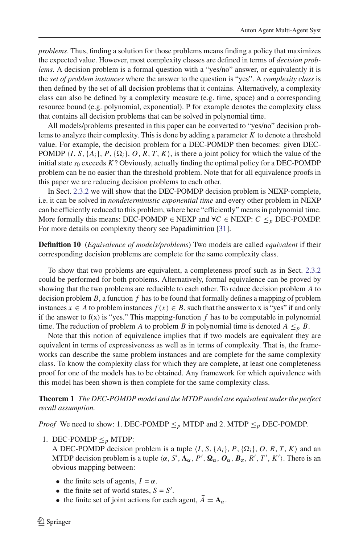*problems*. Thus, finding a solution for those problems means finding a policy that maximizes the expected value. However, most complexity classes are defined in terms of *decision problems*. A decision problem is a formal question with a "yes/no" answer, or equivalently it is the *set of problem instances* where the answer to the question is "yes". A *complexity class* is then defined by the set of all decision problems that it contains. Alternatively, a complexity class can also be defined by a complexity measure (e.g. time, space) and a corresponding resource bound (e.g. polynomial, exponential). P for example denotes the complexity class that contains all decision problems that can be solved in polynomial time.

All models/problems presented in this paper can be converted to "yes/no" decision problems to analyze their complexity. This is done by adding a parameter *K* to denote a threshold value. For example, the decision problem for a DEC-POMDP then becomes: given DEC-POMDP  $\langle I, S, \{A_i\}, P, \{\Omega_i\}, O, R, T, K \rangle$ , is there a joint policy for which the value of the initial state so exceeds  $K$ ? Obviously actually finding the ontimal policy for a DEC-POMDP initial state  $s_0$  exceeds  $K$ ? Obviously, actually finding the optimal policy for a DEC-POMDP problem can be no easier than the threshold problem. Note that for all equivalence proofs in this paper we are reducing decision problems to each other.

In Sect. [2.3.2](#page-15-0) we will show that the DEC-POMDP decision problem is NEXP-complete, i.e. it can be solved in *nondeterministic exponential time* and every other problem in NEXP can be efficiently reduced to this problem, where here "efficiently" means in polynomial time. More formally this means: DEC-POMDP  $\in$  NEXP and  $\forall C \in \text{NEXP}: C \leq_{p} \text{DEC-POMDP}.$ For more details on complexity theory see Papadimitriou [\[31\]](#page-59-8).

**Definition 10** (*Equivalence of models/problems*) Two models are called *equivalent* if their corresponding decision problems are complete for the same complexity class.

To show that two problems are equivalent, a completeness proof such as in Sect. [2.3.2](#page-15-0) could be performed for both problems. Alternatively, formal equivalence can be proved by showing that the two problems are reducible to each other. To reduce decision problem *A* to decision problem *B*, a function *f* has to be found that formally defines a mapping of problem instances  $x \in A$  to problem instances  $f(x) \in B$ , such that the answer to x is "yes" if and only if the answer to  $f(x)$  is "yes." This mapping-function  $f$  has to be computable in polynomial time. The reduction of problem *A* to problem *B* in polynomial time is denoted  $A \leq_{p} B$ .

Note that this notion of equivalence implies that if two models are equivalent they are equivalent in terms of expressiveness as well as in terms of complexity. That is, the frameworks can describe the same problem instances and are complete for the same complexity class. To know the complexity class for which they are complete, at least one completeness proof for one of the models has to be obtained. Any framework for which equivalence with this model has been shown is then complete for the same complexity class.

**Theorem 1** *The DEC-POMDP model and the MTDP model are equivalent under the perfect recall assumption.*

*Proof* We need to show: 1. DEC-POMDP  $\leq_p$  MTDP and 2. MTDP  $\leq_p$  DEC-POMDP.

1. DEC-POMDP  $\leq_p$  MTDP:

A DEC-POMDP decision problem is a tuple  $\langle I, S, \{A_i\}, P, \{\Omega_i\}, O, R, T, K \rangle$  and an MTDP decision problem is a tuple  $\langle \alpha, S', \mathbf{A}, P', \mathbf{\Theta}, \mathbf{O}, \mathbf{R}, R', T', K' \rangle$ . There is an MTDP decision problem is a tuple  $\langle \alpha, S', \mathbf{A}_{\alpha}, P', \mathbf{\Omega}_{\alpha}, \mathbf{O}_{\alpha}, \mathbf{B}_{\alpha}, R', T', K' \rangle$ . There is an obvious manning between: obvious mapping between:

- the finite sets of agents,  $I = \alpha$ .
- the finite set of world states,  $S = S'$ .
- the finite set of joint actions for each agent,  $\vec{A} = \mathbf{A}_{\alpha}$ .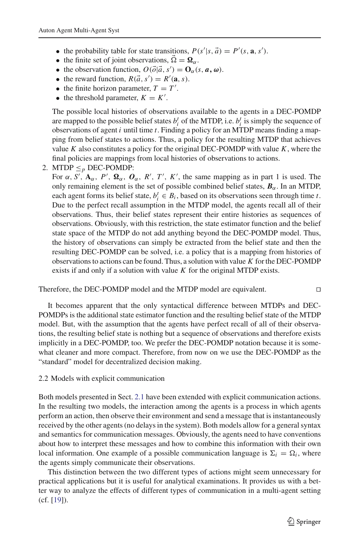- the probability table for state transitions,  $P(s'|s, \vec{a}) = P'(s, \mathbf{a}, s')$ .<br>• the finite set of joint observations  $\vec{Q} = \mathbf{Q}$ .
- the finite set of joint observations,  $\Omega = \Omega_{\alpha}$ .
- the observation function,  $O(\vec{o}|\vec{a}, s') = \mathbf{O}_\alpha(s, a, \omega)$ .<br>• the reward function,  $R(\vec{a}, s') = R'(\mathbf{a}, s)$ .
- the reward function,  $R(\vec{a}, s') = R'(\mathbf{a}, s)$ .<br>• the finite horizon parameter  $T = T'$
- the finite horizon parameter,  $T = T'$ .<br>• the threshold parameter  $K = K'$
- the threshold parameter,  $K = K'$ .

The possible local histories of observations available to the agents in a DEC-POMDP are mapped to the possible belief states  $b_i^t$  of the MTDP, i.e.  $b_i^t$  is simply the sequence of observations of agent *i* until time *t*. Finding a policy for an MTDP means finding a manobservations of agent *i* until time *t*. Finding a policy for an MTDP means finding a mapping from belief states to actions. Thus, a policy for the resulting MTDP that achieves value *K* also constitutes a policy for the original DEC-POMDP with value *K*, where the final policies are mappings from local histories of observations to actions.

2. MTDP  $\leq_p$  DEC-POMDP:

For  $\alpha$ , S',  $\mathbf{A}_{\alpha}$ , P',  $\mathbf{\Omega}_{\alpha}$ ,  $\mathbf{\Omega}_{\alpha}$ , R', T', K', the same mapping as in part 1 is used. The only remaining element is the set of possible combined belief states  $\mathbf{R}_{\alpha}$ . In an MTDP only remaining element is the set of possible combined belief states,  $B_\alpha$ . In an MTDP, each agent forms its belief state,  $b_i^t \in B_i$ , based on its observations seen through time *t*.<br>Due to the perfect recall assumption in the MTDP model, the agents recall all of their Due to the perfect recall assumption in the MTDP model, the agents recall all of their observations. Thus, their belief states represent their entire histories as sequences of observations. Obviously, with this restriction, the state estimator function and the belief state space of the MTDP do not add anything beyond the DEC-POMDP model. Thus, the history of observations can simply be extracted from the belief state and then the resulting DEC-POMDP can be solved, i.e. a policy that is a mapping from histories of observations to actions can be found. Thus, a solution with value *K* for the DEC-POMDP exists if and only if a solution with value *K* for the original MTDP exists.

Therefore, the DEC-POMDP model and the MTDP model are equivalent.

It becomes apparent that the only syntactical difference between MTDPs and DEC-POMDPs is the additional state estimator function and the resulting belief state of the MTDP model. But, with the assumption that the agents have perfect recall of all of their observations, the resulting belief state is nothing but a sequence of observations and therefore exists implicitly in a DEC-POMDP, too. We prefer the DEC-POMDP notation because it is somewhat cleaner and more compact. Therefore, from now on we use the DEC-POMDP as the "standard" model for decentralized decision making.

#### <span id="page-8-0"></span>2.2 Models with explicit communication

Both models presented in Sect. [2.1](#page-4-0) have been extended with explicit communication actions. In the resulting two models, the interaction among the agents is a process in which agents perform an action, then observe their environment and send a message that is instantaneously received by the other agents (no delays in the system). Both models allow for a general syntax and semantics for communication messages. Obviously, the agents need to have conventions about how to interpret these messages and how to combine this information with their own local information. One example of a possible communication language is  $\Sigma_i = \Omega_i$ , where the agents simply communicate their observations.

This distinction between the two different types of actions might seem unnecessary for practical applications but it is useful for analytical examinations. It provides us with a better way to analyze the effects of different types of communication in a multi-agent setting (cf. [\[19](#page-59-9)]).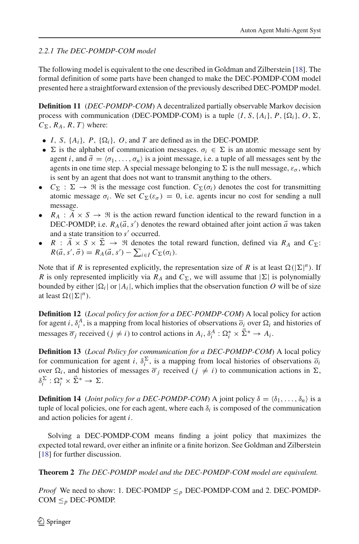## *2.2.1 The DEC-POMDP-COM model*

The following model is equivalent to the one described in Goldman and Zilberstein [\[18\]](#page-59-10). The formal definition of some parts have been changed to make the DEC-POMDP-COM model presented here a straightforward extension of the previously described DEC-POMDP model.

**Definition 11** (*DEC-POMDP-COM*) A decentralized partially observable Markov decision process with communication (DEC-POMDP-COM) is a tuple  $\langle I, S, \{A_i\}, P, \{\Omega_i\}, O, \Sigma$ ,  $C_{\Sigma}$ ,  $R_A$ ,  $R$ ,  $T$  where:

- *I, S,*  $\{A_i\}$ , *P,*  $\{\Omega_i\}$ , *O,* and *T* are defined as in the DEC-POMDP.
- $\Sigma$  is the alphabet of communication messages.  $\sigma_i \in \Sigma$  is an atomic message sent by agent *i*, and  $\vec{\sigma} = \langle \sigma_1, \ldots, \sigma_n \rangle$  is a joint message, i.e. a tuple of all messages sent by the agents in one time step. A special message belonging to  $\Sigma$  is the pull message s<sub>ee</sub> which agents in one time step. A special message belonging to  $\Sigma$  is the null message,  $\varepsilon_{\sigma}$ , which is sent by an agent that does not want to transmit anything to the others.
- $C_{\Sigma} : \Sigma \to \mathfrak{R}$  is the message cost function.  $C_{\Sigma}(\sigma_i)$  denotes the cost for transmitting atomic message  $\sigma_i$ . We set  $C_{\Sigma}(\varepsilon_{\sigma}) = 0$ , i.e. agents incur no cost for sending a null message.
- $R_A: \overline{A} \times S \to \Re$  is the action reward function identical to the reward function in a DEC-POMDP, i.e.  $R_A(\vec{a}, s')$  denotes the reward obtained after joint action  $\vec{a}$  was taken and a state transition to  $s'$  occurred and a state transition to *s'* occurred.
- $R : \vec{A} \times \vec{S} \times \vec{\Sigma} \rightarrow \Re$  denotes the total reward function, defined via  $R_A$  and  $C_{\Sigma}$ :  $R(\vec{a}, s', \vec{\sigma}) = R_A(\vec{a}, s') - \sum_{i \in I} C_{\Sigma}(\sigma_i).$

Note that if *R* is represented explicitly, the representation size of *R* is at least  $\Omega(|\Sigma|^n)$ . If *R* is only represented implicitly via *R* i and *C*<sub>P</sub> we will assume that  $|\Sigma|$  is polynomially *R* is only represented implicitly via  $R_A$  and  $C_{\Sigma}$ , we will assume that  $|\Sigma|$  is polynomially bounded by either  $|\Omega_i|$  or  $|A_i|$ , which implies that the observation function O will be of size at least  $\Omega(|\Sigma|^n)$ .

**Definition 12** (*Local policy for action for a DEC-POMDP-COM*) A local policy for action for agent *i*,  $\delta_i^A$ , is a mapping from local histories of observations  $\overline{o}_i$  over  $\Omega_i$  and histories of massages  $\overline{\sigma}_i$ , received (*i*  $\neq$  *i*) to control actions in  $A_i$ ,  $S^A_i$ ,  $S^*$ ,  $\leq$   $A_i$ . messages  $\overline{\sigma}_j$  received (*j*  $\neq i$ ) to control actions in  $A_i$ ,  $\delta_i^A$  :  $\Omega_i^* \times \overrightarrow{\Sigma}^* \to A_i$ .

**Definition 13** (*Local Policy for communication for a DEC-POMDP-COM*) A local policy for communication for agent *i*,  $\delta_i^{\Sigma}$ , is a mapping from local histories of observations  $\overline{o}_i$ <br>over  $\Omega_i$  and histories of messages  $\overline{\sigma}_i$  received (*i*  $\neq$  *i*) to communication actions in  $\Sigma$ over  $\Omega_i$ , and histories of messages  $\overline{\sigma}_j$  received (*j*  $\neq$  *i*) to communication actions in Σ,  $\delta_i^{\Sigma}: \Omega_i^* \times \vec{\Sigma}^* \to \Sigma.$ 

**Definition 14** (*Joint policy for a DEC-POMDP-COM*) A joint policy  $\delta = \langle \delta_1, \ldots, \delta_n \rangle$  is a type of local policies, one for each agent, where each  $\delta_i$  is composed of the communication tuple of local policies, one for each agent, where each  $\delta_i$  is composed of the communication and action policies for agent *i*.

Solving a DEC-POMDP-COM means finding a joint policy that maximizes the expected total reward, over either an infinite or a finite horizon. See Goldman and Zilberstein [\[18\]](#page-59-10) for further discussion.

**Theorem 2** *The DEC-POMDP model and the DEC-POMDP-COM model are equivalent.*

*Proof* We need to show: 1. DEC-POMDP  $\leq_p$  DEC-POMDP-COM and 2. DEC-POMDP- $COM \leq p$  DEC-POMDP.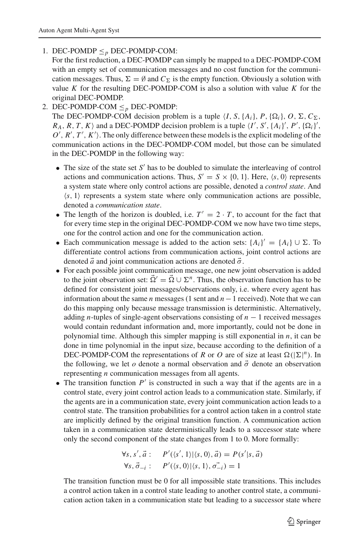1. DEC-POMDP  $\leq_p$  DEC-POMDP-COM:

For the first reduction, a DEC-POMDP can simply be mapped to a DEC-POMDP-COM with an empty set of communication messages and no cost function for the communication messages. Thus,  $\Sigma = \emptyset$  and  $C_{\Sigma}$  is the empty function. Obviously a solution with value  $K$  for the resulting DEC-POMDP-COM is also a solution with value  $K$  for the original DEC-POMDP.

2. DEC-POMDP-COM  $\leq_p$  DEC-POMDP:

The DEC-POMDP-COM decision problem is a tuple  $\langle I, S, \{A_i\}, P, \{\Omega_i\}, O, \Sigma, C_{\Sigma}, \rangle$  $R_A, R, T, K$  and a DEC-POMDP decision problem is a tuple  $\langle I', S', \{A_i\}', P', \{\Omega_i\}'\rangle$ <br> *O'*  $R'$   $T'$   $K'$  The only difference between these models is the explicit modeling of th  $O^{\prime}$ ,  $R^{\prime}$ ,  $T^{\prime}$ ,  $K^{\prime}$ ). The only difference between these models is the explicit modeling of the communication actions in the DEC-POMDP-COM model, but those can be simulated communication actions in the DEC-POMDP-COM model, but those can be simulated in the DEC-POMDP in the following way:

- The size of the state set  $S'$  has to be doubled to simulate the interleaving of control actions and communication actions. Thus,  $S' = S \times \{0, 1\}$ . Here,  $\langle s, 0 \rangle$  represents a system state where only control actions are possible, denoted a *control state*. And  $\langle s, 1 \rangle$  represents a system state where only communication actions are possible, denoted a *communication state* denoted a *communication state*.
- The length of the horizon is doubled, i.e.  $T' = 2 \cdot T$ , to account for the fact that for every time step in the original DEC-POMDP-COM we now have two time steps, one for the control action and one for the communication action.
- Each communication message is added to the action sets:  ${A_i}' = {A_i} \cup \Sigma$ . To differentiate control actions from communication actions, joint control actions are denoted  $\vec{a}$  and joint communication actions are denoted  $\vec{\sigma}$ .
- For each possible joint communication message, one new joint observation is added to the joint observation set:  $\vec{\Omega}' = \vec{\Omega} \cup \Sigma^n$ . Thus, the observation function has to be defined for consistent joint messages/observations only, i.e. where every agent has information about the same *n* messages (1 sent and *n*−1 received). Note that we can do this mapping only because message transmission is deterministic. Alternatively, adding *n*-tuples of single-agent observations consisting of *n* <sup>−</sup> 1 received messages would contain redundant information and, more importantly, could not be done in polynomial time. Although this simpler mapping is still exponential in *n*, it can be done in time polynomial in the input size, because according to the definition of a DEC-POMDP-COM the representations of *R* or *O* are of size at least  $\Omega(|\Sigma|^n)$ . In<br>the following, we let a denote a normal observation and  $\vec{\sigma}$  denote an observation the following, we let *o* denote a normal observation and  $\vec{\sigma}$  denote an observation representing *n* communication messages from all agents.
- The transition function  $P'$  is constructed in such a way that if the agents are in a control state, every joint control action leads to a communication state. Similarly, if the agents are in a communication state, every joint communication action leads to a control state. The transition probabilities for a control action taken in a control state are implicitly defined by the original transition function. A communication action taken in a communication state deterministically leads to a successor state where only the second component of the state changes from 1 to 0. More formally:

$$
\forall s, s', \vec{a} : P'(\langle s', 1 \rangle | \langle s, 0 \rangle, \vec{a}) = P(s'|s, \vec{a}) \n\forall s, \vec{\sigma}_{-i} : P'(\langle s, 0 \rangle | \langle s, 1 \rangle, \vec{\sigma}_{-i}) = 1
$$

The transition function must be 0 for all impossible state transitions. This includes a control action taken in a control state leading to another control state, a communication action taken in a communication state but leading to a successor state where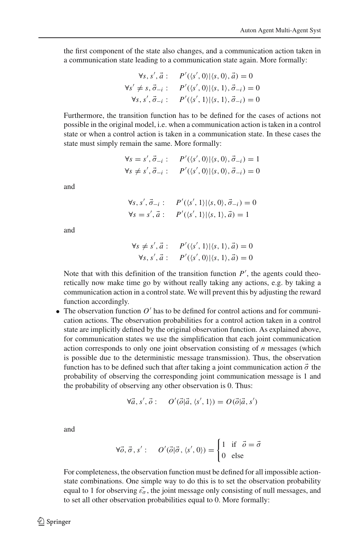the first component of the state also changes, and a communication action taken in a communication state leading to a communication state again. More formally:

$$
\forall s, s', \vec{a} : P'(\langle s', 0 \rangle | \langle s, 0 \rangle, \vec{a}) = 0
$$
  

$$
\forall s' \neq s, \vec{\sigma}_{-i} : P'(\langle s', 0 \rangle | \langle s, 1 \rangle, \vec{\sigma}_{-i}) = 0
$$
  

$$
\forall s, s', \vec{\sigma}_{-i} : P'(\langle s', 1 \rangle | \langle s, 1 \rangle, \vec{\sigma}_{-i}) = 0
$$

Furthermore, the transition function has to be defined for the cases of actions not possible in the original model, i.e. when a communication action is taken in a control state or when a control action is taken in a communication state. In these cases the state must simply remain the same. More formally:

$$
\forall s = s', \vec{\sigma}_{-i} : P'(\langle s', 0 \rangle | \langle s, 0 \rangle, \vec{\sigma}_{-i}) = 1 \n\forall s \neq s', \vec{\sigma}_{-i} : P'(\langle s', 0 \rangle | \langle s, 0 \rangle, \vec{\sigma}_{-i}) = 0
$$

and

$$
\forall s, s', \vec{\sigma}_{-i} : P'(\langle s', 1 \rangle | \langle s, 0 \rangle, \vec{\sigma}_{-i}) = 0 \n\forall s = s', \vec{a} : P'(\langle s', 1 \rangle | \langle s, 1 \rangle, \vec{a}) = 1
$$

and

$$
\forall s \neq s', \vec{a} : P'(\langle s', 1 \rangle | \langle s, 1 \rangle, \vec{a}) = 0 \n\forall s, s', \vec{a} : P'(\langle s', 0 \rangle | \langle s, 1 \rangle, \vec{a}) = 0
$$

Note that with this definition of the transition function  $P'$ , the agents could theo-<br>retically now make time go by without really taking any actions e.g. by taking a retically now make time go by without really taking any actions, e.g. by taking a communication action in a control state. We will prevent this by adjusting the reward function accordingly.

• The observation function  $O'$  has to be defined for control actions and for communication actions. The observation probabilities for a control action taken in a control state are implicitly defined by the original observation function. As explained above, for communication states we use the simplification that each joint communication action corresponds to only one joint observation consisting of *n* messages (which is possible due to the deterministic message transmission). Thus, the observation function has to be defined such that after taking a joint communication action  $\vec{\sigma}$  the probability of observing the corresponding joint communication message is 1 and the probability of observing any other observation is 0. Thus:

$$
\forall \vec{a}, s', \vec{o} : O'(\vec{o}|\vec{a}, \langle s', 1 \rangle) = O(\vec{o}|\vec{a}, s')
$$

and

$$
\forall \vec{o}, \vec{\sigma}, s': \quad O'(\vec{o}|\vec{\sigma}, \langle s', 0 \rangle) = \begin{cases} 1 & \text{if } \vec{o} = \vec{\sigma} \\ 0 & \text{else} \end{cases}
$$

For completeness, the observation function must be defined for all impossible actionstate combinations. One simple way to do this is to set the observation probability equal to 1 for observing  $\vec{\epsilon_{\sigma}}$ , the joint message only consisting of null messages, and to set all other observation probabilities equal to 0. More formally: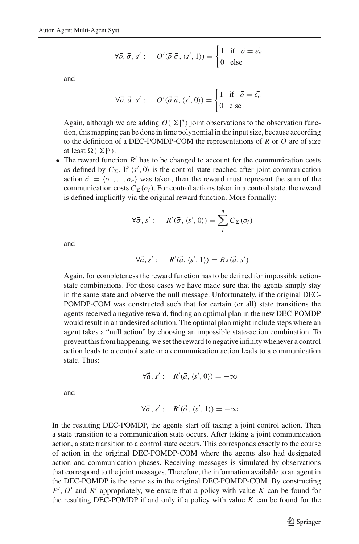$$
\forall \vec{o}, \vec{\sigma}, s': \quad O'(\vec{o}|\vec{\sigma}, \langle s', 1 \rangle) = \begin{cases} 1 & \text{if } \vec{o} = \vec{\varepsilon}_{\sigma} \\ 0 & \text{else} \end{cases}
$$

and

$$
\forall \vec{o}, \vec{a}, s': \quad O'(\vec{o}|\vec{a}, \langle s', 0 \rangle) = \begin{cases} 1 & \text{if } \vec{o} = \vec{\varepsilon_o} \\ 0 & \text{else} \end{cases}
$$

Again, although we are adding  $O(|\Sigma|^n)$  joint observations to the observation function this manning can be done in time polynomial in the input size, because according tion, this mapping can be done in time polynomial in the input size, because according to the definition of a DEC-POMDP-COM the representations of *R* or *O* are of size at least  $\Omega(|\Sigma|^n)$ .<br>The reward funct

• The reward function  $R'$  has to be changed to account for the communication costs as defined by  $C_{\Sigma}$ . If  $\langle s', 0 \rangle$  is the control state reached after joint communication<br>action  $\vec{\sigma} = \langle \sigma_1, \dots, \sigma_n \rangle$  was taken, then the reward must represent the sum of the action  $\vec{\sigma} = \langle \sigma_1, \dots, \sigma_n \rangle$  was taken, then the reward must represent the sum of the communication costs  $C_{\Sigma}(\sigma)$ . For control actions taken in a control state, the reward communication costs  $C_{\Sigma}(\sigma_i)$ . For control actions taken in a control state, the reward is defined implicitly via the original reward function. More formally:

$$
\forall \vec{\sigma}, s': \quad R'(\vec{\sigma}, \langle s', 0 \rangle) = \sum_{i}^{n} C_{\Sigma}(\sigma_i)
$$

and

$$
\forall \vec{a}, s': \quad R'(\vec{a}, \langle s', 1 \rangle) = R_A(\vec{a}, s')
$$

Again, for completeness the reward function has to be defined for impossible actionstate combinations. For those cases we have made sure that the agents simply stay in the same state and observe the null message. Unfortunately, if the original DEC-POMDP-COM was constructed such that for certain (or all) state transitions the agents received a negative reward, finding an optimal plan in the new DEC-POMDP would result in an undesired solution. The optimal plan might include steps where an agent takes a "null action" by choosing an impossible state-action combination. To prevent this from happening, we set the reward to negative infinity whenever a control action leads to a control state or a communication action leads to a communication state. Thus:

$$
\forall \vec{a}, s': R'(\vec{a}, \langle s', 0 \rangle) = -\infty
$$

and

$$
\forall \vec{\sigma}, s': R'(\vec{\sigma}, \langle s', 1 \rangle) = -\infty
$$

In the resulting DEC-POMDP, the agents start off taking a joint control action. Then a state transition to a communication state occurs. After taking a joint communication action, a state transition to a control state occurs. This corresponds exactly to the course of action in the original DEC-POMDP-COM where the agents also had designated action and communication phases. Receiving messages is simulated by observations that correspond to the joint messages. Therefore, the information available to an agent in the DEC-POMDP is the same as in the original DEC-POMDP-COM. By constructing  $P'$ ,  $O'$  and  $R'$  appropriately, we ensure that a policy with value  $K$  can be found for the resulting DEC-POMDP if and only if a policy with value  $K$  can be found for the the resulting DEC-POMDP if and only if a policy with value *K* can be found for the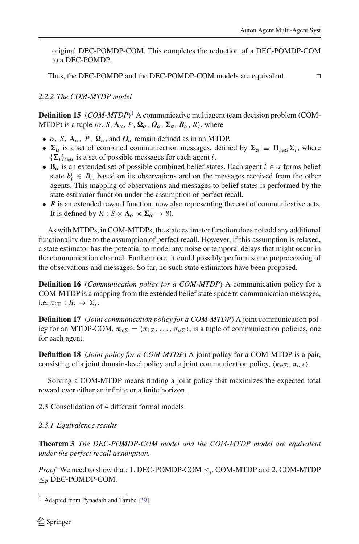original DEC-POMDP-COM. This completes the reduction of a DEC-POMDP-COM to a DEC-POMDP.

Thus, the DEC-POMDP and the DEC-POMDP-COM models are equivalent.

## *2.2.2 The COM-MTDP model*

**Definition 15** (*COM-MTDP*) [1](#page-13-1) A communicative multiagent team decision problem (COM-MTDP) is a tuple  $\langle \alpha, S, A_{\alpha}, P, \Omega_{\alpha}, O_{\alpha}, \Sigma_{\alpha}, B_{\alpha}, R \rangle$ , where

- $\alpha$ , *S*,  $A_{\alpha}$ , *P*,  $\Omega_{\alpha}$ , and  $O_{\alpha}$  remain defined as in an MTDP.
- $\Sigma_{\alpha}$  is a set of combined communication messages, defined by  $\Sigma_{\alpha} \equiv \Pi_{i \in \alpha} \Sigma_{i}$ , where  ${\Sigma_i}|_{i \in \alpha}$  is a set of possible messages for each agent *i*.
- **B**<sub> $\alpha$ </sub> is an extended set of possible combined belief states. Each agent  $i \in \alpha$  forms belief state  $b_i^t \in B_i$ , based on its observations and on the messages received from the other agents. This manning of observations and messages to belief states is performed by the agents. This mapping of observations and messages to belief states is performed by the state estimator function under the assumption of perfect recall.
- *R* is an extended reward function, now also representing the cost of communicative acts. It is defined by  $R : S \times A_{\alpha} \times \Sigma_{\alpha} \rightarrow \mathcal{R}$ .

As with MTDPs, in COM-MTDPs, the state estimator function does not add any additional functionality due to the assumption of perfect recall. However, if this assumption is relaxed, a state estimator has the potential to model any noise or temporal delays that might occur in the communication channel. Furthermore, it could possibly perform some preprocessing of the observations and messages. So far, no such state estimators have been proposed.

**Definition 16** (*Communication policy for a COM-MTDP*) A communication policy for a COM-MTDP is a mapping from the extended belief state space to communication messages, i.e.  $\pi_{i\,\Sigma}: B_i \to \Sigma_i$ .

**Definition 17** (*Joint communication policy for a COM-MTDP*) A joint communication policy for an MTDP-COM,  $\pi_{\alpha\Sigma} = \langle \pi_{1\Sigma}, \dots, \pi_{n\Sigma} \rangle$ , is a tuple of communication policies, one<br>for each agent for each agent.

**Definition 18** (*Joint policy for a COM-MTDP*) A joint policy for a COM-MTDP is a pair, consisting of a joint domain-level policy and a joint communication policy,  $\langle \pi_{\alpha \Sigma}, \pi_{\alpha A} \rangle$ .

Solving a COM-MTDP means finding a joint policy that maximizes the expected total reward over either an infinite or a finite horizon.

<span id="page-13-0"></span>2.3 Consolidation of 4 different formal models

## *2.3.1 Equivalence results*

**Theorem 3** *The DEC-POMDP-COM model and the COM-MTDP model are equivalent under the perfect recall assumption.*

*Proof* We need to show that: 1. DEC-POMDP-COM  $\leq_p$  COM-MTDP and 2. COM-MTDP  $\leq_p$  DEC-POMDP-COM.

<span id="page-13-1"></span><sup>1</sup> Adapted from Pynadath and Tambe [\[39\]](#page-60-3).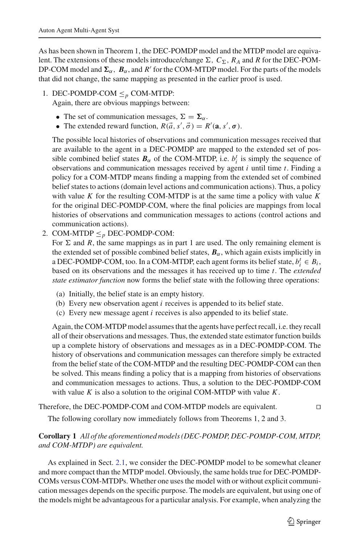As has been shown in Theorem 1, the DEC-POMDP model and the MTDP model are equivalent. The extensions of these models introduce/change  $\Sigma$ ,  $C_{\Sigma}$ ,  $R_A$  and *R* for the DEC-POM-DP-COM model and  $\Sigma_{\alpha}$ ,  $B_{\alpha}$ , and  $R'$  for the COM-MTDP model. For the parts of the models that did not change, the same mapping as presented in the earlier proof is used.

## 1. DEC-POMDP-COM  $\leq_p$  COM-MTDP:

Again, there are obvious mappings between:

- The set of communication messages,  $\Sigma = \Sigma_{\alpha}$ .
- The extended reward function,  $R(\vec{a}, s', \vec{\sigma}) = R'(\mathbf{a}, s', \sigma)$ .

The possible local histories of observations and communication messages received that are available to the agent in a DEC-POMDP are mapped to the extended set of possible combined belief states  $B_\alpha$  of the COM-MTDP, i.e.  $b_i^t$  is simply the sequence of observations and communication messages received by agent *i* until time *t*. Finding a observations and communication messages received by agent *i* until time *t*. Finding a policy for a COM-MTDP means finding a mapping from the extended set of combined belief states to actions (domain level actions and communication actions). Thus, a policy with value  $K$  for the resulting COM-MTDP is at the same time a policy with value  $K$ for the original DEC-POMDP-COM, where the final policies are mappings from local histories of observations and communication messages to actions (control actions and communication actions).

2. COM-MTDP  $\leq_p$  DEC-POMDP-COM:

For  $\Sigma$  and *R*, the same mappings as in part 1 are used. The only remaining element is the extended set of possible combined belief states,  $B_\alpha$ , which again exists implicitly in a DEC-POMDP-COM, too. In a COM-MTDP, each agent forms its belief state,  $b_i^t \in B_i$ , based on its observations and the messages it has received up to time t. The *extended* based on its observations and the messages it has received up to time *t*. The *extended state estimator function* now forms the belief state with the following three operations:

- (a) Initially, the belief state is an empty history.
- (b) Every new observation agent *i* receives is appended to its belief state.
- (c) Every new message agent *i* receives is also appended to its belief state.

Again, the COM-MTDP model assumes that the agents have perfect recall, i.e. they recall all of their observations and messages. Thus, the extended state estimator function builds up a complete history of observations and messages as in a DEC-POMDP-COM. The history of observations and communication messages can therefore simply be extracted from the belief state of the COM-MTDP and the resulting DEC-POMDP-COM can then be solved. This means finding a policy that is a mapping from histories of observations and communication messages to actions. Thus, a solution to the DEC-POMDP-COM with value *K* is also a solution to the original COM-MTDP with value *K*.

Therefore, the DEC-POMDP-COM and COM-MTDP models are equivalent.

The following corollary now immediately follows from Theorems 1, 2 and 3.

## **Corollary 1** *All of the aforementioned models (DEC-POMDP, DEC-POMDP-COM, MTDP, and COM-MTDP) are equivalent.*

As explained in Sect. [2.1,](#page-4-0) we consider the DEC-POMDP model to be somewhat cleaner and more compact than the MTDP model. Obviously, the same holds true for DEC-POMDP-COMs versus COM-MTDPs. Whether one uses the model with or without explicit communication messages depends on the specific purpose. The models are equivalent, but using one of the models might be advantageous for a particular analysis. For example, when analyzing the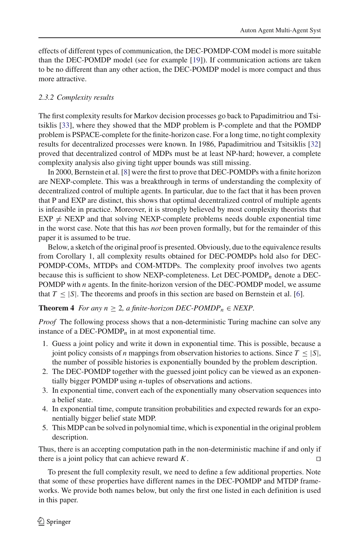effects of different types of communication, the DEC-POMDP-COM model is more suitable than the DEC-POMDP model (see for example [\[19](#page-59-9)]). If communication actions are taken to be no different than any other action, the DEC-POMDP model is more compact and thus more attractive.

## <span id="page-15-0"></span>*2.3.2 Complexity results*

The first complexity results for Markov decision processes go back to Papadimitriou and Tsitsiklis [\[33](#page-59-11)], where they showed that the MDP problem is P-complete and that the POMDP problem is PSPACE-complete for the finite-horizon case. For a long time, no tight complexity results for decentralized processes were known. In 1986, Papadimitriou and Tsitsiklis [\[32\]](#page-59-12) proved that decentralized control of MDPs must be at least NP-hard; however, a complete complexity analysis also giving tight upper bounds was still missing.

In 2000, Bernstein et al. [\[8](#page-58-1)] were the first to prove that DEC-POMDPs with a finite horizon are NEXP-complete. This was a breakthrough in terms of understanding the complexity of decentralized control of multiple agents. In particular, due to the fact that it has been proven that P and EXP are distinct, this shows that optimal decentralized control of multiple agents is infeasible in practice. Moreover, it is strongly believed by most complexity theorists that  $EXP \neq NEXP$  and that solving NEXP-complete problems needs double exponential time in the worst case. Note that this has *not* been proven formally, but for the remainder of this paper it is assumed to be true.

Below, a sketch of the original proof is presented. Obviously, due to the equivalence results from Corollary 1, all complexity results obtained for DEC-POMDPs hold also for DEC-POMDP-COMs, MTDPs and COM-MTDPs. The complexity proof involves two agents because this is sufficient to show NEXP-completeness. Let DEC-POMDP*n* denote a DEC-POMDP with *n* agents. In the finite-horizon version of the DEC-POMDP model, we assume that  $T \leq |S|$ . The theorems and proofs in this section are based on Bernstein et al. [\[6](#page-58-3)].

## **Theorem 4** *For any*  $n \geq 2$ , *a finite-horizon DEC-POMDP<sub>n</sub>*  $\in$  *NEXP*.

*Proof* The following process shows that a non-deterministic Turing machine can solve any instance of a DEC-POMDP $<sub>n</sub>$  in at most exponential time.</sub>

- 1. Guess a joint policy and write it down in exponential time. This is possible, because a joint policy consists of *n* mappings from observation histories to actions. Since  $T \leq |S|$ , the number of possible histories is exponentially bounded by the problem description.
- 2. The DEC-POMDP together with the guessed joint policy can be viewed as an exponentially bigger POMDP using *n*-tuples of observations and actions.
- 3. In exponential time, convert each of the exponentially many observation sequences into a belief state.
- 4. In exponential time, compute transition probabilities and expected rewards for an exponentially bigger belief state MDP.
- 5. This MDP can be solved in polynomial time, which is exponential in the original problem description.

Thus, there is an accepting computation path in the non-deterministic machine if and only if there is a joint policy that can achieve reward  $K$ .

To present the full complexity result, we need to define a few additional properties. Note that some of these properties have different names in the DEC-POMDP and MTDP frameworks. We provide both names below, but only the first one listed in each definition is used in this paper.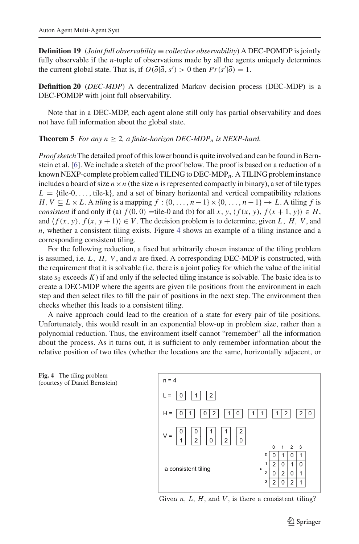**Definition 19** (*Joint full observability*  $\equiv$  *collective observability*) A DEC-POMDP is jointly fully observable if the *n*-tuple of observations made by all the agents uniquely determines the current global state. That is, if  $O(\vec{o}|\vec{a}, s') > 0$  then  $Pr(s'|\vec{o}) = 1$ .

**Definition 20** (*DEC-MDP*) A decentralized Markov decision process (DEC-MDP) is a DEC-POMDP with joint full observability.

Note that in a DEC-MDP, each agent alone still only has partial observability and does not have full information about the global state.

### **Theorem 5** *For any*  $n \geq 2$ , *a finite-horizon DEC-MDP<sub>n</sub> is NEXP-hard.*

*Proof sketch* The detailed proof of this lower bound is quite involved and can be found in Bernstein et al. [\[6](#page-58-3)]. We include a sketch of the proof below. The proof is based on a reduction of a known NEXP-complete problem called TILING to DEC-MDP*n*. A TILING problem instance includes a board of size  $n \times n$  (the size *n* is represented compactly in binary), a set of tile types  $L = \{$ tile-0, ..., tile-k}, and a set of binary horizontal and vertical compatibility relations *H*, *V* ⊆ *L* × *L*. A *tiling* is a mapping *f* : {0, ..., *n* − 1} × {0, ..., *n* − 1} → *L*. A tiling *f* is *consistent* if and only if (a)  $f(0, 0)$  =tile-0 and (b) for all *x, y,*  $\langle f(x, y), f(x+1, y) \rangle \in H$ , and  $\langle f(x, y), f(x+1) \rangle \in V$ . The decision problem is to determine given *L*, *H*, *V*, and and  $\langle f(x, y), f(x, y+1) \rangle \in V$ . The decision problem is to determine, given *L*, *H*, *V*, and *n* whether a consistent tiling exists. Figure 4 shows an example of a tiling instance and a *n*, whether a consistent tiling exists. Figure [4](#page-16-0) shows an example of a tiling instance and a corresponding consistent tiling.

For the following reduction, a fixed but arbitrarily chosen instance of the tiling problem is assumed, i.e. *L, H, V* , and *n* are fixed. A corresponding DEC-MDP is constructed, with the requirement that it is solvable (i.e. there is a joint policy for which the value of the initial state  $s_0$  exceeds  $K$ ) if and only if the selected tiling instance is solvable. The basic idea is to create a DEC-MDP where the agents are given tile positions from the environment in each step and then select tiles to fill the pair of positions in the next step. The environment then checks whether this leads to a consistent tiling.

A naive approach could lead to the creation of a state for every pair of tile positions. Unfortunately, this would result in an exponential blow-up in problem size, rather than a polynomial reduction. Thus, the environment itself cannot "remember" all the information about the process. As it turns out, it is sufficient to only remember information about the relative position of two tiles (whether the locations are the same, horizontally adjacent, or

<span id="page-16-0"></span>



Given  $n, L, H$ , and V, is there a consistent tiling?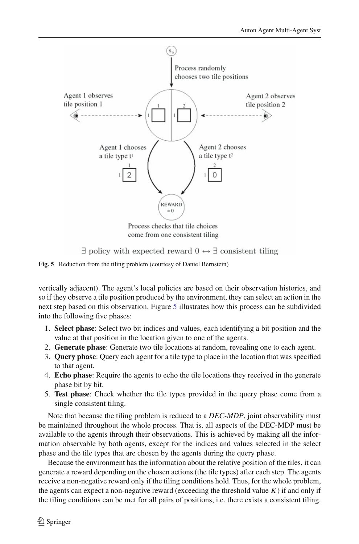



<span id="page-17-0"></span>**Fig. 5** Reduction from the tiling problem (courtesy of Daniel Bernstein)

vertically adjacent). The agent's local policies are based on their observation histories, and so if they observe a tile position produced by the environment, they can select an action in the next step based on this observation. Figure [5](#page-17-0) illustrates how this process can be subdivided into the following five phases:

- 1. **Select phase**: Select two bit indices and values, each identifying a bit position and the value at that position in the location given to one of the agents.
- 2. **Generate phase**: Generate two tile locations at random, revealing one to each agent.
- 3. **Query phase**: Query each agent for a tile type to place in the location that was specified to that agent.
- 4. **Echo phase**: Require the agents to echo the tile locations they received in the generate phase bit by bit.
- 5. **Test phase**: Check whether the tile types provided in the query phase come from a single consistent tiling.

Note that because the tiling problem is reduced to a *DEC-MDP*, joint observability must be maintained throughout the whole process. That is, all aspects of the DEC-MDP must be available to the agents through their observations. This is achieved by making all the information observable by both agents, except for the indices and values selected in the select phase and the tile types that are chosen by the agents during the query phase.

Because the environment has the information about the relative position of the tiles, it can generate a reward depending on the chosen actions (the tile types) after each step. The agents receive a non-negative reward only if the tiling conditions hold. Thus, for the whole problem, the agents can expect a non-negative reward (exceeding the threshold value  $K$ ) if and only if the tiling conditions can be met for all pairs of positions, i.e. there exists a consistent tiling.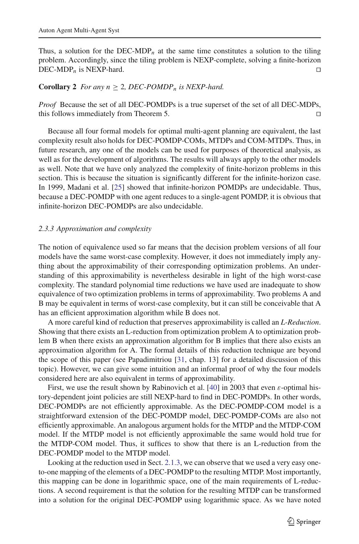Thus, a solution for the DEC-MDP<sub>n</sub> at the same time constitutes a solution to the tiling problem. Accordingly, since the tiling problem is NEXP-complete, solving a finite-horizon  $\Box$ DEC-MDP<sub>n</sub> is NEXP-hard.

#### **Corollary 2** *For any*  $n \geq 2$ , *DEC-POMDP<sub>n</sub> is NEXP-hard.*

*Proof* Because the set of all DEC-POMDPs is a true superset of the set of all DEC-MDPs, this follows immediately from Theorem 5.

Because all four formal models for optimal multi-agent planning are equivalent, the last complexity result also holds for DEC-POMDP-COMs, MTDPs and COM-MTDPs. Thus, in future research, any one of the models can be used for purposes of theoretical analysis, as well as for the development of algorithms. The results will always apply to the other models as well. Note that we have only analyzed the complexity of finite-horizon problems in this section. This is because the situation is significantly different for the infinite-horizon case. In 1999, Madani et al. [\[25](#page-59-13)] showed that infinite-horizon POMDPs are undecidable. Thus, because a DEC-POMDP with one agent reduces to a single-agent POMDP, it is obvious that infinite-horizon DEC-POMDPs are also undecidable.

#### *2.3.3 Approximation and complexity*

The notion of equivalence used so far means that the decision problem versions of all four models have the same worst-case complexity. However, it does not immediately imply anything about the approximability of their corresponding optimization problems. An understanding of this approximability is nevertheless desirable in light of the high worst-case complexity. The standard polynomial time reductions we have used are inadequate to show equivalence of two optimization problems in terms of approximability. Two problems A and B may be equivalent in terms of worst-case complexity, but it can still be conceivable that A has an efficient approximation algorithm while B does not.

A more careful kind of reduction that preserves approximability is called an *L-Reduction*. Showing that there exists an L-reduction from optimization problem A to optimization problem B when there exists an approximation algorithm for B implies that there also exists an approximation algorithm for A. The formal details of this reduction technique are beyond the scope of this paper (see Papadimitriou [\[31](#page-59-8), chap. 13] for a detailed discussion of this topic). However, we can give some intuition and an informal proof of why the four models considered here are also equivalent in terms of approximability.

First, we use the result shown by Rabinovich et al. [\[40\]](#page-60-7) in 2003 that even *ε*-optimal history-dependent joint policies are still NEXP-hard to find in DEC-POMDPs. In other words, DEC-POMDPs are not efficiently approximable. As the DEC-POMDP-COM model is a straightforward extension of the DEC-POMDP model, DEC-POMDP-COMs are also not efficiently approximable. An analogous argument holds for the MTDP and the MTDP-COM model. If the MTDP model is not efficiently approximable the same would hold true for the MTDP-COM model. Thus, it suffices to show that there is an L-reduction from the DEC-POMDP model to the MTDP model.

Looking at the reduction used in Sect. [2.1.3,](#page-6-0) we can observe that we used a very easy oneto-one mapping of the elements of a DEC-POMDP to the resulting MTDP. Most importantly, this mapping can be done in logarithmic space, one of the main requirements of L-reductions. A second requirement is that the solution for the resulting MTDP can be transformed into a solution for the original DEC-POMDP using logarithmic space. As we have noted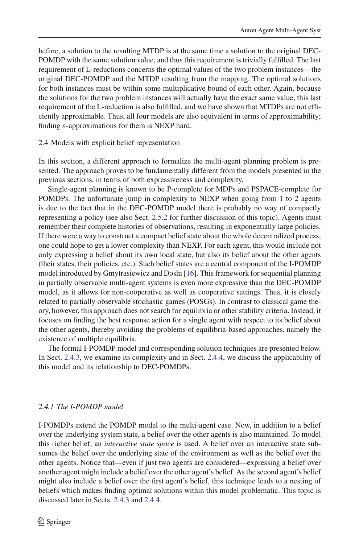before, a solution to the resulting MTDP is at the same time a solution to the original DEC-POMDP with the same solution value, and thus this requirement is trivially fulfilled. The last requirement of L-reductions concerns the optimal values of the two problem instances—the original DEC-POMDP and the MTDP resulting from the mapping. The optimal solutions for both instances must be within some multiplicative bound of each other. Again, because the solutions for the two problem instances will actually have the exact same value, this last requirement of the L-reduction is also fulfilled, and we have shown that MTDPs are not efficiently approximable. Thus, all four models are also equivalent in terms of approximability; finding *ε*-approximations for them is NEXP hard.

#### <span id="page-19-0"></span>2.4 Models with explicit belief representation

In this section, a different approach to formalize the multi-agent planning problem is presented. The approach proves to be fundamentally different from the models presented in the previous sections, in terms of both expressiveness and complexity.

Single-agent planning is known to be P-complete for MDPs and PSPACE-complete for POMDPs. The unfortunate jump in complexity to NEXP when going from 1 to 2 agents is due to the fact that in the DEC-POMDP model there is probably no way of compactly representing a policy (see also Sect. [2.5.2](#page-25-0) for further discussion of this topic). Agents must remember their complete histories of observations, resulting in exponentially large policies. If there were a way to construct a compact belief state about the whole decentralized process, one could hope to get a lower complexity than NEXP. For each agent, this would include not only expressing a belief about its own local state, but also its belief about the other agents (their states, their policies, etc.). Such belief states are a central component of the I-POMDP model introduced by Gmytrasiewicz and Doshi [\[16\]](#page-59-14). This framework for sequential planning in partially observable multi-agent systems is even more expressive than the DEC-POMDP model, as it allows for non-cooperative as well as cooperative settings. Thus, it is closely related to partially observable stochastic games (POSGs). In contrast to classical game theory, however, this approach does not search for equilibria or other stability criteria. Instead, it focuses on finding the best response action for a single agent with respect to its belief about the other agents, thereby avoiding the problems of equilibria-based approaches, namely the existence of multiple equilibria.

The formal I-POMDP model and corresponding solution techniques are presented below. In Sect. [2.4.3,](#page-23-0) we examine its complexity and in Sect. [2.4.4,](#page-23-1) we discuss the applicability of this model and its relationship to DEC-POMDPs.

### *2.4.1 The I-POMDP model*

I-POMDPs extend the POMDP model to the multi-agent case. Now, in addition to a belief over the underlying system state, a belief over the other agents is also maintained. To model this richer belief, an *interactive state space* is used. A belief over an interactive state subsumes the belief over the underlying state of the environment as well as the belief over the other agents. Notice that—even if just two agents are considered—expressing a belief over another agent might include a belief over the other agent's belief. As the second agent's belief might also include a belief over the first agent's belief, this technique leads to a nesting of beliefs which makes finding optimal solutions within this model problematic. This topic is discussed later in Sects. [2.4.3](#page-23-0) and [2.4.4.](#page-23-1)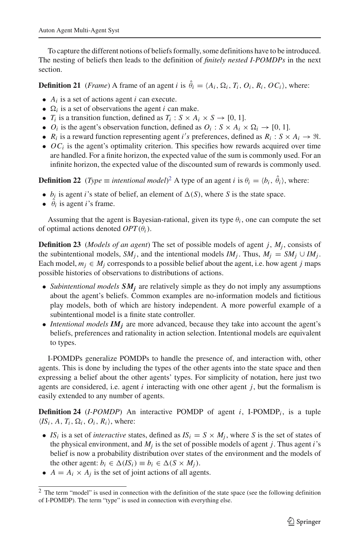To capture the different notions of beliefs formally, some definitions have to be introduced. The nesting of beliefs then leads to the definition of *finitely nested I-POMDPs* in the next section.

**Definition 21** (*Frame*) A frame of an agent *i* is  $\hat{\theta}_i = \langle A_i, \Omega_i, T_i, O_i, R_i, OC_i \rangle$ , where:

- *Ai* is a set of actions agent *<sup>i</sup>* can execute.
- $\Omega_i$  is a set of observations the agent *i* can make.
- $T_i$  is a transition function, defined as  $T_i : S \times A_i \times S \rightarrow [0, 1]$ .
- $O_i$  is the agent's observation function, defined as  $O_i$ :  $S \times A_i \times \Omega_i \rightarrow [0, 1]$ .
- $R_i$  is a reward function representing agent *i*'s preferences, defined as  $R_i$ :  $S \times A_i \rightarrow \Re$ .<br>•  $OC_i$  is the agent's optimality criterion. This specifies how rewards acquired over time
- $OC<sub>i</sub>$  is the agent's optimality criterion. This specifies how rewards acquired over time are handled. For a finite horizon, the expected value of the sum is commonly used. For an infinite horizon, the expected value of the discounted sum of rewards is commonly used.

**Definition [2](#page-20-0)2** (*Type*  $\equiv$  *intentional model*)<sup>2</sup> A type of an agent *i* is  $\theta_i = \langle b_i, \hat{\theta}_i \rangle$ , where:

- *b<sub>i</sub>* is agent *i*'s state of belief, an element of  $\Delta(S)$ , where *S* is the state space.<br>•  $\hat{\theta}$  is agent *i*'s frame
- $\hat{\theta}_i$  is agent *i*'s frame.

Assuming that the agent is Bayesian-rational, given its type  $\theta_i$ , one can compute the set of optimal actions denoted *OPT(θi)*.

**Definition 23** (*Models of an agent*) The set of possible models of agent  $j$ ,  $M_i$ , consists of the subintentional models,  $SM_i$ , and the intentional models  $IM_i$ . Thus,  $M_i = SM_i \cup IM_i$ . Each model,  $m_i \in M_i$  corresponds to a possible belief about the agent, i.e. how agent *j* maps possible histories of observations to distributions of actions.

- *Subintentional models*  $SM_i$  are relatively simple as they do not imply any assumptions about the agent's beliefs. Common examples are no-information models and fictitious play models, both of which are history independent. A more powerful example of a subintentional model is a finite state controller.
- *Intentional models*  $IM_j$  are more advanced, because they take into account the agent's beliefs, preferences and rationality in action selection. Intentional models are equivalent to types.

I-POMDPs generalize POMDPs to handle the presence of, and interaction with, other agents. This is done by including the types of the other agents into the state space and then expressing a belief about the other agents' types. For simplicity of notation, here just two agents are considered, i.e. agent *i* interacting with one other agent *j* , but the formalism is easily extended to any number of agents.

**Definition 24** (*I-POMDP*) An interactive POMDP of agent *<sup>i</sup>*, I-POMDP*i*, is a tuple  $\langle IS_i, A, T_i, \Omega_i, O_i, R_i \rangle$ , where:

- *IS<sub>i</sub>* is a set of *interactive* states, defined as  $IS_i = S \times M_i$ , where *S* is the set of states of the physical environment, and  $M_i$  is the set of possible models of agent *j*. Thus agent *i*'s belief is now a probability distribution over states of the environment and the models of the other agent:  $b_i \in \Delta(IS_i) \equiv b_i \in \Delta(S \times M_j)$ .<br>  $A - A_i \times A_j$  is the set of joint actions of all age
- $A = A_i \times A_j$  is the set of joint actions of all agents.

<span id="page-20-0"></span><sup>&</sup>lt;sup>2</sup> The term "model" is used in connection with the definition of the state space (see the following definition of I-POMDP). The term "type" is used in connection with everything else.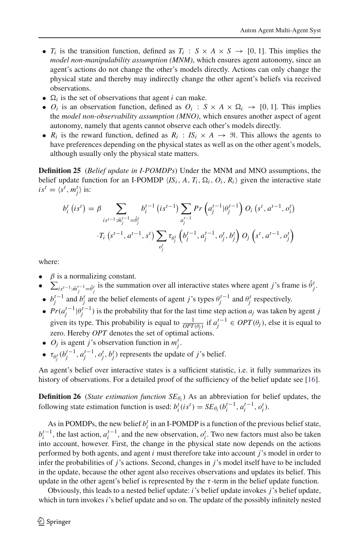- $T_i$  is the transition function, defined as  $T_i$  :  $S \times A \times S \rightarrow [0, 1]$ . This implies the *model non-manipulability assumption (MNM)*, which ensures agent autonomy, since an agent's actions do not change the other's models directly. Actions can only change the physical state and thereby may indirectly change the other agent's beliefs via received observations.
- $\Omega_i$  is the set of observations that agent *i* can make.
- $O_i$  is an observation function, defined as  $O_i$  :  $S \times A \times \Omega_i \rightarrow [0, 1]$ . This implies the *model non-observability assumption (MNO)*, which ensures another aspect of agent autonomy, namely that agents cannot observe each other's models directly.
- $R_i$  is the reward function, defined as  $R_i$  :  $IS_i \times A \rightarrow \Re$ . This allows the agents to have preferences depending on the physical states as well as on the other agent's models, although usually only the physical state matters.

**Definition 25** (*Belief update in I-POMDPs*) Under the MNM and MNO assumptions, the belief update function for an I-POMDP  $\langle IS_i, A, T_i, \Omega_i, O_i, R_i \rangle$  given the interactive state  $i s^t = \langle s^t, m^t \rangle$  is:  $is^t = \langle s^t, m^t_j \rangle$  is:

$$
b_i^t (is^t) = \beta \sum_{is^{t-1} : \hat{m}_j^{t-1} = \hat{\theta}_j^t} b_i^{t-1} (is^{t-1}) \sum_{a_j^{t-1}} Pr\left(a_j^{t-1} | \theta_j^{t-1}\right) O_i\left(s^t, a^{t-1}, o_i^t\right)
$$

$$
\cdot T_i \left(s^{t-1}, a^{t-1}, s^t\right) \sum_{o_j^t} \tau_{\theta_j^t} \left(b_j^{t-1}, a_j^{t-1}, o_j^t, b_j^t\right) O_j\left(s^t, a^{t-1}, o_j^t\right)
$$

where:

- 
- *β* is a normalizing constant.<br>
  $\sum_{i s^{t-1} : \hat{m}_j^{t-1} = \hat{\theta}_j^t}$  is the summation over all interactive states where agent *j*'s frame is  $\hat{\theta}_j^t$ .
- $b_j^{t-1}$  and  $b_j^t$  are the belief elements of agent *j*'s types  $\theta_j^{t-1}$  and  $\theta_j^t$  respectively.
- $Pr(a_j^{t-1} | \theta_j^{t-1})$  is the probability that for the last time step action  $a_j$  was taken by agent *j*  $j$  *singuitary is a small to*  $j$   $j$  *if*  $s^{t-1} \in \Omega,T(\theta)$ , also it is a small to given its type. This probability is equal to  $\frac{1}{OPT(\theta_j)}$  if  $a_j^{t-1} \in OPT(\theta_j)$ , else it is equal to zero. Hereby *OPT* denotes the set of optimal actions zero. Hereby *OPT* denotes the set of optimal actions.
- *O<sub>j</sub>* is agent *j*'s observation function in  $m_f^t$ .
- *τ<sub>θj</sub>*  $(b_j^{t-1}, a_j^{t-1}, o_j^t, b_j^t)$  represents the update of *j*'s belief.

An agent's belief over interactive states is a sufficient statistic, i.e. it fully summarizes its history of observations. For a detailed proof of the sufficiency of the belief update see [\[16](#page-59-14)].

**Definition 26** (*State estimation function SE<sub>* $\theta$ *i*</sub>) As an abbreviation for belief updates, the following state estimation function is used:  $b_i^t(is^t) = SE_{\theta_i}(b_i^{t-1}, a_i^{t-1}, o_i^t)$ .

As in POMDPs, the new belief  $b_i^t$  in an I-POMDP is a function of the previous belief state,<br><sup>1</sup> the last action  $a^{t-1}$  and the new observation  $a^t$ . Two new factors must also be taken  $b_i^{t-1}$ , the last action,  $a_i^{t-1}$ , and the new observation,  $o_i^t$ . Two new factors must also be taken into account however. First the change in the physical state now depends on the actions into account, however. First, the change in the physical state now depends on the actions performed by both agents, and agent *i* must therefore take into account *j* 's model in order to infer the probabilities of *j* 's actions. Second, changes in *j* 's model itself have to be included in the update, because the other agent also receives observations and updates its belief. This update in the other agent's belief is represented by the  $\tau$ -term in the belief update function.

Obviously, this leads to a nested belief update: *i*'s belief update invokes *j* 's belief update, which in turn invokes *i*'s belief update and so on. The update of the possibly infinitely nested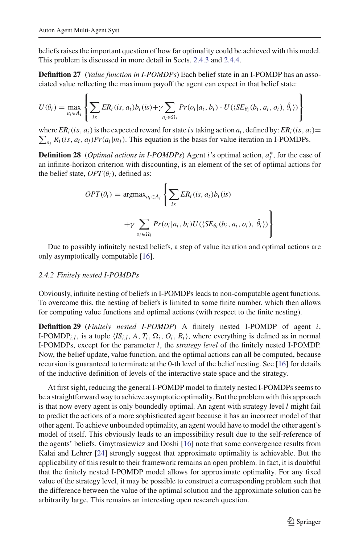$\epsilon$ 

*aj*

beliefs raises the important question of how far optimality could be achieved with this model. This problem is discussed in more detail in Sects. [2.4.3](#page-23-0) and [2.4.4.](#page-23-1)

**Definition 27** (*Value function in I-POMDPs*) Each belief state in an I-POMDP has an associated value reflecting the maximum payoff the agent can expect in that belief state:

$$
U(\theta_i) = \max_{a_i \in A_i} \left\{ \sum_{is} ER_i(is, a_i)b_i(is) + \gamma \sum_{o_i \in \Omega_i} Pr(o_i|a_i, b_i) \cdot U(\langle SE_{\theta_i}(b_i, a_i, o_i), \hat{\theta}_i \rangle) \right\}
$$

where  $ER_i(i, a_i)$  is the expected reward for state *is* taking action  $a_i$ , defined by:  $ER_i(i, a_i) = \sum_{i} R_i(i, a_i) Pr(a_i|m_i)$ . This equation is the basis for value iteration in LPOMDPs.  $\sum_{a_j} R_i(i_s, a_i, a_j) Pr(a_j|m_j)$ . This equation is the basis for value iteration in I-POMDPs.

**Definition 28** (*Optimal actions in I-POMDPs*) Agent *i*'s optimal action,  $a_i^*$ , for the case of an infinite-horizon criterion with discounting, is an element of the set of optimal actions for an infinite-horizon criterion with discounting, is an element of the set of optimal actions for the belief state,  $OPT(\theta_i)$ , defined as:

$$
OPT(\theta_i) = \operatorname{argmax}_{a_i \in A_i} \left\{ \sum_{is} ER_i(is, a_i)b_i(is)
$$

$$
+ \gamma \sum_{o_i \in \Omega_i} Pr(o_i|a_i, b_i) U(\langle SE_{\theta_i}(b_i, a_i, o_i), \hat{\theta}_i \rangle) \right\}
$$

Due to possibly infinitely nested beliefs, a step of value iteration and optimal actions are only asymptotically computable [\[16\]](#page-59-14).

#### *2.4.2 Finitely nested I-POMDPs*

Obviously, infinite nesting of beliefs in I-POMDPs leads to non-computable agent functions. To overcome this, the nesting of beliefs is limited to some finite number, which then allows for computing value functions and optimal actions (with respect to the finite nesting).

**Definition 29** (*Finitely nested I-POMDP*) A finitely nested I-POMDP of agent *i*, I-POMDP<sub>*i,l*</sub>, is a tuple  $\langle IS_{i,l}, A, T_i, \Omega_i, O_i, R_i \rangle$ , where everything is defined as in normal LPOMDP<sub>s</sub> except for the parameter *l*, the strategy level of the finitely nested LPOMDP I-POMDPs, except for the parameter *l*, the *strategy level* of the finitely nested I-POMDP. Now, the belief update, value function, and the optimal actions can all be computed, because recursion is guaranteed to terminate at the 0-th level of the belief nesting. See [\[16](#page-59-14)] for details of the inductive definition of levels of the interactive state space and the strategy.

At first sight, reducing the general I-POMDP model to finitely nested I-POMDPs seems to be a straightforward way to achieve asymptotic optimality. But the problem with this approach is that now every agent is only boundedly optimal. An agent with strategy level *l* might fail to predict the actions of a more sophisticated agent because it has an incorrect model of that other agent. To achieve unbounded optimality, an agent would have to model the other agent's model of itself. This obviously leads to an impossibility result due to the self-reference of the agents' beliefs. Gmytrasiewicz and Doshi [\[16](#page-59-14)] note that some convergence results from Kalai and Lehrer [\[24](#page-59-15)] strongly suggest that approximate optimality is achievable. But the applicability of this result to their framework remains an open problem. In fact, it is doubtful that the finitely nested I-POMDP model allows for approximate optimality. For any fixed value of the strategy level, it may be possible to construct a corresponding problem such that the difference between the value of the optimal solution and the approximate solution can be arbitrarily large. This remains an interesting open research question.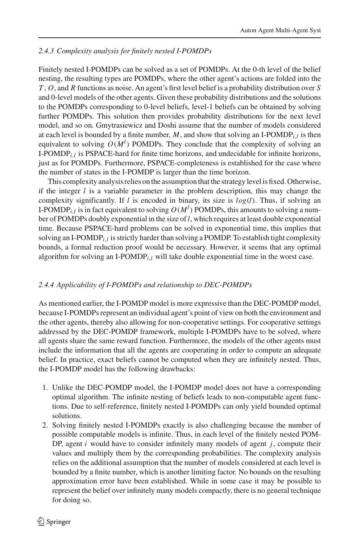### <span id="page-23-0"></span>*2.4.3 Complexity analysis for finitely nested I-POMDPs*

Finitely nested I-POMDPs can be solved as a set of POMDPs. At the 0-th level of the belief nesting, the resulting types are POMDPs, where the other agent's actions are folded into the *T* , *O*, and *R* functions as noise. An agent's first level belief is a probability distribution over *S* and 0-level models of the other agents. Given these probability distributions and the solutions to the POMDPs corresponding to 0-level beliefs, level-1 beliefs can be obtained by solving further POMDPs. This solution then provides probability distributions for the next level model, and so on. Gmytrasiewicz and Doshi assume that the number of models considered at each level is bounded by a finite number,  $M$ , and show that solving an I-POMDP<sub>*i*</sub> is then equivalent to solving  $O(M^t)$  POMDPs. They conclude that the complexity of solving an<br>**LPOMDP**: is PSPACE-hard for finite time horizons, and undecidable for infinite horizons I-POMDP*i,l* is PSPACE-hard for finite time horizons, and undecidable for infinite horizons, just as for POMDPs. Furthermore, PSPACE-completeness is established for the case where the number of states in the I-POMDP is larger than the time horizon.

This complexity analysis relies on the assumption that the strategy level is fixed. Otherwise, if the integer  $l$  is a variable parameter in the problem description, this may change the complexity significantly. If *l* is encoded in binary, its size is *log(l)*. Thus, if solving an I-POMDP<sub>i,l</sub> is in fact equivalent to solving  $O(M^l)$  POMDPs, this amounts to solving a num-<br>ber of POMDPs doubly exponential in the size of L which requires at least double exponential ber of POMDPs doubly exponential in the size of *l*, which requires at least double exponential time. Because PSPACE-hard problems can be solved in exponential time, this implies that solving an I-POMDP<sub>i</sub> is strictly harder than solving a POMDP. To establish tight complexity bounds, a formal reduction proof would be necessary. However, it seems that any optimal algorithm for solving an I-POMDP<sub>*i,l*</sub> will take double exponential time in the worst case.

### <span id="page-23-1"></span>*2.4.4 Applicability of I-POMDPs and relationship to DEC-POMDPs*

As mentioned earlier, the I-POMDP model is more expressive than the DEC-POMDP model, because I-POMDPs represent an individual agent's point of view on both the environment and the other agents, thereby also allowing for non-cooperative settings. For cooperative settings addressed by the DEC-POMDP framework, multiple I-POMDPs have to be solved, where all agents share the same reward function. Furthermore, the models of the other agents must include the information that all the agents are cooperating in order to compute an adequate belief. In practice, exact beliefs cannot be computed when they are infinitely nested. Thus, the I-POMDP model has the following drawbacks:

- 1. Unlike the DEC-POMDP model, the I-POMDP model does not have a corresponding optimal algorithm. The infinite nesting of beliefs leads to non-computable agent functions. Due to self-reference, finitely nested I-POMDPs can only yield bounded optimal solutions.
- 2. Solving finitely nested I-POMDPs exactly is also challenging because the number of possible computable models is infinite. Thus, in each level of the finitely nested POM-DP, agent *i* would have to consider infinitely many models of agent *j*, compute their values and multiply them by the corresponding probabilities. The complexity analysis relies on the additional assumption that the number of models considered at each level is bounded by a finite number, which is another limiting factor. No bounds on the resulting approximation error have been established. While in some case it may be possible to represent the belief over infinitely many models compactly, there is no general technique for doing so.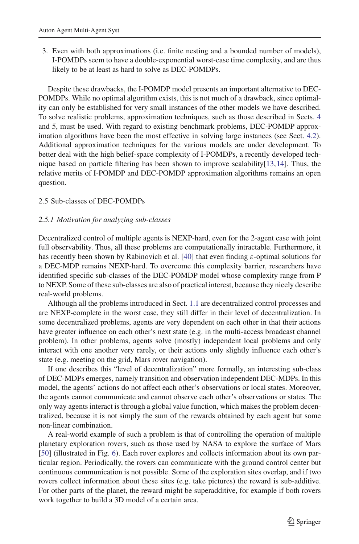3. Even with both approximations (i.e. finite nesting and a bounded number of models), I-POMDPs seem to have a double-exponential worst-case time complexity, and are thus likely to be at least as hard to solve as DEC-POMDPs.

Despite these drawbacks, the I-POMDP model presents an important alternative to DEC-POMDPs. While no optimal algorithm exists, this is not much of a drawback, since optimality can only be established for very small instances of the other models we have described. To solve realistic problems, approximation techniques, such as those described in Sects. [4](#page-39-0) and 5, must be used. With regard to existing benchmark problems, DEC-POMDP approximation algorithms have been the most effective in solving large instances (see Sect. [4.2\)](#page-41-0). Additional approximation techniques for the various models are under development. To better deal with the high belief-space complexity of I-POMDPs, a recently developed technique based on particle filtering has been shown to improve scalability[\[13,](#page-59-16)[14](#page-59-17)]. Thus, the relative merits of I-POMDP and DEC-POMDP approximation algorithms remains an open question.

#### <span id="page-24-1"></span><span id="page-24-0"></span>2.5 Sub-classes of DEC-POMDPs

#### *2.5.1 Motivation for analyzing sub-classes*

Decentralized control of multiple agents is NEXP-hard, even for the 2-agent case with joint full observability. Thus, all these problems are computationally intractable. Furthermore, it has recently been shown by Rabinovich et al. [\[40](#page-60-7)] that even finding *ε*-optimal solutions for a DEC-MDP remains NEXP-hard. To overcome this complexity barrier, researchers have identified specific sub-classes of the DEC-POMDP model whose complexity range from P to NEXP. Some of these sub-classes are also of practical interest, because they nicely describe real-world problems.

Although all the problems introduced in Sect. [1.1](#page-1-0) are decentralized control processes and are NEXP-complete in the worst case, they still differ in their level of decentralization. In some decentralized problems, agents are very dependent on each other in that their actions have greater influence on each other's next state (e.g. in the multi-access broadcast channel problem). In other problems, agents solve (mostly) independent local problems and only interact with one another very rarely, or their actions only slightly influence each other's state (e.g. meeting on the grid, Mars rover navigation).

If one describes this "level of decentralization" more formally, an interesting sub-class of DEC-MDPs emerges, namely transition and observation independent DEC-MDPs. In this model, the agents' actions do not affect each other's observations or local states. Moreover, the agents cannot communicate and cannot observe each other's observations or states. The only way agents interact is through a global value function, which makes the problem decentralized, because it is not simply the sum of the rewards obtained by each agent but some non-linear combination.

A real-world example of such a problem is that of controlling the operation of multiple planetary exploration rovers, such as those used by NASA to explore the surface of Mars [\[50\]](#page-60-8) (illustrated in Fig. [6\)](#page-25-1). Each rover explores and collects information about its own particular region. Periodically, the rovers can communicate with the ground control center but continuous communication is not possible. Some of the exploration sites overlap, and if two rovers collect information about these sites (e.g. take pictures) the reward is sub-additive. For other parts of the planet, the reward might be superadditive, for example if both rovers work together to build a 3D model of a certain area.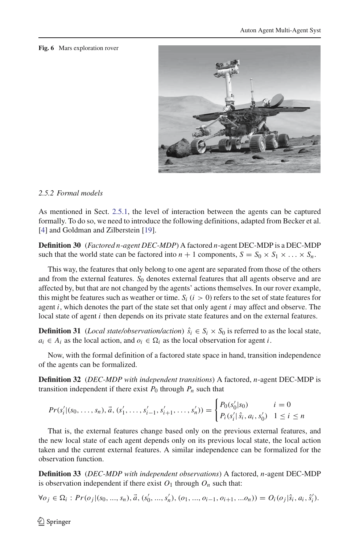#### <span id="page-25-1"></span>**Fig. 6** Mars exploration rover



### <span id="page-25-0"></span>*2.5.2 Formal models*

As mentioned in Sect. [2.5.1,](#page-24-1) the level of interaction between the agents can be captured formally. To do so, we need to introduce the following definitions, adapted from Becker et al. [\[4](#page-58-4)] and Goldman and Zilberstein [\[19](#page-59-9)].

**Definition 30** (*Factored n-agent DEC-MDP*) A factored *n*-agent DEC-MDP is a DEC-MDP such that the world state can be factored into  $n + 1$  components,  $S = S_0 \times S_1 \times \ldots \times S_n$ .

This way, the features that only belong to one agent are separated from those of the others and from the external features. S<sub>0</sub> denotes external features that all agents observe and are affected by, but that are not changed by the agents' actions themselves. In our rover example, this might be features such as weather or time.  $S_i$  ( $i > 0$ ) refers to the set of state features for agent *i*, which denotes the part of the state set that only agent *i* may affect and observe. The local state of agent *i* then depends on its private state features and on the external features.

**Definition 31** (*Local state/observation/action*)  $\hat{s}_i \in S_i \times S_0$  is referred to as the local state,  $a_i \in A_i$  as the local action, and  $o_i \in \Omega_i$  as the local observation for agent *i*.

Now, with the formal definition of a factored state space in hand, transition independence of the agents can be formalized.

**Definition 32** (*DEC-MDP with independent transitions*) A factored, *n*-agent DEC-MDP is transition independent if there exist  $P_0$  through  $P_n$  such that

$$
Pr(s'_{i}|(s_{0},\ldots,s_{n}),\vec{a}, (s'_{1},\ldots,s'_{i-1},s'_{i+1},\ldots,s'_{n})) = \begin{cases} P_{0}(s'_{0}|s_{0}) & i=0\\ P_{i}(s'_{i}| \hat{s}_{i}, a_{i}, s'_{0}) & 1 \leq i \leq n \end{cases}
$$

That is, the external features change based only on the previous external features, and the new local state of each agent depends only on its previous local state, the local action taken and the current external features. A similar independence can be formalized for the observation function.

**Definition 33** (*DEC-MDP with independent observations*) A factored, *n*-agent DEC-MDP is observation independent if there exist  $O_1$  through  $O_n$  such that:

 $∀o_j ∈ Ω_i : Pr(o_j | (s_0, ..., s_n), \vec{a}, (s'_0, ..., s'_n), (o_1, ..., o_{i-1}, o_{i+1}, ..., o_n)) = O_i(o_j | \hat{s}_i, a_i, \hat{s}'_i)$ *i).*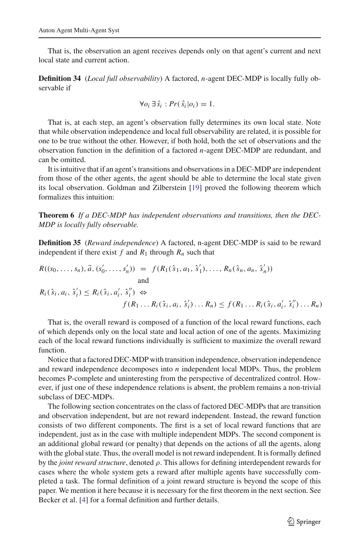That is, the observation an agent receives depends only on that agent's current and next local state and current action.

**Definition 34** (*Local full observability*) A factored, *n*-agent DEC-MDP is locally fully observable if

$$
\forall o_i \exists \hat{s}_i : Pr(\hat{s}_i | o_i) = 1.
$$

That is, at each step, an agent's observation fully determines its own local state. Note that while observation independence and local full observability are related, it is possible for one to be true without the other. However, if both hold, both the set of observations and the observation function in the definition of a factored *n*-agent DEC-MDP are redundant, and can be omitted.

It is intuitive that if an agent's transitions and observations in a DEC-MDP are independent from those of the other agents, the agent should be able to determine the local state given its local observation. Goldman and Zilberstein [\[19](#page-59-9)] proved the following theorem which formalizes this intuition:

**Theorem 6** *If a DEC-MDP has independent observations and transitions, then the DEC-MDP is locally fully observable.*

**Definition 35** (*Reward independence*) A factored, n-agent DEC-MDP is said to be reward independent if there exist  $f$  and  $R_1$  through  $R_n$  such that

$$
R((s_0, ..., s_n), \vec{a}, (s'_0, ..., s'_n)) = f(R_1(\hat{s}_1, a_1, \hat{s}'_1), ..., R_n(\hat{s}_n, a_n, \hat{s}'_n))
$$
  
and  

$$
R_i(\hat{s}_i, a_i, \hat{s}'_i) \le R_i(\hat{s}_i, a'_i, \hat{s}''_i) \Leftrightarrow
$$
  

$$
f(R_1 ... R_i(\hat{s}_i, a_i, \hat{s}'_i) ... R_n) \le f(R_1 ... R_i(\hat{s}_i, a'_i, \hat{s}''_i) ... R_n)
$$

That is, the overall reward is composed of a function of the local reward functions, each of which depends only on the local state and local action of one of the agents. Maximizing each of the local reward functions individually is sufficient to maximize the overall reward function.

Notice that a factored DEC-MDP with transition independence, observation independence and reward independence decomposes into *n* independent local MDPs. Thus, the problem becomes P-complete and uninteresting from the perspective of decentralized control. However, if just one of these independence relations is absent, the problem remains a non-trivial subclass of DEC-MDPs.

The following section concentrates on the class of factored DEC-MDPs that are transition and observation independent, but are not reward independent. Instead, the reward function consists of two different components. The first is a set of local reward functions that are independent, just as in the case with multiple independent MDPs. The second component is an additional global reward (or penalty) that depends on the actions of all the agents, along with the global state. Thus, the overall model is not reward independent. It is formally defined by the *joint reward structure*, denoted *ρ*. This allows for defining interdependent rewards for cases where the whole system gets a reward after multiple agents have successfully completed a task. The formal definition of a joint reward structure is beyond the scope of this paper. We mention it here because it is necessary for the first theorem in the next section. See Becker et al. [\[4\]](#page-58-4) for a formal definition and further details.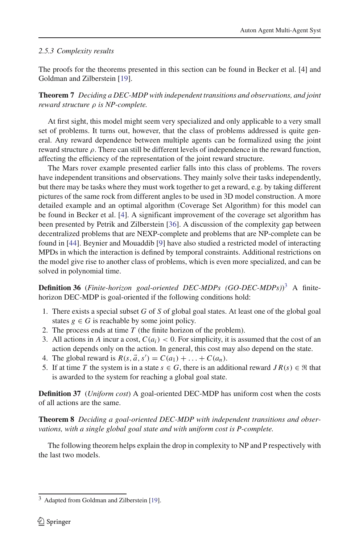## *2.5.3 Complexity results*

The proofs for the theorems presented in this section can be found in Becker et al. [4] and Goldman and Zilberstein [\[19\]](#page-59-9).

**Theorem 7** *Deciding a DEC-MDP with independent transitions and observations, and joint reward structure ρ is NP-complete.*

At first sight, this model might seem very specialized and only applicable to a very small set of problems. It turns out, however, that the class of problems addressed is quite general. Any reward dependence between multiple agents can be formalized using the joint reward structure *ρ*. There can still be different levels of independence in the reward function, affecting the efficiency of the representation of the joint reward structure.

The Mars rover example presented earlier falls into this class of problems. The rovers have independent transitions and observations. They mainly solve their tasks independently, but there may be tasks where they must work together to get a reward, e.g. by taking different pictures of the same rock from different angles to be used in 3D model construction. A more detailed example and an optimal algorithm (Coverage Set Algorithm) for this model can be found in Becker et al. [\[4\]](#page-58-4). A significant improvement of the coverage set algorithm has been presented by Petrik and Zilberstein [\[36](#page-60-9)]. A discussion of the complexity gap between decentralized problems that are NEXP-complete and problems that are NP-complete can be found in [\[44](#page-60-10)]. Beynier and Mouaddib [\[9](#page-59-18)] have also studied a restricted model of interacting MPDs in which the interaction is defined by temporal constraints. Additional restrictions on the model give rise to another class of problems, which is even more specialized, and can be solved in polynomial time.

**Definition 36** (*Finite-horizon goal-oriented DEC-MDPs (GO-DEC-MDPs)*) [3](#page-27-0) A finitehorizon DEC-MDP is goal-oriented if the following conditions hold:

- 1. There exists a special subset *G* of *S* of global goal states. At least one of the global goal states  $g \in G$  is reachable by some joint policy.
- 2. The process ends at time *T* (the finite horizon of the problem).
- 3. All actions in *A* incur a cost,  $C(a_i) < 0$ . For simplicity, it is assumed that the cost of an action depends only on the action. In general, this cost may also depend on the state.
- 4. The global reward is  $R(s, \vec{a}, s') = C(a_1) + \ldots + C(a_n)$ .<br>5. If at time T the system is in a state  $s \in G$  there is an add
- 5. If at time *T* the system is in a state  $s \in G$ , there is an additional reward  $JR(s) \in \mathcal{R}$  that is awarded to the system for reaching a global goal state.

**Definition 37** (*Uniform cost*) A goal-oriented DEC-MDP has uniform cost when the costs of all actions are the same.

**Theorem 8** *Deciding a goal-oriented DEC-MDP with independent transitions and observations, with a single global goal state and with uniform cost is P-complete.*

The following theorem helps explain the drop in complexity to NP and P respectively with the last two models.

<span id="page-27-0"></span><sup>3</sup> Adapted from Goldman and Zilberstein [\[19\]](#page-59-9).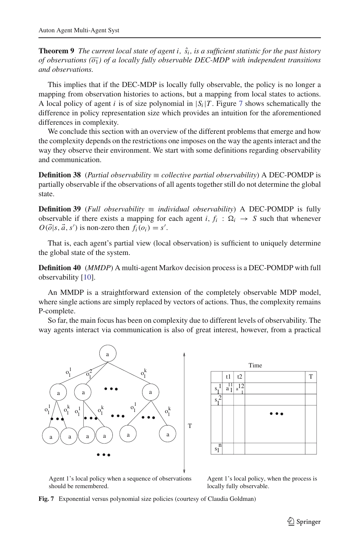**Theorem 9** *The current local state of agent i,*  $\hat{s}_i$ *, is a sufficient statistic for the past history of observations*  $(\overline{o_1})$  *of a locally fully observable DEC-MDP with independent transitions and observations.*

This implies that if the DEC-MDP is locally fully observable, the policy is no longer a mapping from observation histories to actions, but a mapping from local states to actions. A local policy of agent *i* is of size polynomial in  $|S_i|T$ . Figure [7](#page-28-0) shows schematically the difference in policy representation size which provides an intuition for the aforementioned differences in complexity.

We conclude this section with an overview of the different problems that emerge and how the complexity depends on the restrictions one imposes on the way the agents interact and the way they observe their environment. We start with some definitions regarding observability and communication.

**Definition 38** (*Partial observability*  $\equiv$  *collective partial observability*) A DEC-POMDP is partially observable if the observations of all agents together still do not determine the global state.

**Definition 39** (*Full observability*  $\equiv$  *individual observability*) A DEC-POMDP is fully observable if there exists a mapping for each agent *i*,  $f_i : \Omega_i \to S$  such that whenever  $O(\vec{o}|s, \vec{a}, s')$  is non-zero then  $f_i(o_i) = s'.$ 

That is, each agent's partial view (local observation) is sufficient to uniquely determine the global state of the system.

**Definition 40** (*MMDP*) A multi-agent Markov decision process is a DEC-POMDP with full observability [\[10\]](#page-59-19).

An MMDP is a straightforward extension of the completely observable MDP model, where single actions are simply replaced by vectors of actions. Thus, the complexity remains P-complete.

So far, the main focus has been on complexity due to different levels of observability. The way agents interact via communication is also of great interest, however, from a practical





Agent 1's local policy when a sequence of observations should be remembered.

Agent 1's local policy, when the process is locally fully observable.

<span id="page-28-0"></span>**Fig. 7** Exponential versus polynomial size policies (courtesy of Claudia Goldman)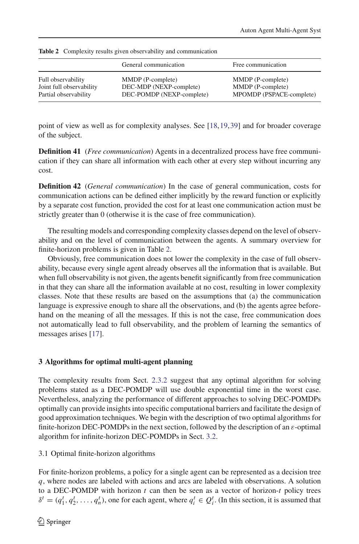<span id="page-29-1"></span>

|                          | General communication     | Free communication       |  |
|--------------------------|---------------------------|--------------------------|--|
| Full observability       | MMDP (P-complete)         | MMDP (P-complete)        |  |
| Joint full observability | DEC-MDP (NEXP-complete)   | MMDP (P-complete)        |  |
| Partial observability    | DEC-POMDP (NEXP-complete) | MPOMDP (PSPACE-complete) |  |

**Table 2** Complexity results given observability and communication

point of view as well as for complexity analyses. See [\[18](#page-59-10)[,19,](#page-59-9)[39](#page-60-3)] and for broader coverage of the subject.

**Definition 41** (*Free communication*) Agents in a decentralized process have free communication if they can share all information with each other at every step without incurring any cost.

**Definition 42** (*General communication*) In the case of general communication, costs for communication actions can be defined either implicitly by the reward function or explicitly by a separate cost function, provided the cost for at least one communication action must be strictly greater than 0 (otherwise it is the case of free communication).

The resulting models and corresponding complexity classes depend on the level of observability and on the level of communication between the agents. A summary overview for finite-horizon problems is given in Table [2.](#page-29-1)

Obviously, free communication does not lower the complexity in the case of full observability, because every single agent already observes all the information that is available. But when full observability is not given, the agents benefit significantly from free communication in that they can share all the information available at no cost, resulting in lower complexity classes. Note that these results are based on the assumptions that (a) the communication language is expressive enough to share all the observations, and (b) the agents agree beforehand on the meaning of all the messages. If this is not the case, free communication does not automatically lead to full observability, and the problem of learning the semantics of messages arises [\[17\]](#page-59-20).

### <span id="page-29-0"></span>**3 Algorithms for optimal multi-agent planning**

The complexity results from Sect. [2.3.2](#page-15-0) suggest that any optimal algorithm for solving problems stated as a DEC-POMDP will use double exponential time in the worst case. Nevertheless, analyzing the performance of different approaches to solving DEC-POMDPs optimally can provide insights into specific computational barriers and facilitate the design of good approximation techniques. We begin with the description of two optimal algorithms for finite-horizon DEC-POMDPs in the next section, followed by the description of an *ε*-optimal algorithm for infinite-horizon DEC-POMDPs in Sect. [3.2.](#page-36-0)

3.1 Optimal finite-horizon algorithms

For finite-horizon problems, a policy for a single agent can be represented as a decision tree *q*, where nodes are labeled with actions and arcs are labeled with observations. A solution to a DEC-POMDP with horizon *t* can then be seen as a vector of horizon-*t* policy trees  $\delta^t = (q_1^t, q_2^t, \dots, q_n^t)$ , one for each agent, where  $q_i^t \in Q_i^t$ . (In this section, it is assumed that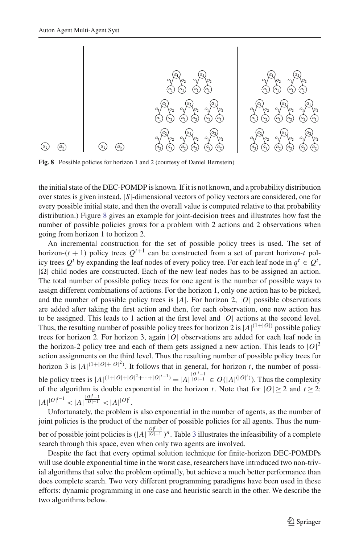

<span id="page-30-0"></span>**Fig. 8** Possible policies for horizon 1 and 2 (courtesy of Daniel Bernstein)

the initial state of the DEC-POMDP is known. If it is not known, and a probability distribution over states is given instead, <sup>|</sup>*S*|-dimensional vectors of policy vectors are considered, one for every possible initial state, and then the overall value is computed relative to that probability distribution.) Figure [8](#page-30-0) gives an example for joint-decision trees and illustrates how fast the number of possible policies grows for a problem with 2 actions and 2 observations when going from horizon 1 to horizon 2.

An incremental construction for the set of possible policy trees is used. The set of horizon- $(t + 1)$  policy trees  $Q^{t+1}$  can be constructed from a set of parent horizon-t policy trees  $Q^t$  by expanding the leaf nodes of every policy tree. For each leaf node in  $q^t \in Q^t$ ,  $|Q|$  child nodes are constructed. Each of the new leaf nodes has to be assigned an action  $|\Omega|$  child nodes are constructed. Each of the new leaf nodes has to be assigned an action. The total number of possible policy trees for one agent is the number of possible ways to assign different combinations of actions. For the horizon 1, only one action has to be picked, and the number of possible policy trees is <sup>|</sup>*A*|. For horizon 2, <sup>|</sup>*O*<sup>|</sup> possible observations are added after taking the first action and then, for each observation, one new action has to be assigned. This leads to 1 action at the first level and <sup>|</sup>*O*<sup>|</sup> actions at the second level. Thus, the resulting number of possible policy trees for horizon 2 is  $|A|^{(1+|O|)}$  possible policy trees for horizon 2. For horizon 3, again  $|O|$  observations are added for each leaf node in trees for horizon 2. For horizon 3, again <sup>|</sup>*O*<sup>|</sup> observations are added for each leaf node in the horizon-2 policy tree and each of them gets assigned a new action. This leads to  $|O|^2$ <br>action assignments on the third level. Thus the resulting number of possible policy trees for action assignments on the third level. Thus the resulting number of possible policy trees for horizon 3 is  $|A|^{(1+|O|+|O|^2)}$ . It follows that in general, for horizon *t*, the number of possible policy trees is  $|A|^{(1+|O|+|O|^2+\cdots+|O|^{t-1})} = |A| \frac{|O|^{t-1}}{|O|-1} \in O(|A|^{(|O|^t)})$ . Thus the complexity of the algorithm is double exponential in the horizon t. Note that for  $|O| > 2$  and  $t > 2$ . of the algorithm is double exponential in the horizon *t*. Note that for  $|O| \ge 2$  and  $t \ge 2$ :  $|A|^{|O|^{t-1}} < |A|^{|\frac{|O|^{t}-1}{|O|-1}} < |A|^{|O|^{t}}$ .<br>
Infortunately the problem

Unfortunately, the problem is also exponential in the number of agents, as the number of joint policies is the product of the number of possible policies for all agents. Thus the number of possible joint policies is  $(|A|^{|\partial|-1})^n$ . Table [3](#page-31-0) illustrates the infeasibility of a complete search through this space, even when only two agents are involved search through this space, even when only two agents are involved.

Despite the fact that every optimal solution technique for finite-horizon DEC-POMDPs will use double exponential time in the worst case, researchers have introduced two non-trivial algorithms that solve the problem optimally, but achieve a much better performance than does complete search. Two very different programming paradigms have been used in these efforts: dynamic programming in one case and heuristic search in the other. We describe the two algorithms below.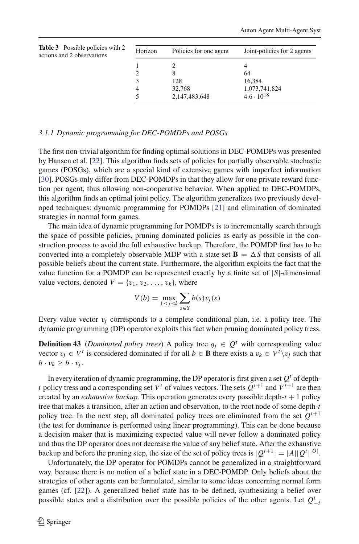<span id="page-31-0"></span>

| <b>Table 3</b> Possible policies with 2<br>actions and 2 observations | Horizon | Policies for one agent | Joint-policies for 2 agents |  |
|-----------------------------------------------------------------------|---------|------------------------|-----------------------------|--|
|                                                                       |         |                        | 4                           |  |
|                                                                       |         |                        | 64                          |  |
|                                                                       | 3       | 128                    | 16.384                      |  |
|                                                                       | 4       | 32,768                 | 1,073,741,824               |  |
|                                                                       | 5       | 2,147,483,648          | $4.6 \cdot 10^{18}$         |  |
|                                                                       |         |                        |                             |  |

### <span id="page-31-1"></span>*3.1.1 Dynamic programming for DEC-POMDPs and POSGs*

The first non-trivial algorithm for finding optimal solutions in DEC-POMDPs was presented by Hansen et al. [\[22](#page-59-21)]. This algorithm finds sets of policies for partially observable stochastic games (POSGs), which are a special kind of extensive games with imperfect information [\[30\]](#page-59-22). POSGs only differ from DEC-POMDPs in that they allow for one private reward function per agent, thus allowing non-cooperative behavior. When applied to DEC-POMDPs, this algorithm finds an optimal joint policy. The algorithm generalizes two previously developed techniques: dynamic programming for POMDPs [\[21](#page-59-0)] and elimination of dominated strategies in normal form games.

The main idea of dynamic programming for POMDPs is to incrementally search through the space of possible policies, pruning dominated policies as early as possible in the construction process to avoid the full exhaustive backup. Therefore, the POMDP first has to be converted into a completely observable MDP with a state set  $\mathbf{B} = \Delta S$  that consists of all possible beliefs about the current state. Furthermore, the algorithm exploits the fact that the possible beliefs about the current state. Furthermore, the algorithm exploits the fact that the value function for a POMDP can be represented exactly by a finite set of <sup>|</sup>*S*|-dimensional value vectors, denoted  $V = \{v_1, v_2, \dots, v_k\}$ , where

$$
V(b) = \max_{1 \le j \le k} \sum_{s \in S} b(s)v_j(s)
$$

Every value vector  $v_i$  corresponds to a complete conditional plan, i.e. a policy tree. The dynamic programming (DP) operator exploits this fact when pruning dominated policy tress.

**Definition 43** (*Dominated policy trees*) A policy tree  $q_i \in Q^t$  with corresponding value vector  $v_j \in V^t$  is considered dominated if for all  $b \in \mathbf{B}$  there exists a  $v_k \in V^t \setminus v_j$  such that  $h, w_i \geq h, w_i$  $b \cdot v_k \geq b \cdot v_j$ .

In every iteration of dynamic programming, the DP operator is first given a set  $Q<sup>t</sup>$  of depth*t* policy tress and a corresponding set  $V^t$  of values vectors. The sets  $Q^{t+1}$  and  $V^{t+1}$  are then created by an *exhaustive backup*. This operation generates every possible depth-*t* <sup>+</sup> 1 policy tree that makes a transition, after an action and observation, to the root node of some depth-*t* policy tree. In the next step, all dominated policy trees are eliminated from the set  $Q^{t+1}$ (the test for dominance is performed using linear programming). This can be done because a decision maker that is maximizing expected value will never follow a dominated policy and thus the DP operator does not decrease the value of any belief state. After the exhaustive backup and before the pruning step, the size of the set of policy trees is  $|Q^{t+1}| = |A||Q^{t}|^{|\mathcal{O}|}$ .<br>
Infortunately, the DP operator for POMDPs cannot be generalized in a straightforward

Unfortunately, the DP operator for POMDPs cannot be generalized in a straightforward way, because there is no notion of a belief state in a DEC-POMDP. Only beliefs about the strategies of other agents can be formulated, similar to some ideas concerning normal form games (cf. [\[22\]](#page-59-21)). A generalized belief state has to be defined, synthesizing a belief over possible states and a distribution over the possible policies of the other agents. Let  $Q^t_{-i}$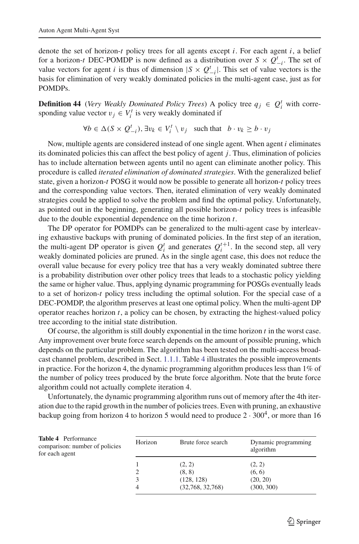denote the set of horizon-*t* policy trees for all agents except *i*. For each agent *i*, a belief for a horizon-*t* DEC-POMDP is now defined as a distribution over  $S \times Q^t$ . The set of  $\frac{r}{-i}$ . The set of vectors is the value vectors for agent *i* is thus of dimension  $|S \times Q^t_{-i}|$ . This set of value vectors is the basis for elimination of very weakly dominated policies in the multi-agent case, just as for basis for elimination of very weakly dominated policies in the multi-agent case, just as for POMDPs.

**Definition 44** (*Very Weakly Dominated Policy Trees*) A policy tree  $q_j \in Q_i^t$  with corre-sponding value vector  $v_i \in V_i^t$  is very weakly dominated if sponding value vector  $v_j \in V_i^t$  is very weakly dominated if

$$
\forall b \in \Delta(S \times Q_{-i}^t), \exists v_k \in V_i^t \setminus v_j \text{ such that } b \cdot v_k \ge b \cdot v_j
$$

Now, multiple agents are considered instead of one single agent. When agent *i* eliminates its dominated policies this can affect the best policy of agent *j*. Thus, elimination of policies has to include alternation between agents until no agent can eliminate another policy. This procedure is called *iterated elimination of dominated strategies*. With the generalized belief state, given a horizon-*t* POSG it would now be possible to generate all horizon-*t* policy trees and the corresponding value vectors. Then, iterated elimination of very weakly dominated strategies could be applied to solve the problem and find the optimal policy. Unfortunately, as pointed out in the beginning, generating all possible horizon-*t* policy trees is infeasible due to the double exponential dependence on the time horizon *t*.

The DP operator for POMDPs can be generalized to the multi-agent case by interleaving exhaustive backups with pruning of dominated policies. In the first step of an iteration, the multi-agent DP operator is given  $Q_t^t$  and generates  $Q_t^{t+1}$ . In the second step, all very weakly dominated policies are pruned. As in the single agent case, this does not reduce the weakly dominated policies are pruned. As in the single agent case, this does not reduce the overall value because for every policy tree that has a very weakly dominated subtree there is a probability distribution over other policy trees that leads to a stochastic policy yielding the same or higher value. Thus, applying dynamic programming for POSGs eventually leads to a set of horizon-*t* policy tress including the optimal solution. For the special case of a DEC-POMDP, the algorithm preserves at least one optimal policy. When the multi-agent DP operator reaches horizon *t*, a policy can be chosen, by extracting the highest-valued policy tree according to the initial state distribution.

Of course, the algorithm is still doubly exponential in the time horizon *t* in the worst case. Any improvement over brute force search depends on the amount of possible pruning, which depends on the particular problem. The algorithm has been tested on the multi-access broadcast channel problem, described in Sect. [1.1.1.](#page-1-1) Table [4](#page-32-0) illustrates the possible improvements in practice. For the horizon 4, the dynamic programming algorithm produces less than 1% of the number of policy trees produced by the brute force algorithm. Note that the brute force algorithm could not actually complete iteration 4.

Unfortunately, the dynamic programming algorithm runs out of memory after the 4th iteration due to the rapid growth in the number of policies trees. Even with pruning, an exhaustive backup going from horizon 4 to horizon 5 would need to produce  $2 \cdot 300^4$ , or more than 16

<span id="page-32-0"></span>

| <b>Table 4</b> Performance<br>comparison: number of policies<br>for each agent | Horizon<br>Brute force search |                  | Dynamic programming<br>algorithm |  |
|--------------------------------------------------------------------------------|-------------------------------|------------------|----------------------------------|--|
|                                                                                |                               | (2, 2)           | (2, 2)                           |  |
|                                                                                |                               | (8, 8)           | (6, 6)                           |  |
|                                                                                |                               | (128, 128)       | (20, 20)                         |  |
|                                                                                | 4                             | (32,768, 32,768) | (300, 300)                       |  |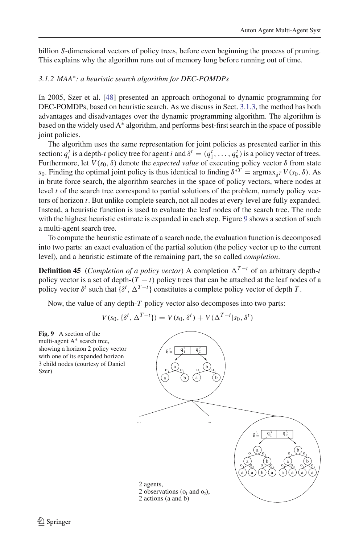billion *S*-dimensional vectors of policy trees, before even beginning the process of pruning. This explains why the algorithm runs out of memory long before running out of time.

#### <span id="page-33-1"></span>*3.1.2 MAA*∗*: a heuristic search algorithm for DEC-POMDPs*

In 2005, Szer et al. [\[48](#page-60-11)] presented an approach orthogonal to dynamic programming for DEC-POMDPs, based on heuristic search. As we discuss in Sect. [3.1.3,](#page-35-0) the method has both advantages and disadvantages over the dynamic programming algorithm. The algorithm is based on the widely used A<sup>∗</sup> algorithm, and performs best-first search in the space of possible joint policies.

The algorithm uses the same representation for joint policies as presented earlier in this section:  $q_i^t$  is a depth-*t* policy tree for agent *i* and  $\delta^t = (q_1^t, \ldots, q_n^t)$  is a policy vector of trees.<br>Furthermore, let  $V(s_0, \delta)$  denote the *expected value* of executing policy vector  $\delta$  from state Furthermore, let  $V(s_0, \delta)$  denote the *expected value* of executing policy vector  $\delta$  from state<br>so Finding the optimal joint policy is thus identical to finding  $\delta^{*T}$  = argmax<sub>e</sub>  $V(s_0, \delta)$ . As *s*<sub>0</sub>. Finding the optimal joint policy is thus identical to finding  $δ*T = \argmax_{δT} V(s_0, δ)$ . As in brute force search, the algorithm searches in the space of policy vectors, where nodes at level *t* of the search tree correspond to partial solutions of the problem, namely policy vectors of horizon *t*. But unlike complete search, not all nodes at every level are fully expanded. Instead, a heuristic function is used to evaluate the leaf nodes of the search tree. The node with the highest heuristic estimate is expanded in each step. Figure [9](#page-33-0) shows a section of such a multi-agent search tree.

To compute the heuristic estimate of a search node, the evaluation function is decomposed into two parts: an exact evaluation of the partial solution (the policy vector up to the current level), and a heuristic estimate of the remaining part, the so called *completion*.

**Definition 45** (*Completion of a policy vector*) A completion  $\Delta^{T-t}$  of an arbitrary depth-*t* policy vector is a set of depth- $(T-t)$  policy trees that can be attached at the leaf podes of a policy vector is a set of depth- $(T - t)$  policy trees that can be attached at the leaf nodes of a policy vector  $\delta^t$  such that  $\{\delta^t, \Delta^{T-t}\}$  constitutes a complete policy vector of depth *T*. *, -*

Now, the value of any depth-*T* policy vector also decomposes into two parts:

$$
V(s_0, \{\delta^t, \Delta^{T-t}\}) = V(s_0, \delta^t) + V(\Delta^{T-t}|s_0, \delta^t)
$$

<span id="page-33-0"></span>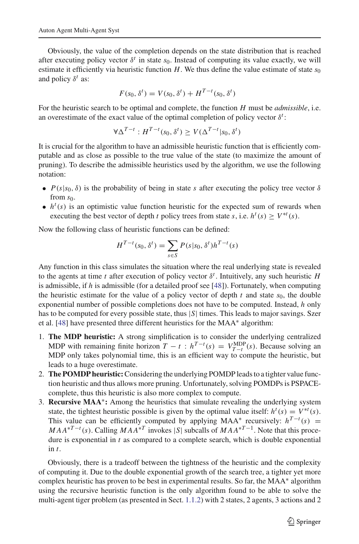Obviously, the value of the completion depends on the state distribution that is reached after executing policy vector  $\delta^t$  in state  $s_0$ . Instead of computing its value exactly, we will estimate it efficiently via heuristic function  $H$ . We thus define the value estimate of state  $s_0$ and policy  $\delta^t$  as:

$$
F(s_0, \delta^t) = V(s_0, \delta^t) + H^{T-t}(s_0, \delta^t)
$$

For the heuristic search to be optimal and complete, the function *H* must be *admissible*, i.e. an overestimate of the exact value of the optimal completion of policy vector  $\delta^t$ :

$$
\forall \Delta^{T-t} : H^{T-t}(s_0, \delta^t) \ge V(\Delta^{T-t}|s_0, \delta^t)
$$

It is crucial for the algorithm to have an admissible heuristic function that is efficiently computable and as close as possible to the true value of the state (to maximize the amount of pruning). To describe the admissible heuristics used by the algorithm, we use the following notation:

- $P(s|s_0, \delta)$  is the probability of being in state *s* after executing the policy tree vector  $\delta$ from *<sup>s</sup>*0.
- $h^t(s)$  is an optimistic value function heuristic for the expected sum of rewards when executing the hest vector of denth t policy trees from state s i.e.  $h^t(s) \ge V^{*t}(s)$ executing the best vector of depth *t* policy trees from state *s*, i.e.  $h^t(s) \ge V^{*t}(s)$ .

Now the following class of heuristic functions can be defined:

$$
H^{T-t}(s_0, \delta^t) = \sum_{s \in S} P(s|s_0, \delta^t) h^{T-t}(s)
$$

Any function in this class simulates the situation where the real underlying state is revealed to the agents at time *t* after execution of policy vector  $\delta^t$ . Intuitively, any such heuristic *H* is admissible *if h* is admissible (for a detailed proof see [481). Fortunately, when computing is admissible, if *h* is admissible (for a detailed proof see [\[48\]](#page-60-11)). Fortunately, when computing the heuristic estimate for the value of a policy vector of depth  $t$  and state  $s<sub>0</sub>$ , the double exponential number of possible completions does not have to be computed. Instead, *h* only has to be computed for every possible state, thus <sup>|</sup>*S*<sup>|</sup> times. This leads to major savings. Szer et al. [\[48\]](#page-60-11) have presented three different heuristics for the MAA<sup>∗</sup> algorithm:

- 1. **The MDP heuristic:** A strong simplification is to consider the underlying centralized MDP with remaining finite horizon  $T - t$ :  $h^{T-t}(s) = V_{T-t}^{\text{MDP}}(s)$ . Because solving an MDP only takes nolynomial time, this is an efficient way to compute the heuristic, but MDP only takes polynomial time, this is an efficient way to compute the heuristic, but leads to a huge overestimate.
- 2. **The POMDP heuristic:**Considering the underlying POMDP leads to a tighter value function heuristic and thus allows more pruning. Unfortunately, solving POMDPs is PSPACEcomplete, thus this heuristic is also more complex to compute.
- 3. **Recursive MAA**∗**:** Among the heuristics that simulate revealing the underlying system state, the tightest heuristic possible is given by the optimal value itself:  $h^t(s) = V^{*t}(s)$ .<br>This value can be efficiently computed by applying  $M \Delta \Delta^*$  recursively:  $h^{T-t}(s)$ state, the tightest heuristic possible is given by the optimal value itself:  $h^t(s) = V^{*t}(s)$ . This value can be efficiently computed by applying MAA<sup>∗</sup> recursively:  $h^{T-t}(s) = M A A^{*T-t}(s)$ . Calling  $M A A^{*T}$  invokes | SI subcalls of  $M A A^{*T-1}$ . Note that this proce- $MAA^{*T-t}(s)$ . Calling  $MAA^{*T}$  invokes |*S*| subcalls of  $MAA^{*T-1}$ . Note that this proce-<br>dure is exponential in t as compared to a complete search, which is double exponential dure is exponential in *t* as compared to a complete search, which is double exponential in *t*.

Obviously, there is a tradeoff between the tightness of the heuristic and the complexity of computing it. Due to the double exponential growth of the search tree, a tighter yet more complex heuristic has proven to be best in experimental results. So far, the MAA<sup>∗</sup> algorithm using the recursive heuristic function is the only algorithm found to be able to solve the multi-agent tiger problem (as presented in Sect. [1.1.2\)](#page-2-1) with 2 states, 2 agents, 3 actions and 2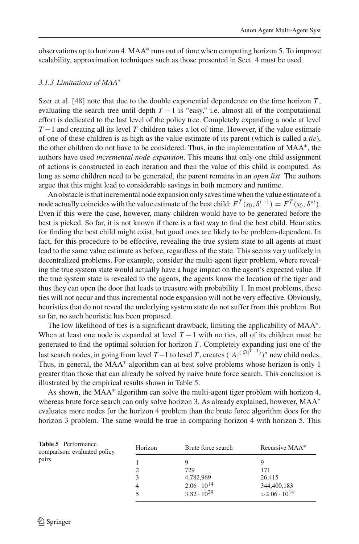observations up to horizon 4. MAA<sup>∗</sup> runs out of time when computing horizon 5. To improve scalability, approximation techniques such as those presented in Sect. [4](#page-39-0) must be used.

#### <span id="page-35-0"></span>*3.1.3 Limitations of MAA*<sup>∗</sup>

Szer et al. [\[48\]](#page-60-11) note that due to the double exponential dependence on the time horizon *T* , evaluating the search tree until depth  $T-1$  is "easy," i.e. almost all of the computational effort is dedicated to the last level of the policy tree. Completely expanding a node at level *T* −1 and creating all its level *T* children takes a lot of time. However, if the value estimate of one of these children is as high as the value estimate of its parent (which is called a *tie*), the other children do not have to be considered. Thus, in the implementation of MAA∗, the authors have used *incremental node expansion*. This means that only one child assignment of actions is constructed in each iteration and then the value of this child is computed. As long as some children need to be generated, the parent remains in an *open list*. The authors argue that this might lead to considerable savings in both memory and runtime.

An obstacle is that incremental node expansion only saves time when the value estimate of a node actually coincides with the value estimate of the best child:  $F^T(s_0, \delta^{t-1}) = F^T(s_0, \delta^{*t})$ .<br>Even if this were the case, however, many children would have to be generated before the Even if this were the case, however, many children would have to be generated before the best is picked. So far, it is not known if there is a fast way to find the best child. Heuristics for finding the best child might exist, but good ones are likely to be problem-dependent. In fact, for this procedure to be effective, revealing the true system state to all agents at must lead to the same value estimate as before, regardless of the state. This seems very unlikely in decentralized problems. For example, consider the multi-agent tiger problem, where revealing the true system state would actually have a huge impact on the agent's expected value. If the true system state is revealed to the agents, the agents know the location of the tiger and thus they can open the door that leads to treasure with probability 1. In most problems, these ties will not occur and thus incremental node expansion will not be very effective. Obviously, heuristics that do not reveal the underlying system state do not suffer from this problem. But so far, no such heuristic has been proposed.

The low likelihood of ties is a significant drawback, limiting the applicability of MAA<sup>∗</sup>. When at least one node is expanded at level  $T-1$  with no ties, all of its children must be generated to find the optimal solution for horizon *T* . Completely expanding just one of the last search nodes, in going from level *T* −1 to level *T*, creates  $(|A|^{(|\Omega|^{T-1})})^n$  new child nodes.<br>Thus in general, the MAA<sup>\*</sup> algorithm can at best solve problems whose horizon is only 1 Thus, in general, the MAA<sup>∗</sup> algorithm can at best solve problems whose horizon is only 1 greater than those that can already be solved by naive brute force search. This conclusion is illustrated by the empirical results shown in Table [5.](#page-35-1)

As shown, the MAA<sup>∗</sup> algorithm can solve the multi-agent tiger problem with horizon 4, whereas brute force search can only solve horizon 3. As already explained, however, MAA<sup>\*</sup> evaluates more nodes for the horizon 4 problem than the brute force algorithm does for the horizon 3 problem. The same would be true in comparing horizon 4 with horizon 5. This

<span id="page-35-1"></span>

| <b>Table 5</b> Performance<br>comparison: evaluated policy | Horizon | Brute force search   | Recursive MAA*        |
|------------------------------------------------------------|---------|----------------------|-----------------------|
| pairs                                                      |         |                      |                       |
|                                                            |         | 729                  | 171                   |
|                                                            |         | 4,782,969            | 26,415                |
|                                                            | 4       | $2.06 \cdot 10^{14}$ | 344,400,183           |
|                                                            |         | $3.82 \cdot 10^{29}$ | $>2.06 \cdot 10^{14}$ |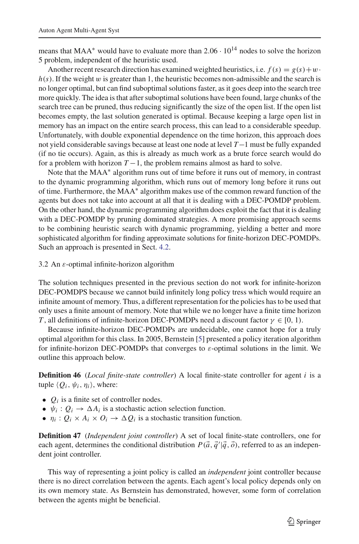means that MAA<sup> $*$ </sup> would have to evaluate more than  $2.06 \cdot 10^{14}$  nodes to solve the horizon 5 problem, independent of the heuristic used.

Another recent research direction has examined weighted heuristics, i.e.  $f(s) = g(s) + w$ ·  $h(s)$ . If the weight *w* is greater than 1, the heuristic becomes non-admissible and the search is no longer optimal, but can find suboptimal solutions faster, as it goes deep into the search tree more quickly. The idea is that after suboptimal solutions have been found, large chunks of the search tree can be pruned, thus reducing significantly the size of the open list. If the open list becomes empty, the last solution generated is optimal. Because keeping a large open list in memory has an impact on the entire search process, this can lead to a considerable speedup. Unfortunately, with double exponential dependence on the time horizon, this approach does not yield considerable savings because at least one node at level *T*−1 must be fully expanded (if no tie occurs). Again, as this is already as much work as a brute force search would do for a problem with horizon  $T-1$ , the problem remains almost as hard to solve.

Note that the MAA<sup>∗</sup> algorithm runs out of time before it runs out of memory, in contrast to the dynamic programming algorithm, which runs out of memory long before it runs out of time. Furthermore, the MAA<sup>∗</sup> algorithm makes use of the common reward function of the agents but does not take into account at all that it is dealing with a DEC-POMDP problem. On the other hand, the dynamic programming algorithm does exploit the fact that it is dealing with a DEC-POMDP by pruning dominated strategies. A more promising approach seems to be combining heuristic search with dynamic programming, yielding a better and more sophisticated algorithm for finding approximate solutions for finite-horizon DEC-POMDPs. Such an approach is presented in Sect. [4.2.](#page-41-0)

<span id="page-36-0"></span>3.2 An *ε*-optimal infinite-horizon algorithm

The solution techniques presented in the previous section do not work for infinite-horizon DEC-POMDPS because we cannot build infinitely long policy tress which would require an infinite amount of memory. Thus, a different representation for the policies has to be used that only uses a finite amount of memory. Note that while we no longer have a finite time horizon *T* , all definitions of infinite-horizon DEC-POMDPs need a discount factor *γ* ∈ [0*,* <sup>1</sup>*)*.

Because infinite-horizon DEC-POMDPs are undecidable, one cannot hope for a truly optimal algorithm for this class. In 2005, Bernstein [\[5\]](#page-58-2) presented a policy iteration algorithm for infinite-horizon DEC-POMDPs that converges to *ε*-optimal solutions in the limit. We outline this approach below.

**Definition 46** (*Local finite-state controller*) A local finite-state controller for agent *i* is a tuple  $\langle Q_i, \psi_i, \eta_i \rangle$ , where:

- $Q_i$  is a finite set of controller nodes.
- $\psi_i: Q_i \to \Delta A_i$  is a stochastic action selection function.
- $\eta_i$  :  $Q_i \times A_i \times O_i \rightarrow \Delta Q_i$  is a stochastic transition function.

**Definition 47** (*Independent joint controller*) A set of local finite-state controllers, one for each agent, determines the conditional distribution  $P(\vec{a}, \vec{q}' | \vec{q}, \vec{o})$ , referred to as an independent joint controller dent joint controller.

This way of representing a joint policy is called an *independent* joint controller because there is no direct correlation between the agents. Each agent's local policy depends only on its own memory state. As Bernstein has demonstrated, however, some form of correlation between the agents might be beneficial.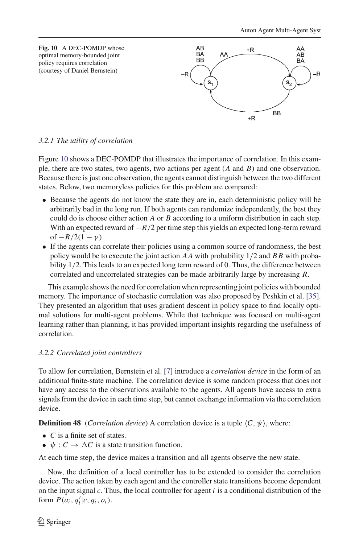<span id="page-37-0"></span>

### <span id="page-37-1"></span>*3.2.1 The utility of correlation*

Figure [10](#page-37-0) shows a DEC-POMDP that illustrates the importance of correlation. In this example, there are two states, two agents, two actions per agent (*A* and *B*) and one observation. Because there is just one observation, the agents cannot distinguish between the two different states. Below, two memoryless policies for this problem are compared:

- Because the agents do not know the state they are in, each deterministic policy will be arbitrarily bad in the long run. If both agents can randomize independently, the best they could do is choose either action *A* or *B* according to a uniform distribution in each step. With an expected reward of  $-R/2$  per time step this yields an expected long-term reward of  $-R/2(1 - \gamma)$ .
- If the agents can correlate their policies using a common source of randomness, the best policy would be to execute the joint action *AA* with probability 1*/*2 and *BB* with probability 1*/*2. This leads to an expected long term reward of 0. Thus, the difference between correlated and uncorrelated strategies can be made arbitrarily large by increasing *R*.

This example shows the need for correlation when representing joint policies with bounded memory. The importance of stochastic correlation was also proposed by Peshkin et al. [\[35\]](#page-60-12). They presented an algorithm that uses gradient descent in policy space to find locally optimal solutions for multi-agent problems. While that technique was focused on multi-agent learning rather than planning, it has provided important insights regarding the usefulness of correlation.

## *3.2.2 Correlated joint controllers*

To allow for correlation, Bernstein et al. [\[7\]](#page-58-5) introduce a *correlation device* in the form of an additional finite-state machine. The correlation device is some random process that does not have any access to the observations available to the agents. All agents have access to extra signals from the device in each time step, but cannot exchange information via the correlation device.

**Definition 48** (*Correlation device*) A correlation device is a tuple  $\langle C, \psi \rangle$ , where:

- *C* is a finite set of states.
- $\psi : C \to \Delta C$  is a state transition function.

At each time step, the device makes a transition and all agents observe the new state.

Now, the definition of a local controller has to be extended to consider the correlation device. The action taken by each agent and the controller state transitions become dependent on the input signal *c*. Thus, the local controller for agent *i* is a conditional distribution of the form  $P(a_i, q'_i | c, q_i, o_i)$ .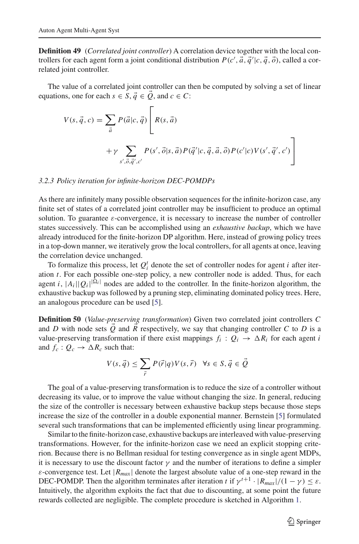**Definition 49** (*Correlated joint controller*) A correlation device together with the local controllers for each agent form a joint conditional distribution  $P(c', \vec{a}, \vec{q}' | c, \vec{q}, \vec{o})$ , called a cor-<br>related ioint controller related joint controller.

The value of a correlated joint controller can then be computed by solving a set of linear equations, one for each  $s \in S$ ,  $\vec{q} \in \vec{Q}$ , and  $c \in \vec{C}$ :

$$
V(s, \vec{q}, c) = \sum_{\vec{a}} P(\vec{a}|c, \vec{q}) \left[ R(s, \vec{a}) + \gamma \sum_{s', \vec{o}, \vec{q}', c'} P(s', \vec{o}|s, \vec{a}) P(\vec{q}'|c, \vec{q}, \vec{a}, \vec{o}) P(c'|c) V(s', \vec{q}', c') \right]
$$

#### *3.2.3 Policy iteration for infinite-horizon DEC-POMDPs*

As there are infinitely many possible observation sequences for the infinite-horizon case, any finite set of states of a correlated joint controller may be insufficient to produce an optimal solution. To guarantee *ε*-convergence, it is necessary to increase the number of controller states successively. This can be accomplished using an *exhaustive backup*, which we have already introduced for the finite-horizon DP algorithm. Here, instead of growing policy trees in a top-down manner, we iteratively grow the local controllers, for all agents at once, leaving the correlation device unchanged.

To formalize this process, let  $Q_i^t$  denote the set of controller nodes for agent *i* after iter-<br>on *t*. For each possible one-step policy, a new controller node is added. Thus, for each ation *t*. For each possible one-step policy, a new controller node is added. Thus, for each agent  $i \pm 4 \pm 10 \pm 1$  nodes are added to the controller. In the finite-horizon algorithm, the agent *i*,  $|A_i||Q_i||^{\Omega_i}$  nodes are added to the controller. In the finite-horizon algorithm, the exhaustive backup was followed by a pruning step eliminating dominated policy trees. Here exhaustive backup was followed by a pruning step, eliminating dominated policy trees. Here, an analogous procedure can be used [\[5\]](#page-58-2).

**Definition 50** (*Value-preserving transformation*) Given two correlated joint controllers *C* and *D* with node sets  $\vec{Q}$  and  $\vec{R}$  respectively, we say that changing controller *C* to *D* is a value-preserving transformation if there exist mappings  $f_i : Q_i \to \Delta R_i$  for each agent *i* and  $f : Q \to \Delta R$  such that: and  $f_c: Q_c \to \Delta R_c$  such that:

$$
V(s, \vec{q}) \le \sum_{\vec{r}} P(\vec{r}|q) V(s, \vec{r}) \quad \forall s \in S, \vec{q} \in \vec{Q}
$$

The goal of a value-preserving transformation is to reduce the size of a controller without decreasing its value, or to improve the value without changing the size. In general, reducing the size of the controller is necessary between exhaustive backup steps because those steps increase the size of the controller in a double exponential manner. Bernstein [\[5\]](#page-58-2) formulated several such transformations that can be implemented efficiently using linear programming.

Similar to the finite-horizon case, exhaustive backups are interleaved with value-preserving transformations. However, for the infinite-horizon case we need an explicit stopping criterion. Because there is no Bellman residual for testing convergence as in single agent MDPs, it is necessary to use the discount factor  $\gamma$  and the number of iterations to define a simpler *<sup>ε</sup>*-convergence test. Let <sup>|</sup>*Rmax*<sup>|</sup> denote the largest absolute value of a one-step reward in the DEC-POMDP. Then the algorithm terminates after iteration *t* if  $\gamma^{t+1} \cdot |R_{max}|/(1 - \gamma) \leq \varepsilon$ . Intuitively, the algorithm exploits the fact that due to discounting, at some point the future rewards collected are negligible. The complete procedure is sketched in Algorithm [1.](#page-39-1)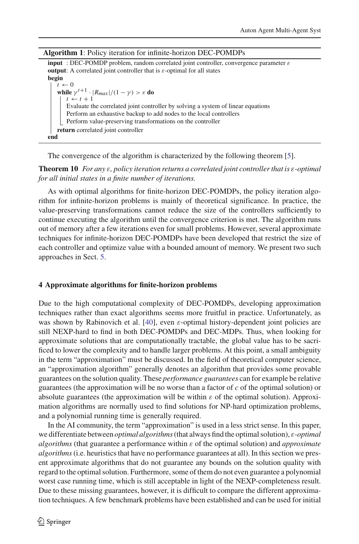#### <span id="page-39-1"></span>**Algorithm 1**: Policy iteration for infinite-horizon DEC-POMDPs

**input** : DEC-POMDP problem, random correlated joint controller, convergence parameter *ε* **output**: A correlated joint controller that is *ε*-optimal for all states **begin**<br> $t \leftarrow 0$ *t* <sup>←</sup> <sup>0</sup> **while** *<sup>γ</sup> <sup>t</sup>*+<sup>1</sup> · |*Rmax*|*/(*<sup>1</sup> <sup>−</sup> *γ)> ε* **do**  $t \leftarrow t + 1$ Evaluate the correlated joint controller by solving a system of linear equations Perform an exhaustive backup to add nodes to the local controllers Perform value-preserving transformations on the controller **return** correlated joint controller **end**

The convergence of the algorithm is characterized by the following theorem [\[5](#page-58-2)].

**Theorem 10** *For any ε, policy iteration returns a correlated joint controller that is ε-optimal for all initial states in a finite number of iterations.*

As with optimal algorithms for finite-horizon DEC-POMDPs, the policy iteration algorithm for infinite-horizon problems is mainly of theoretical significance. In practice, the value-preserving transformations cannot reduce the size of the controllers sufficiently to continue executing the algorithm until the convergence criterion is met. The algorithm runs out of memory after a few iterations even for small problems. However, several approximate techniques for infinite-horizon DEC-POMDPs have been developed that restrict the size of each controller and optimize value with a bounded amount of memory. We present two such approaches in Sect. [5.](#page-44-0)

#### <span id="page-39-0"></span>**4 Approximate algorithms for finite-horizon problems**

Due to the high computational complexity of DEC-POMDPs, developing approximation techniques rather than exact algorithms seems more fruitful in practice. Unfortunately, as was shown by Rabinovich et al. [\[40](#page-60-7)], even *ε*-optimal history-dependent joint policies are still NEXP-hard to find in both DEC-POMDPs and DEC-MDPs. Thus, when looking for approximate solutions that are computationally tractable, the global value has to be sacrificed to lower the complexity and to handle larger problems. At this point, a small ambiguity in the term "approximation" must be discussed. In the field of theoretical computer science, an "approximation algorithm" generally denotes an algorithm that provides some provable guarantees on the solution quality. These *performance guarantees* can for example be relative guarantees (the approximation will be no worse than a factor of *c* of the optimal solution) or absolute guarantees (the approximation will be within  $\varepsilon$  of the optimal solution). Approximation algorithms are normally used to find solutions for NP-hard optimization problems, and a polynomial running time is generally required.

In the AI community, the term "approximation" is used in a less strict sense. In this paper, we differentiate between *optimal algorithms*(that always find the optimal solution), *ε-optimal algorithms* (that guarantee a performance within *ε* of the optimal solution) and *approximate algorithms*(i.e. heuristics that have no performance guarantees at all). In this section we present approximate algorithms that do not guarantee any bounds on the solution quality with regard to the optimal solution. Furthermore, some of them do not even guarantee a polynomial worst case running time, which is still acceptable in light of the NEXP-completeness result. Due to these missing guarantees, however, it is difficult to compare the different approximation techniques. A few benchmark problems have been established and can be used for initial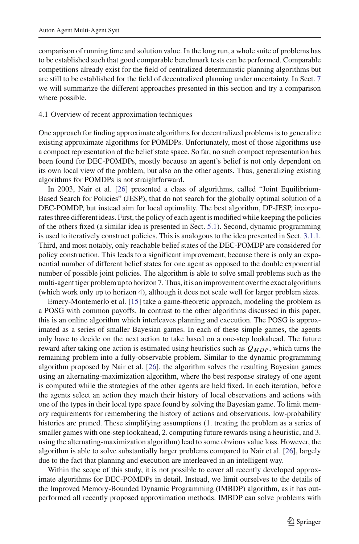comparison of running time and solution value. In the long run, a whole suite of problems has to be established such that good comparable benchmark tests can be performed. Comparable competitions already exist for the field of centralized deterministic planning algorithms but are still to be established for the field of decentralized planning under uncertainty. In Sect. [7](#page-54-0) we will summarize the different approaches presented in this section and try a comparison where possible.

#### 4.1 Overview of recent approximation techniques

One approach for finding approximate algorithms for decentralized problems is to generalize existing approximate algorithms for POMDPs. Unfortunately, most of those algorithms use a compact representation of the belief state space. So far, no such compact representation has been found for DEC-POMDPs, mostly because an agent's belief is not only dependent on its own local view of the problem, but also on the other agents. Thus, generalizing existing algorithms for POMDPs is not straightforward.

In 2003, Nair et al. [\[26\]](#page-59-5) presented a class of algorithms, called "Joint Equilibrium-Based Search for Policies" (JESP), that do not search for the globally optimal solution of a DEC-POMDP, but instead aim for local optimality. The best algorithm, DP-JESP, incorporates three different ideas. First, the policy of each agent is modified while keeping the policies of the others fixed (a similar idea is presented in Sect. [5.1\)](#page-44-1). Second, dynamic programming is used to iteratively construct policies. This is analogous to the idea presented in Sect. [3.1.1.](#page-31-1) Third, and most notably, only reachable belief states of the DEC-POMDP are considered for policy construction. This leads to a significant improvement, because there is only an exponential number of different belief states for one agent as opposed to the double exponential number of possible joint policies. The algorithm is able to solve small problems such as the multi-agent tiger problem up to horizon 7. Thus, it is an improvement over the exact algorithms (which work only up to horizon 4), although it does not scale well for larger problem sizes.

Emery-Montemerlo et al. [\[15\]](#page-59-23) take a game-theoretic approach, modeling the problem as a POSG with common payoffs. In contrast to the other algorithms discussed in this paper, this is an online algorithm which interleaves planning and execution. The POSG is approximated as a series of smaller Bayesian games. In each of these simple games, the agents only have to decide on the next action to take based on a one-step lookahead. The future reward after taking one action is estimated using heuristics such as *QMDP* , which turns the remaining problem into a fully-observable problem. Similar to the dynamic programming algorithm proposed by Nair et al. [\[26](#page-59-5)], the algorithm solves the resulting Bayesian games using an alternating-maximization algorithm, where the best response strategy of one agent is computed while the strategies of the other agents are held fixed. In each iteration, before the agents select an action they match their history of local observations and actions with one of the types in their local type space found by solving the Bayesian game. To limit memory requirements for remembering the history of actions and observations, low-probability histories are pruned. These simplifying assumptions (1. treating the problem as a series of smaller games with one-step lookahead, 2. computing future rewards using a heuristic, and 3. using the alternating-maximization algorithm) lead to some obvious value loss. However, the algorithm is able to solve substantially larger problems compared to Nair et al. [\[26](#page-59-5)], largely due to the fact that planning and execution are interleaved in an intelligent way.

Within the scope of this study, it is not possible to cover all recently developed approximate algorithms for DEC-POMDPs in detail. Instead, we limit ourselves to the details of the Improved Memory-Bounded Dynamic Programming (IMBDP) algorithm, as it has outperformed all recently proposed approximation methods. IMBDP can solve problems with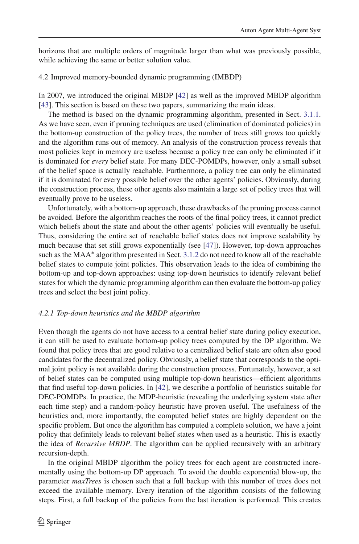horizons that are multiple orders of magnitude larger than what was previously possible, while achieving the same or better solution value.

#### <span id="page-41-0"></span>4.2 Improved memory-bounded dynamic programming (IMBDP)

In 2007, we introduced the original MBDP [\[42](#page-60-13)] as well as the improved MBDP algorithm [\[43\]](#page-60-14). This section is based on these two papers, summarizing the main ideas.

The method is based on the dynamic programming algorithm, presented in Sect. [3.1.1.](#page-31-1) As we have seen, even if pruning techniques are used (elimination of dominated policies) in the bottom-up construction of the policy trees, the number of trees still grows too quickly and the algorithm runs out of memory. An analysis of the construction process reveals that most policies kept in memory are useless because a policy tree can only be eliminated if it is dominated for *every* belief state. For many DEC-POMDPs, however, only a small subset of the belief space is actually reachable. Furthermore, a policy tree can only be eliminated if it is dominated for every possible belief over the other agents' policies. Obviously, during the construction process, these other agents also maintain a large set of policy trees that will eventually prove to be useless.

Unfortunately, with a bottom-up approach, these drawbacks of the pruning process cannot be avoided. Before the algorithm reaches the roots of the final policy trees, it cannot predict which beliefs about the state and about the other agents' policies will eventually be useful. Thus, considering the entire set of reachable belief states does not improve scalability by much because that set still grows exponentially (see [\[47](#page-60-15)]). However, top-down approaches such as the MAA<sup>\*</sup> algorithm presented in Sect. [3.1.2](#page-33-1) do not need to know all of the reachable belief states to compute joint policies. This observation leads to the idea of combining the bottom-up and top-down approaches: using top-down heuristics to identify relevant belief states for which the dynamic programming algorithm can then evaluate the bottom-up policy trees and select the best joint policy.

### *4.2.1 Top-down heuristics and the MBDP algorithm*

Even though the agents do not have access to a central belief state during policy execution, it can still be used to evaluate bottom-up policy trees computed by the DP algorithm. We found that policy trees that are good relative to a centralized belief state are often also good candidates for the decentralized policy. Obviously, a belief state that corresponds to the optimal joint policy is not available during the construction process. Fortunately, however, a set of belief states can be computed using multiple top-down heuristics—efficient algorithms that find useful top-down policies. In [\[42\]](#page-60-13), we describe a portfolio of heuristics suitable for DEC-POMDPs. In practice, the MDP-heuristic (revealing the underlying system state after each time step) and a random-policy heuristic have proven useful. The usefulness of the heuristics and, more importantly, the computed belief states are highly dependent on the specific problem. But once the algorithm has computed a complete solution, we have a joint policy that definitely leads to relevant belief states when used as a heuristic. This is exactly the idea of *Recursive MBDP*. The algorithm can be applied recursively with an arbitrary recursion-depth.

In the original MBDP algorithm the policy trees for each agent are constructed incrementally using the bottom-up DP approach. To avoid the double exponential blow-up, the parameter *maxTrees* is chosen such that a full backup with this number of trees does not exceed the available memory. Every iteration of the algorithm consists of the following steps. First, a full backup of the policies from the last iteration is performed. This creates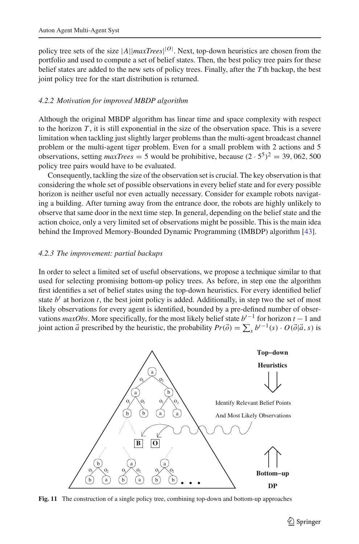policy tree sets of the size  $|A||maxTrees|^{[O]}$ . Next, top-down heuristics are chosen from the portfolio and used to compute a set of belief states. Then, the best policy tree pairs for these portfolio and used to compute a set of belief states. Then, the best policy tree pairs for these belief states are added to the new sets of policy trees. Finally, after the *T* th backup, the best joint policy tree for the start distribution is returned.

#### *4.2.2 Motivation for improved MBDP algorithm*

Although the original MBDP algorithm has linear time and space complexity with respect to the horizon  $T$ , it is still exponential in the size of the observation space. This is a severe limitation when tackling just slightly larger problems than the multi-agent broadcast channel problem or the multi-agent tiger problem. Even for a small problem with 2 actions and 5 observations, setting  $maxTrees = 5$  would be prohibitive, because  $(2 \cdot 5^5)^2 = 39,062,500$ policy tree pairs would have to be evaluated.

Consequently, tackling the size of the observation set is crucial. The key observation is that considering the whole set of possible observations in every belief state and for every possible horizon is neither useful nor even actually necessary. Consider for example robots navigating a building. After turning away from the entrance door, the robots are highly unlikely to observe that same door in the next time step. In general, depending on the belief state and the action choice, only a very limited set of observations might be possible. This is the main idea behind the Improved Memory-Bounded Dynamic Programming (IMBDP) algorithm [\[43](#page-60-14)].

#### *4.2.3 The improvement: partial backups*

In order to select a limited set of useful observations, we propose a technique similar to that used for selecting promising bottom-up policy trees. As before, in step one the algorithm first identifies a set of belief states using the top-down heuristics. For every identified belief state  $b<sup>t</sup>$  at horizon *t*, the best joint policy is added. Additionally, in step two the set of most likely observations for every agent is identified, bounded by a pre-defined number of observations  $maxObs$ . More specifically, for the most likely belief state  $b^{t-1}$  for horizon  $t-1$  and joint action  $\vec{a}$  prescribed by the heuristic, the probability  $Pr(\vec{o}) = \sum_{s} b^{t-1}(s) \cdot O(\vec{o}|\vec{a}, s)$  is



<span id="page-42-0"></span>**Fig. 11** The construction of a single policy tree, combining top-down and bottom-up approaches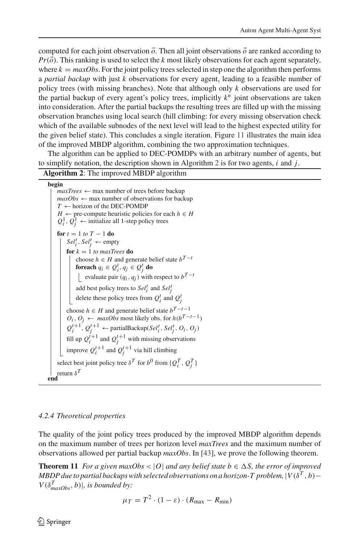computed for each joint observation  $\vec{o}$ . Then all joint observations  $\vec{o}$  are ranked according to  $Pr(\vec{o})$ . This ranking is used to select the *k* most likely observations for each agent separately, where  $k = maxObs$ . For the joint policy trees selected in step one the algorithm then performs <sup>a</sup> *partial backup* with just *k* observations for every agent, leading to a feasible number of policy trees (with missing branches). Note that although only *k* observations are used for the partial backup of every agent's policy trees, implicitly *<sup>k</sup><sup>n</sup>* joint observations are taken into consideration. After the partial backups the resulting trees are filled up with the missing observation branches using local search (hill climbing: for every missing observation check which of the available subnodes of the next level will lead to the highest expected utility for the given belief state). This concludes a single iteration. Figure [11](#page-42-0) illustrates the main idea of the improved MBDP algorithm, combining the two approximation techniques.

The algorithm can be applied to DEC-POMDPs with an arbitrary number of agents, but to simplify notation, the description shown in Algorithm [2](#page-43-0) is for two agents, *i* and *j* .

## <span id="page-43-0"></span>**Algorithm 2**: The improved MBDP algorithm

#### **begin**

| begin                                                                                                                                             |
|---------------------------------------------------------------------------------------------------------------------------------------------------|
| $maxTrees \leftarrow max$ number of trees before backup                                                                                           |
| $maxObs \leftarrow max$ number of observations for backup                                                                                         |
| $T \leftarrow$ horizon of the DEC-POMDP                                                                                                           |
| $H \leftarrow$ pre-compute heuristic policies for each $h \in H$                                                                                  |
| $Q_i^1, Q_i^1 \leftarrow$ initialize all 1-step policy trees                                                                                      |
|                                                                                                                                                   |
| for $t = 1$ to $T - 1$ do                                                                                                                         |
| $Sel_i^t$ , $Sel_i^t \leftarrow \text{empty}$                                                                                                     |
| for $k = 1$ to maxTrees do                                                                                                                        |
| choose $h \in H$ and generate belief state $b^{T-t}$                                                                                              |
| foreach $q_i \in Q_i^t$ , $q_j \in Q_i^t$ do                                                                                                      |
| $\lfloor$ evaluate pair $(q_i, q_j)$ with respect to $b^{T-t}$                                                                                    |
|                                                                                                                                                   |
| add best policy trees to $Sel_i^t$ and $Sel_i^t$                                                                                                  |
| delete these policy trees from $Q_i^t$ and $Q_i^t$                                                                                                |
| choose $h \in H$ and generate belief state $b^{T-t-1}$                                                                                            |
| $O_i$ , $O_j \leftarrow \text{maxObs}$ most likely obs. for $h(b^{T-t-1})$                                                                        |
|                                                                                                                                                   |
| $Q_i^{t+1}, Q_i^{t+1} \leftarrow$ partialBackup(Sel <sup>t</sup> <sub>i</sub> , Sel <sup>t</sup> <sub>i</sub> , O <sub>i</sub> , O <sub>j</sub> ) |
| fill up $Q_i^{t+1}$ and $Q_i^{t+1}$ with missing observations                                                                                     |
|                                                                                                                                                   |
| improve $Q_i^{t+1}$ and $Q_i^{t+1}$ via hill climbing                                                                                             |
| select best joint policy tree $\delta^T$ for $b^0$ from $\{Q_i^T, Q_i^T\}$                                                                        |
| return $\delta^T$                                                                                                                                 |
| end                                                                                                                                               |

#### *4.2.4 Theoretical properties*

The quality of the joint policy trees produced by the improved MBDP algorithm depends on the maximum number of trees per horizon level *maxTrees* and the maximum number of observations allowed per partial backup *maxObs*. In [\[43\]](#page-60-14), we prove the following theorem.

**Theorem 11** *For a given maxObs*  $\lt |O|$  *and any belief state*  $b \in \Delta S$ *, the error of improved*  $MRDP$  *due to partial backups with selected observations on a horizon-T problem*  $|V(\delta^T \; h) -$ *MBDP due to partial backups with selected observations on a horizon-T problem,*  $|V(\delta^T, b) V(\delta_{maxObs}^T, b)$ , *is bounded by:* 

$$
\mu_T = T^2 \cdot (1 - \varepsilon) \cdot (R_{\text{max}} - R_{\text{min}})
$$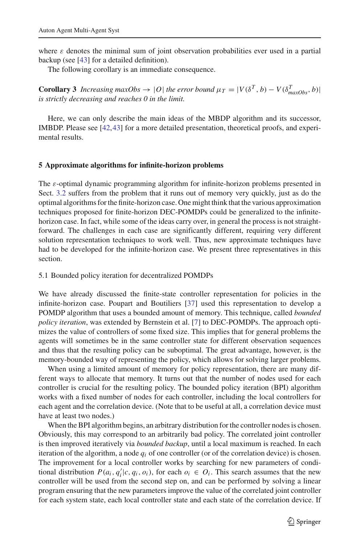where  $\varepsilon$  denotes the minimal sum of joint observation probabilities ever used in a partial backup (see [\[43](#page-60-14)] for a detailed definition).

The following corollary is an immediate consequence.

**Corollary 3** Increasing maxObs  $\rightarrow$  |O| the error bound  $\mu_T = |V(\delta^T, b) - V(\delta^T_{maxObs}, b)|$ <br>is strictly decreasing and reaches 0 in the limit *is strictly decreasing and reaches 0 in the limit.*

Here, we can only describe the main ideas of the MBDP algorithm and its successor, IMBDP. Please see [\[42](#page-60-13)[,43](#page-60-14)] for a more detailed presentation, theoretical proofs, and experimental results.

#### <span id="page-44-0"></span>**5 Approximate algorithms for infinite-horizon problems**

The *ε*-optimal dynamic programming algorithm for infinite-horizon problems presented in Sect. [3.2](#page-36-0) suffers from the problem that it runs out of memory very quickly, just as do the optimal algorithms for the finite-horizon case. One might think that the various approximation techniques proposed for finite-horizon DEC-POMDPs could be generalized to the infinitehorizon case. In fact, while some of the ideas carry over, in general the process is not straightforward. The challenges in each case are significantly different, requiring very different solution representation techniques to work well. Thus, new approximate techniques have had to be developed for the infinite-horizon case. We present three representatives in this section.

<span id="page-44-1"></span>5.1 Bounded policy iteration for decentralized POMDPs

We have already discussed the finite-state controller representation for policies in the infinite-horizon case. Poupart and Boutiliers [\[37\]](#page-60-16) used this representation to develop a POMDP algorithm that uses a bounded amount of memory. This technique, called *bounded policy iteration*, was extended by Bernstein et al. [\[7\]](#page-58-5) to DEC-POMDPs. The approach optimizes the value of controllers of some fixed size. This implies that for general problems the agents will sometimes be in the same controller state for different observation sequences and thus that the resulting policy can be suboptimal. The great advantage, however, is the memory-bounded way of representing the policy, which allows for solving larger problems.

When using a limited amount of memory for policy representation, there are many different ways to allocate that memory. It turns out that the number of nodes used for each controller is crucial for the resulting policy. The bounded policy iteration (BPI) algorithm works with a fixed number of nodes for each controller, including the local controllers for each agent and the correlation device. (Note that to be useful at all, a correlation device must have at least two nodes.)

When the BPI algorithm begins, an arbitrary distribution for the controller nodes is chosen. Obviously, this may correspond to an arbitrarily bad policy. The correlated joint controller is then improved iteratively via *bounded backup*, until a local maximum is reached. In each iteration of the algorithm, a node *qi* of one controller (or of the correlation device) is chosen. The improvement for a local controller works by searching for new parameters of conditional distribution  $P(a_i, q'_i|c, q_i, o_i)$ , for each  $o_i \in O_i$ . This search assumes that the new<br>controller will be used from the second step on and can be performed by solving a linear controller will be used from the second step on, and can be performed by solving a linear program ensuring that the new parameters improve the value of the correlated joint controller for each system state, each local controller state and each state of the correlation device. If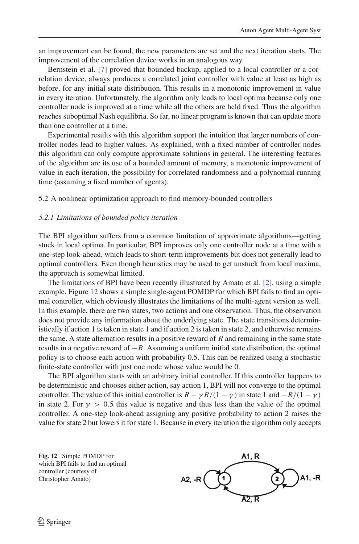an improvement can be found, the new parameters are set and the next iteration starts. The improvement of the correlation device works in an analogous way.

Bernstein et al. [\[7](#page-58-5)] proved that bounded backup, applied to a local controller or a correlation device, always produces a correlated joint controller with value at least as high as before, for any initial state distribution. This results in a monotonic improvement in value in every iteration. Unfortunately, the algorithm only leads to local optima because only one controller node is improved at a time while all the others are held fixed. Thus the algorithm reaches suboptimal Nash equilibria. So far, no linear program is known that can update more than one controller at a time.

Experimental results with this algorithm support the intuition that larger numbers of controller nodes lead to higher values. As explained, with a fixed number of controller nodes this algorithm can only compute approximate solutions in general. The interesting features of the algorithm are its use of a bounded amount of memory, a monotonic improvement of value in each iteration, the possibility for correlated randomness and a polynomial running time (assuming a fixed number of agents).

5.2 A nonlinear optimization approach to find memory-bounded controllers

#### *5.2.1 Limitations of bounded policy iteration*

The BPI algorithm suffers from a common limitation of approximate algorithms—getting stuck in local optima. In particular, BPI improves only one controller node at a time with a one-step look-ahead, which leads to short-term improvements but does not generally lead to optimal controllers. Even though heuristics may be used to get unstuck from local maxima, the approach is somewhat limited.

The limitations of BPI have been recently illustrated by Amato et al. [\[2\]](#page-58-6), using a simple example. Figure [12](#page-45-0) shows a simple single-agent POMDP for which BPI fails to find an optimal controller, which obviously illustrates the limitations of the multi-agent version as well. In this example, there are two states, two actions and one observation. Thus, the observation does not provide any information about the underlying state. The state transitions deterministically if action 1 is taken in state 1 and if action 2 is taken in state 2, and otherwise remains the same. A state alternation results in a positive reward of *R* and remaining in the same state results in a negative reward of <sup>−</sup>*R*. Assuming a uniform initial state distribution, the optimal policy is to choose each action with probability 0.5. This can be realized using a stochastic finite-state controller with just one node whose value would be 0.

The BPI algorithm starts with an arbitrary initial controller. If this controller happens to be deterministic and chooses either action, say action 1, BPI will not converge to the optimal controller. The value of this initial controller is  $R - \gamma R/(1 - \gamma)$  in state 1 and  $-R/(1 - \gamma)$ in state 2. For  $\gamma > 0.5$  this value is negative and thus less than the value of the optimal controller. A one-step look-ahead assigning any positive probability to action 2 raises the value for state 2 but lowers it for state 1. Because in every iteration the algorithm only accepts

<span id="page-45-0"></span>**Fig. 12** Simple POMDP for which BPI fails to find an optimal controller (courtesy of Christopher Amato)



 $\circledcirc$  Springer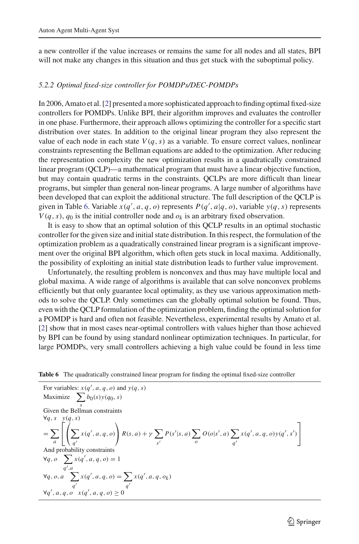a new controller if the value increases or remains the same for all nodes and all states, BPI will not make any changes in this situation and thus get stuck with the suboptimal policy.

#### *5.2.2 Optimal fixed-size controller for POMDPs/DEC-POMDPs*

In 2006, Amato et al. [\[2](#page-58-6)] presented a more sophisticated approach to finding optimal fixed-size controllers for POMDPs. Unlike BPI, their algorithm improves and evaluates the controller in one phase. Furthermore, their approach allows optimizing the controller for a specific start distribution over states. In addition to the original linear program they also represent the value of each node in each state  $V(q, s)$  as a variable. To ensure correct values, nonlinear constraints representing the Bellman equations are added to the optimization. After reducing the representation complexity the new optimization results in a quadratically constrained linear program (QCLP)—a mathematical program that must have a linear objective function, but may contain quadratic terms in the constraints. QCLPs are more difficult than linear programs, but simpler than general non-linear programs. A large number of algorithms have been developed that can exploit the additional structure. The full description of the QCLP is given in Table [6.](#page-46-0) Variable  $x(q', a, q, o)$  represents  $P(q', a|q, o)$ , variable  $y(q, s)$  represents  $V(a, s)$  and is the initial controller node and  $a_k$  is an arbitrary fixed observation  $V(q, s)$ ,  $q_0$  is the initial controller node and  $q_k$  is an arbitrary fixed observation.

It is easy to show that an optimal solution of this QCLP results in an optimal stochastic controller for the given size and initial state distribution. In this respect, the formulation of the optimization problem as a quadratically constrained linear program is a significant improvement over the original BPI algorithm, which often gets stuck in local maxima. Additionally, the possibility of exploiting an initial state distribution leads to further value improvement.

Unfortunately, the resulting problem is nonconvex and thus may have multiple local and global maxima. A wide range of algorithms is available that can solve nonconvex problems efficiently but that only guarantee local optimality, as they use various approximation methods to solve the QCLP. Only sometimes can the globally optimal solution be found. Thus, even with the QCLP formulation of the optimization problem, finding the optimal solution for a POMDP is hard and often not feasible. Nevertheless, experimental results by Amato et al. [\[2](#page-58-6)] show that in most cases near-optimal controllers with values higher than those achieved by BPI can be found by using standard nonlinear optimization techniques. In particular, for large POMDPs, very small controllers achieving a high value could be found in less time

<span id="page-46-0"></span>**Table 6** The quadratically constrained linear program for finding the optimal fixed-size controller

For variables: 
$$
x(q', a, q, o)
$$
 and  $y(q, s)$   
\nMaximize  $\sum_{s} b_0(s)y(q_0, s)$   
\nGiven the Bellman constraints  
\n $\forall q, s \quad y(q, s)$   
\n
$$
= \sum_{a} \left[ \left( \sum_{q'} x(q', a, q, o) \right) R(s, a) + \gamma \sum_{s'} P(s'|s, a) \sum_{o} O(o|s', a) \sum_{q'} x(q', a, q, o)y(q', s') \right]
$$
\nAnd probability constraints  
\n $\forall q, o \sum_{a'} x(q', a, q, o) = 1$   
\n $\forall q, o, a \sum_{q'} x(q', a, q, o) = \sum_{q'} x(q', a, q, o_k)$   
\n $\forall q', a, q, o \quad x(q', a, q, o) \ge 0$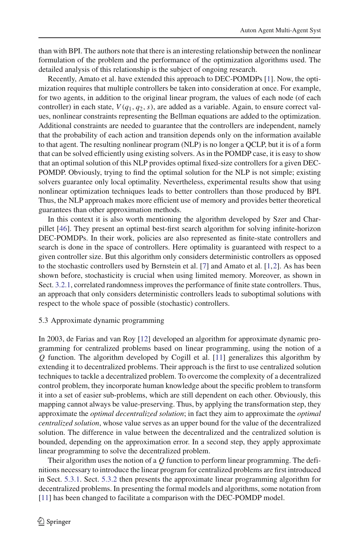than with BPI. The authors note that there is an interesting relationship between the nonlinear formulation of the problem and the performance of the optimization algorithms used. The detailed analysis of this relationship is the subject of ongoing research.

Recently, Amato et al. have extended this approach to DEC-POMDPs [\[1](#page-58-7)]. Now, the optimization requires that multiple controllers be taken into consideration at once. For example, for two agents, in addition to the original linear program, the values of each node (of each controller) in each state,  $V(q_1, q_2, s)$ , are added as a variable. Again, to ensure correct values, nonlinear constraints representing the Bellman equations are added to the optimization. Additional constraints are needed to guarantee that the controllers are independent, namely that the probability of each action and transition depends only on the information available to that agent. The resulting nonlinear program (NLP) is no longer a QCLP, but it is of a form that can be solved efficiently using existing solvers. As in the POMDP case, it is easy to show that an optimal solution of this NLP provides optimal fixed-size controllers for a given DEC-POMDP. Obviously, trying to find the optimal solution for the NLP is not simple; existing solvers guarantee only local optimality. Nevertheless, experimental results show that using nonlinear optimization techniques leads to better controllers than those produced by BPI. Thus, the NLP approach makes more efficient use of memory and provides better theoretical guarantees than other approximation methods.

In this context it is also worth mentioning the algorithm developed by Szer and Charpillet [\[46](#page-60-17)]. They present an optimal best-first search algorithm for solving infinite-horizon DEC-POMDPs. In their work, policies are also represented as finite-state controllers and search is done in the space of controllers. Here optimality is guaranteed with respect to a given controller size. But this algorithm only considers deterministic controllers as opposed to the stochastic controllers used by Bernstein et al. [\[7\]](#page-58-5) and Amato et al. [\[1](#page-58-7),[2](#page-58-6)]. As has been shown before, stochasticity is crucial when using limited memory. Moreover, as shown in Sect. [3.2.1,](#page-37-1) correlated randomness improves the performance of finite state controllers. Thus, an approach that only considers deterministic controllers leads to suboptimal solutions with respect to the whole space of possible (stochastic) controllers.

### <span id="page-47-0"></span>5.3 Approximate dynamic programming

In 2003, de Farias and van Roy [\[12](#page-59-24)] developed an algorithm for approximate dynamic programming for centralized problems based on linear programming, using the notion of a *Q* function. The algorithm developed by Cogill et al. [\[11](#page-59-2)] generalizes this algorithm by extending it to decentralized problems. Their approach is the first to use centralized solution techniques to tackle a decentralized problem. To overcome the complexity of a decentralized control problem, they incorporate human knowledge about the specific problem to transform it into a set of easier sub-problems, which are still dependent on each other. Obviously, this mapping cannot always be value-preserving. Thus, by applying the transformation step, they approximate the *optimal decentralized solution*; in fact they aim to approximate the *optimal centralized solution*, whose value serves as an upper bound for the value of the decentralized solution. The difference in value between the decentralized and the centralized solution is bounded, depending on the approximation error. In a second step, they apply approximate linear programming to solve the decentralized problem.

Their algorithm uses the notion of a *Q* function to perform linear programming. The definitions necessary to introduce the linear program for centralized problems are first introduced in Sect. [5.3.1.](#page-48-0) Sect. [5.3.2](#page-48-1) then presents the approximate linear programming algorithm for decentralized problems. In presenting the formal models and algorithms, some notation from [\[11\]](#page-59-2) has been changed to facilitate a comparison with the DEC-POMDP model.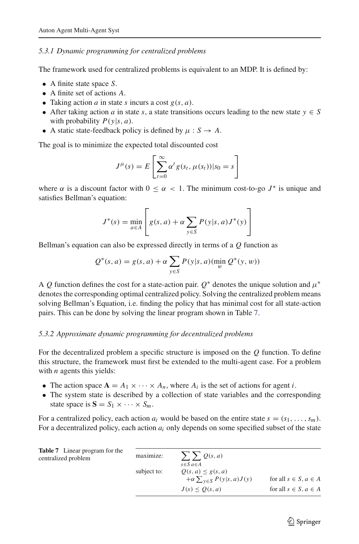#### <span id="page-48-0"></span>*5.3.1 Dynamic programming for centralized problems*

The framework used for centralized problems is equivalent to an MDP. It is defined by:

- A finite state space *S*.
- A finite set of actions *A*.
- Taking action *a* in state *s* incurs a cost *g(s, a)*.
- After taking action *a* in state *s*, a state transitions occurs leading to the new state  $y \in S$ with probability *P (y*|*s, a)*.
- A static state-feedback policy is defined by  $\mu : S \to A$ .

The goal is to minimize the expected total discounted cost

$$
J^{\mu}(s) = E\left[\sum_{t=0}^{\infty} \alpha^{t} g(s_t, \mu(s_t))|s_0 = s\right]
$$

where  $\alpha$  is a discount factor with  $0 \leq \alpha < 1$ . The minimum cost-to-go  $J^*$  is unique and satisfies Bellman's equation:

$$
J^*(s) = \min_{a \in A} \left[ g(s, a) + \alpha \sum_{y \in S} P(y|s, a) J^*(y) \right]
$$

Bellman's equation can also be expressed directly in terms of a *Q* function as

$$
Q^*(s, a) = g(s, a) + \alpha \sum_{y \in S} P(y|s, a) (\min_w Q^*(y, w))
$$

A *Q* function defines the cost for a state-action pair.  $Q^*$  denotes the unique solution and  $\mu^*$ denotes the corresponding optimal centralized policy. Solving the centralized problem means solving Bellman's Equation, i.e. finding the policy that has minimal cost for all state-action pairs. This can be done by solving the linear program shown in Table [7.](#page-48-2)

### <span id="page-48-1"></span>*5.3.2 Approximate dynamic programming for decentralized problems*

For the decentralized problem a specific structure is imposed on the *Q* function. To define this structure, the framework must first be extended to the multi-agent case. For a problem with *n* agents this yields:

- The action space  $A = A_1 \times \cdots \times A_n$ , where  $A_i$  is the set of actions for agent *i*.
- The system state is described by a collection of state variables and the corresponding state space is  $S = S_1 \times \cdots \times S_m$ .

For a centralized policy, each action  $a_i$  would be based on the entire state  $s = (s_1, \ldots, s_m)$ . For a decentralized policy, each action *ai* only depends on some specified subset of the state

<span id="page-48-2"></span>

| <b>Table 7</b> Linear program for the<br>centralized problem | maximize:   | $\sum Q(s, a)$<br>$s \in S$ $a \in A$                            |                               |
|--------------------------------------------------------------|-------------|------------------------------------------------------------------|-------------------------------|
|                                                              | subject to: | $Q(s, a) \leq g(s, a)$<br>$+\alpha \sum_{y \in S} P(y s, a)J(y)$ | for all $s \in S$ , $a \in A$ |
|                                                              |             | $J(s) \leq O(s,a)$                                               | for all $s \in S$ , $a \in A$ |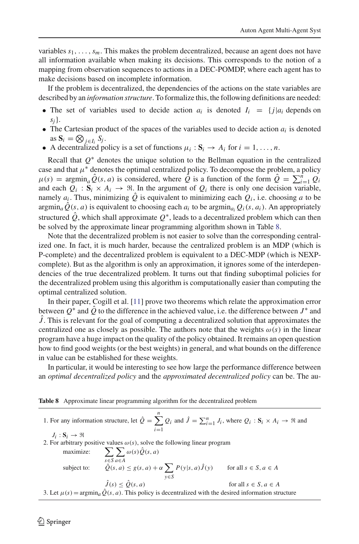variables  $s_1, \ldots, s_m$ . This makes the problem decentralized, because an agent does not have all information available when making its decisions. This corresponds to the notion of a mapping from observation sequences to actions in a DEC-POMDP, where each agent has to make decisions based on incomplete information.

If the problem is decentralized, the dependencies of the actions on the state variables are described by an *information structure*. To formalize this, the following definitions are needed:

- The set of variables used to decide action  $a_i$  is denoted  $I_i = \{j | a_i \}$  depends on *sj* }.
- The Cartesian product of the spaces of the variables used to decide action  $a_i$  is denoted as  $S_i = \bigotimes_{j \in I_i} S_j$ .<br>A decentralized no
- A decentralized policy is a set of functions  $\mu_i : \mathbf{S}_i \to A_i$  for  $i = 1, \ldots, n$ .

Recall that *Q*<sup>∗</sup> denotes the unique solution to the Bellman equation in the centralized case and that  $\mu^*$  denotes the optimal centralized policy. To decompose the problem, a policy  $\mu(s)$  = argmin<sub>a</sub>  $\hat{Q}(s, a)$  is considered, where  $\hat{Q}$  is a function of the form  $\hat{Q} = \sum_{i=1}^{n} Q_i$  $\mu(s) = \text{argmin}_a Q(s, a)$  is considered, where *Q* is a function of the form  $Q = \sum_{i=1}^{n} Q_i$ <br>and each  $Q_i : S_i \times A_i \rightarrow \Re$ . In the argument of  $Q_i$  there is only one decision variable,<br>namely *a*: Thus minimizing  $\hat{Q}$  is equival namely  $a_i$ . Thus, minimizing  $\hat{Q}$  is equivalent to minimizing each  $Q_i$ , i.e. choosing *a* to be argmin<sub>a</sub> $\hat{Q}(s, a)$  is equivalent to choosing each  $a_i$  to be argmin<sub>ai</sub>  $Q_i(s, a_i)$ . An appropriately structured  $\hat{Q}$ , which shall approximate  $Q^*$ , leads to a decentralized problem which can then be solved by the approximate linear programming algorithm shown in Table [8.](#page-49-0)

Note that the decentralized problem is not easier to solve than the corresponding centralized one. In fact, it is much harder, because the centralized problem is an MDP (which is P-complete) and the decentralized problem is equivalent to a DEC-MDP (which is NEXPcomplete). But as the algorithm is only an approximation, it ignores some of the interdependencies of the true decentralized problem. It turns out that finding suboptimal policies for the decentralized problem using this algorithm is computationally easier than computing the optimal centralized solution.

In their paper, Cogill et al. [\[11\]](#page-59-2) prove two theorems which relate the approximation error between  $Q^*$  and  $\hat{Q}$  to the difference in the achieved value, i.e. the difference between  $J^*$  and  $\hat{J}$ . This is relevant for the goal of computing a decentralized solution that approximates the centralized one as closely as possible. The authors note that the weights  $\omega(s)$  in the linear program have a huge impact on the quality of the policy obtained. It remains an open question how to find good weights (or the best weights) in general, and what bounds on the difference in value can be established for these weights.

In particular, it would be interesting to see how large the performance difference between an *optimal decentralized policy* and the *approximated decentralized policy* can be. The au-

<span id="page-49-0"></span>**Table 8** Approximate linear programming algorithm for the decentralized problem

| 1. For any information structure, let $\hat{Q} = \sum Q_i$ and $\hat{J} = \sum_{i=1}^n J_i$ , where $Q_i : S_i \times A_i \to \Re$ and<br>$i=1$               |                               |
|---------------------------------------------------------------------------------------------------------------------------------------------------------------|-------------------------------|
| $J_i: \mathbf{S}_i \to \mathfrak{R}$                                                                                                                          |                               |
| 2. For arbitrary positive values $\omega(s)$ , solve the following linear program                                                                             |                               |
| $\sum_{s} \sum_{s} \omega(s) \hat{Q}(s, a)$<br>maximize:                                                                                                      |                               |
| $s \in S$ $a \in A$<br>$\hat{Q}(s, a) \leq g(s, a) + \alpha \sum P(y s, a) \hat{J}(y)$<br>subject to:                                                         | for all $s \in S$ , $a \in A$ |
| $v \in S$<br>$\hat{J}(s) < \hat{O}(s, a)$<br>3. Let $\mu(s) = \arg\min_a \hat{Q}(s, a)$ . This policy is decentralized with the desired information structure | for all $s \in S$ , $a \in A$ |
|                                                                                                                                                               |                               |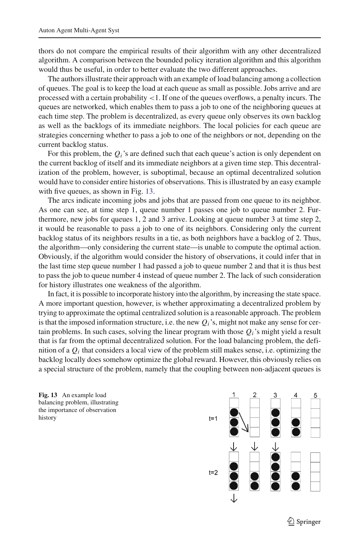thors do not compare the empirical results of their algorithm with any other decentralized algorithm. A comparison between the bounded policy iteration algorithm and this algorithm would thus be useful, in order to better evaluate the two different approaches.

The authors illustrate their approach with an example of load balancing among a collection of queues. The goal is to keep the load at each queue as small as possible. Jobs arrive and are processed with a certain probability *<*1. If one of the queues overflows, a penalty incurs. The queues are networked, which enables them to pass a job to one of the neighboring queues at each time step. The problem is decentralized, as every queue only observes its own backlog as well as the backlogs of its immediate neighbors. The local policies for each queue are strategies concerning whether to pass a job to one of the neighbors or not, depending on the current backlog status.

For this problem, the  $Q_i$ 's are defined such that each queue's action is only dependent on the current backlog of itself and its immediate neighbors at a given time step. This decentralization of the problem, however, is suboptimal, because an optimal decentralized solution would have to consider entire histories of observations. This is illustrated by an easy example with five queues, as shown in Fig. [13.](#page-50-0)

The arcs indicate incoming jobs and jobs that are passed from one queue to its neighbor. As one can see, at time step 1, queue number 1 passes one job to queue number 2. Furthermore, new jobs for queues 1, 2 and 3 arrive. Looking at queue number 3 at time step 2, it would be reasonable to pass a job to one of its neighbors. Considering only the current backlog status of its neighbors results in a tie, as both neighbors have a backlog of 2. Thus, the algorithm—only considering the current state—is unable to compute the optimal action. Obviously, if the algorithm would consider the history of observations, it could infer that in the last time step queue number 1 had passed a job to queue number 2 and that it is thus best to pass the job to queue number 4 instead of queue number 2. The lack of such consideration for history illustrates one weakness of the algorithm.

In fact, it is possible to incorporate history into the algorithm, by increasing the state space. A more important question, however, is whether approximating a decentralized problem by trying to approximate the optimal centralized solution is a reasonable approach. The problem is that the imposed information structure, i.e. the new  $Q_i$ 's, might not make any sense for certain problems. In such cases, solving the linear program with those  $Q_i$ 's might yield a result that is far from the optimal decentralized solution. For the load balancing problem, the definition of a *Qi* that considers a local view of the problem still makes sense, i.e. optimizing the backlog locally does somehow optimize the global reward. However, this obviously relies on a special structure of the problem, namely that the coupling between non-adjacent queues is

<span id="page-50-0"></span>

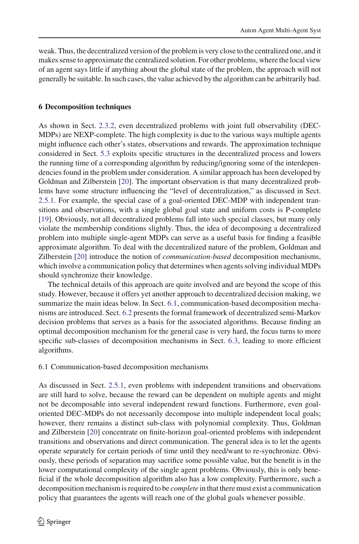weak. Thus, the decentralized version of the problem is very close to the centralized one, and it makes sense to approximate the centralized solution. For other problems, where the local view of an agent says little if anything about the global state of the problem, the approach will not generally be suitable. In such cases, the value achieved by the algorithm can be arbitrarily bad.

### <span id="page-51-1"></span>**6 Decomposition techniques**

As shown in Sect. [2.3.2,](#page-15-0) even decentralized problems with joint full observability (DEC-MDPs) are NEXP-complete. The high complexity is due to the various ways multiple agents might influence each other's states, observations and rewards. The approximation technique considered in Sect. [5.3](#page-47-0) exploits specific structures in the decentralized process and lowers the running time of a corresponding algorithm by reducing/ignoring some of the interdependencies found in the problem under consideration. A similar approach has been developed by Goldman and Zilberstein [\[20\]](#page-59-6). The important observation is that many decentralized problems have some structure influencing the "level of decentralization," as discussed in Sect. [2.5.1.](#page-24-1) For example, the special case of a goal-oriented DEC-MDP with independent transitions and observations, with a single global goal state and uniform costs is P-complete [\[19\]](#page-59-9). Obviously, not all decentralized problems fall into such special classes, but many only violate the membership conditions slightly. Thus, the idea of decomposing a decentralized problem into multiple single-agent MDPs can serve as a useful basis for finding a feasible approximate algorithm. To deal with the decentralized nature of the problem, Goldman and Zilberstein [\[20](#page-59-6)] introduce the notion of *communication-based* decomposition mechanisms, which involve a communication policy that determines when agents solving individual MDPs should synchronize their knowledge.

The technical details of this approach are quite involved and are beyond the scope of this study. However, because it offers yet another approach to decentralized decision making, we summarize the main ideas below. In Sect. [6.1,](#page-51-0) communication-based decomposition mechanisms are introduced. Sect. [6.2](#page-52-0) presents the formal framework of decentralized semi-Markov decision problems that serves as a basis for the associated algorithms. Because finding an optimal decomposition mechanism for the general case is very hard, the focus turns to more specific sub-classes of decomposition mechanisms in Sect. [6.3,](#page-53-0) leading to more efficient algorithms.

#### <span id="page-51-0"></span>6.1 Communication-based decomposition mechanisms

As discussed in Sect. [2.5.1,](#page-24-1) even problems with independent transitions and observations are still hard to solve, because the reward can be dependent on multiple agents and might not be decomposable into several independent reward functions. Furthermore, even goaloriented DEC-MDPs do not necessarily decompose into multiple independent local goals; however, there remains a distinct sub-class with polynomial complexity. Thus, Goldman and Zilberstein [\[20](#page-59-6)] concentrate on finite-horizon goal-oriented problems with independent transitions and observations and direct communication. The general idea is to let the agents operate separately for certain periods of time until they need/want to re-synchronize. Obviously, these periods of separation may sacrifice some possible value, but the benefit is in the lower computational complexity of the single agent problems. Obviously, this is only beneficial if the whole decomposition algorithm also has a low complexity. Furthermore, such a decomposition mechanism is required to be *complete* in that there must exist a communication policy that guarantees the agents will reach one of the global goals whenever possible.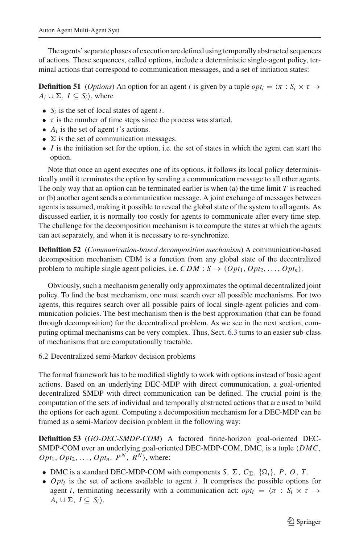The agents' separate phases of execution are defined using temporally abstracted sequences of actions. These sequences, called options, include a deterministic single-agent policy, terminal actions that correspond to communication messages, and a set of initiation states:

**Definition 51** (*Options*) An option for an agent *i* is given by a tuple  $opt_i = \langle \pi : S_i \times \tau \rangle$  $A_i \cup \Sigma$ ,  $I \subseteq S_i$ , where

- $S_i$  is the set of local states of agent *i*.
- *τ* is the number of time steps since the process was started.
- *Ai* is the set of agent *<sup>i</sup>*'s actions.
- $\Sigma$  is the set of communication messages.
- *I* is the initiation set for the option, i.e. the set of states in which the agent can start the option.

Note that once an agent executes one of its options, it follows its local policy deterministically until it terminates the option by sending a communication message to all other agents. The only way that an option can be terminated earlier is when (a) the time limit  $T$  is reached or (b) another agent sends a communication message. A joint exchange of messages between agents is assumed, making it possible to reveal the global state of the system to all agents. As discussed earlier, it is normally too costly for agents to communicate after every time step. The challenge for the decomposition mechanism is to compute the states at which the agents can act separately, and when it is necessary to re-synchronize.

**Definition 52** (*Communication-based decomposition mechanism*) A communication-based decomposition mechanism CDM is a function from any global state of the decentralized problem to multiple single agent policies, i.e.  $CDM : S \rightarrow (Opt_1, Opt_2, \ldots, Opt_n)$ .

Obviously, such a mechanism generally only approximates the optimal decentralized joint policy. To find the best mechanism, one must search over all possible mechanisms. For two agents, this requires search over all possible pairs of local single-agent policies and communication policies. The best mechanism then is the best approximation (that can be found through decomposition) for the decentralized problem. As we see in the next section, computing optimal mechanisms can be very complex. Thus, Sect. [6.3](#page-53-0) turns to an easier sub-class of mechanisms that are computationally tractable.

<span id="page-52-0"></span>6.2 Decentralized semi-Markov decision problems

The formal framework has to be modified slightly to work with options instead of basic agent actions. Based on an underlying DEC-MDP with direct communication, a goal-oriented decentralized SMDP with direct communication can be defined. The crucial point is the computation of the sets of individual and temporally abstracted actions that are used to build the options for each agent. Computing a decomposition mechanism for a DEC-MDP can be framed as a semi-Markov decision problem in the following way:

**Definition 53** (*GO-DEC-SMDP-COM*) A factored finite-horizon goal-oriented DEC-SMDP-COM over an underlying goal-oriented DEC-MDP-COM, DMC, is a tuple *DMC,*  $Opt_1, Opt_2, \ldots, Opt_n, P^N, R^N$ , where:

- DMC is a standard DEC-MDP-COM with components *S*,  $\Sigma$ ,  $C_{\Sigma}$ ,  $\{\Omega_i\}$ , *P*, *O*, *T*.
- *Opt<sub>i</sub>* is the set of actions available to agent *i*. It comprises the possible options for agent *i*, terminating necessarily with a communication act:  $opt_i = \langle \pi : S_i \times \tau \rangle$  $A_i \cup \Sigma$ ,  $I \subseteq S_i$ .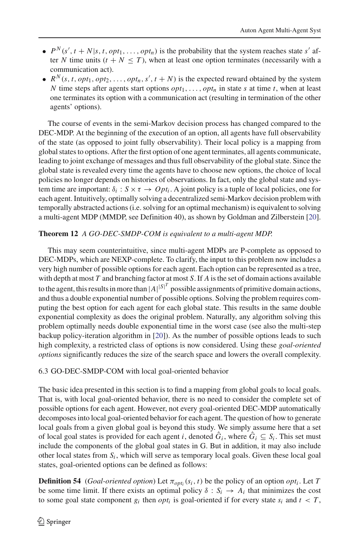- $P^N(s', t + N|s, t, opt_1, \ldots, opt_n)$  is the probability that the system reaches state *s'* af-<br>ter *N* time units  $(t + N < T)$  when at least one option terminates (pecessarily with a ter *N* time units  $(t + N \leq T)$ , when at least one option terminates (necessarily with a communication act).
- $R^N(s, t, opt_1, opt_2, \ldots, opt_n, s', t + N)$  is the expected reward obtained by the system N time steps after agents start options *ont*, *opt<sub>r</sub>* in state s at time t, when at least *N* time steps after agents start options  $opt_1, \ldots, opt_n$  in state *s* at time *t*, when at least one terminates its option with a communication act (resulting in termination of the other agents' options).

The course of events in the semi-Markov decision process has changed compared to the DEC-MDP. At the beginning of the execution of an option, all agents have full observability of the state (as opposed to joint fully observability). Their local policy is a mapping from global states to options. After the first option of one agent terminates, all agents communicate, leading to joint exchange of messages and thus full observability of the global state. Since the global state is revealed every time the agents have to choose new options, the choice of local policies no longer depends on histories of observations. In fact, only the global state and system time are important:  $\delta_i$ :  $S \times \tau \to Opt_i$ . A joint policy is a tuple of local policies, one for each agent. Intuitively, optimally solving a decentralized semi-Markov decision problem with temporally abstracted actions (i.e. solving for an optimal mechanism) is equivalent to solving a multi-agent MDP (MMDP, see Definition 40), as shown by Goldman and Zilberstein [\[20\]](#page-59-6).

### **Theorem 12** *A GO-DEC-SMDP-COM is equivalent to a multi-agent MDP.*

This may seem counterintuitive, since multi-agent MDPs are P-complete as opposed to DEC-MDPs, which are NEXP-complete. To clarify, the input to this problem now includes a very high number of possible options for each agent. Each option can be represented as a tree, with depth at most *T* and branching factor at most *S*. If *A* is the set of domain actions available to the agent, this results in more than  $|A|^{|\mathcal{S}|^T}$  possible assignments of primitive domain actions, and thus a double exponential number of possible options. Solving the problem requires comand thus a double exponential number of possible options. Solving the problem requires computing the best option for each agent for each global state. This results in the same double exponential complexity as does the original problem. Naturally, any algorithm solving this problem optimally needs double exponential time in the worst case (see also the multi-step backup policy-iteration algorithm in [\[20\]](#page-59-6)). As the number of possible options leads to such high complexity, a restricted class of options is now considered. Using these *goal-oriented options* significantly reduces the size of the search space and lowers the overall complexity.

### <span id="page-53-0"></span>6.3 GO-DEC-SMDP-COM with local goal-oriented behavior

The basic idea presented in this section is to find a mapping from global goals to local goals. That is, with local goal-oriented behavior, there is no need to consider the complete set of possible options for each agent. However, not every goal-oriented DEC-MDP automatically decomposes into local goal-oriented behavior for each agent. The question of how to generate local goals from a given global goal is beyond this study. We simply assume here that a set of local goal states is provided for each agent *i*, denoted  $\hat{G}_i$ , where  $\hat{G}_i \subseteq S_i$ . This set must include the components of the global goal states in G. But in addition, it may also include other local states from  $S_i$ , which will serve as temporary local goals. Given these local goal states, goal-oriented options can be defined as follows:

**Definition 54** (*Goal-oriented option*) Let  $\pi_{opt_i}(s_i, t)$  be the policy of an option *opt<sub>i</sub>*. Let *T* be some time limit. If there exists an optimal policy  $\delta$  :  $S_i \rightarrow A_i$  that minimizes the cost to some goal state component  $g_i$  then  $opt_i$  is goal-oriented if for every state  $s_i$  and  $t < T$ ,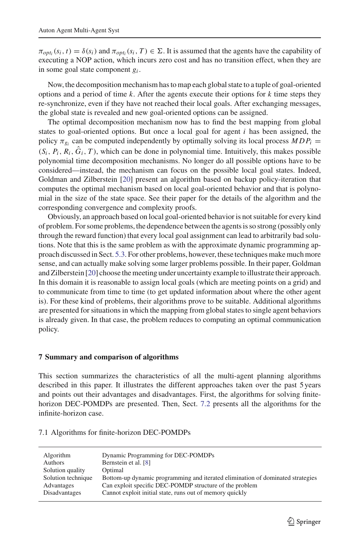$\pi_{opt_i}(s_i, t) = \delta(s_i)$  and  $\pi_{opt_i}(s_i, T) \in \Sigma$ . It is assumed that the agents have the capability of executing a NOP action, which incurs zero cost and has no transition effect, when they are in some goal state component *gi*.

Now, the decomposition mechanism has to map each global state to a tuple of goal-oriented options and a period of time *k*. After the agents execute their options for *k* time steps they re-synchronize, even if they have not reached their local goals. After exchanging messages, the global state is revealed and new goal-oriented options can be assigned.

The optimal decomposition mechanism now has to find the best mapping from global states to goal-oriented options. But once a local goal for agent *i* has been assigned, the policy  $\pi_{g_i}$  can be computed independently by optimally solving its local process  $MDP_i$  =  $(S_i, P_i, R_i, \hat{G}_i, T)$ , which can be done in polynomial time. Intuitively, this makes possible polynomial time decomposition mechanisms. No longer do all possible options have to be considered—instead, the mechanism can focus on the possible local goal states. Indeed, Goldman and Zilberstein [\[20\]](#page-59-6) present an algorithm based on backup policy-iteration that computes the optimal mechanism based on local goal-oriented behavior and that is polynomial in the size of the state space. See their paper for the details of the algorithm and the corresponding convergence and complexity proofs.

Obviously, an approach based on local goal-oriented behavior is not suitable for every kind of problem. For some problems, the dependence between the agents is so strong (possibly only through the reward function) that every local goal assignment can lead to arbitrarily bad solutions. Note that this is the same problem as with the approximate dynamic programming approach discussed in Sect. [5.3.](#page-47-0) For other problems, however, these techniques make much more sense, and can actually make solving some larger problems possible. In their paper, Goldman and Zilberstein [\[20](#page-59-6)] choose the meeting under uncertainty example to illustrate their approach. In this domain it is reasonable to assign local goals (which are meeting points on a grid) and to communicate from time to time (to get updated information about where the other agent is). For these kind of problems, their algorithms prove to be suitable. Additional algorithms are presented for situations in which the mapping from global states to single agent behaviors is already given. In that case, the problem reduces to computing an optimal communication policy.

#### <span id="page-54-0"></span>**7 Summary and comparison of algorithms**

This section summarizes the characteristics of all the multi-agent planning algorithms described in this paper. It illustrates the different approaches taken over the past 5 years and points out their advantages and disadvantages. First, the algorithms for solving finitehorizon DEC-POMDPs are presented. Then, Sect. [7.2](#page-56-0) presents all the algorithms for the infinite-horizon case.

### 7.1 Algorithms for finite-horizon DEC-POMDPs

| Algorithm          | Dynamic Programming for DEC-POMDPs                                             |
|--------------------|--------------------------------------------------------------------------------|
| Authors            | Bernstein et al. [8]                                                           |
| Solution quality   | Optimal                                                                        |
| Solution technique | Bottom-up dynamic programming and iterated elimination of dominated strategies |
| Advantages         | Can exploit specific DEC-POMDP structure of the problem                        |
| Disadvantages      | Cannot exploit initial state, runs out of memory quickly                       |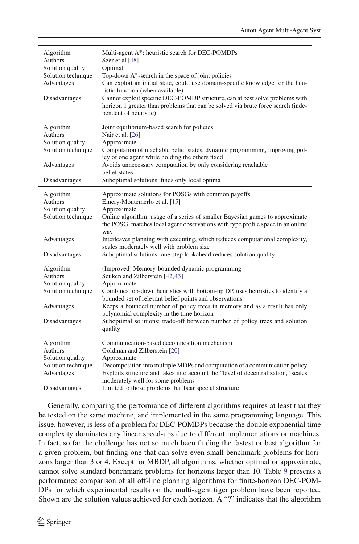| Algorithm<br>Authors<br>Solution quality<br>Solution technique<br>Advantages<br>Disadvantages | Multi-agent A*: heuristic search for DEC-POMDPs<br>Szer et al.[48]<br>Optimal<br>Top-down $A^*$ -search in the space of joint policies<br>Can exploit an initial state, could use domain-specific knowledge for the heu-<br>ristic function (when available)<br>Cannot exploit specific DEC-POMDP structure, can at best solve problems with<br>horizon 1 greater than problems that can be solved via brute force search (inde-<br>pendent of heuristic) |
|-----------------------------------------------------------------------------------------------|-----------------------------------------------------------------------------------------------------------------------------------------------------------------------------------------------------------------------------------------------------------------------------------------------------------------------------------------------------------------------------------------------------------------------------------------------------------|
| Algorithm<br>Authors<br>Solution quality<br>Solution technique<br>Advantages<br>Disadvantages | Joint equilibrium-based search for policies<br>Nair et al. $[26]$<br>Approximate<br>Computation of reachable belief states, dynamic programming, improving pol-<br>icy of one agent while holding the others fixed<br>Avoids unnecessary computation by only considering reachable<br>belief states<br>Suboptimal solutions: finds only local optima                                                                                                      |
| Algorithm                                                                                     | Approximate solutions for POSGs with common payoffs                                                                                                                                                                                                                                                                                                                                                                                                       |
| Authors                                                                                       | Emery-Montemerlo et al. [15]                                                                                                                                                                                                                                                                                                                                                                                                                              |
| Solution quality                                                                              | Approximate                                                                                                                                                                                                                                                                                                                                                                                                                                               |
| Solution technique                                                                            | Online algorithm: usage of a series of smaller Bayesian games to approximate<br>the POSG, matches local agent observations with type profile space in an online                                                                                                                                                                                                                                                                                           |
| Advantages                                                                                    | way<br>Interleaves planning with executing, which reduces computational complexity,<br>scales moderately well with problem size                                                                                                                                                                                                                                                                                                                           |
| Disadvantages                                                                                 | Suboptimal solutions: one-step lookahead reduces solution quality                                                                                                                                                                                                                                                                                                                                                                                         |
| Algorithm                                                                                     | (Improved) Memory-bounded dynamic programming                                                                                                                                                                                                                                                                                                                                                                                                             |
| Authors                                                                                       | Seuken and Zilberstein [42,43]                                                                                                                                                                                                                                                                                                                                                                                                                            |
| Solution quality                                                                              | Approximate                                                                                                                                                                                                                                                                                                                                                                                                                                               |
| Solution technique                                                                            | Combines top-down heuristics with bottom-up DP, uses heuristics to identify a<br>bounded set of relevant belief points and observations                                                                                                                                                                                                                                                                                                                   |
| Advantages                                                                                    | Keeps a bounded number of policy trees in memory and as a result has only                                                                                                                                                                                                                                                                                                                                                                                 |
|                                                                                               | polynomial complexity in the time horizon                                                                                                                                                                                                                                                                                                                                                                                                                 |
| Disadvantages                                                                                 | Suboptimal solutions: trade-off between number of policy trees and solution<br>quality                                                                                                                                                                                                                                                                                                                                                                    |
| Algorithm                                                                                     | Communication-based decomposition mechanism                                                                                                                                                                                                                                                                                                                                                                                                               |
| Authors                                                                                       | Goldman and Zilberstein [20]                                                                                                                                                                                                                                                                                                                                                                                                                              |
| Solution quality                                                                              | Approximate                                                                                                                                                                                                                                                                                                                                                                                                                                               |
| Solution technique                                                                            | Decomposition into multiple MDPs and computation of a communication policy                                                                                                                                                                                                                                                                                                                                                                                |
| Advantages                                                                                    | Exploits structure and takes into account the "level of decentralization," scales                                                                                                                                                                                                                                                                                                                                                                         |
| Disadvantages                                                                                 | moderately well for some problems<br>Limited to those problems that bear special structure                                                                                                                                                                                                                                                                                                                                                                |
|                                                                                               |                                                                                                                                                                                                                                                                                                                                                                                                                                                           |

Generally, comparing the performance of different algorithms requires at least that they be tested on the same machine, and implemented in the same programming language. This issue, however, is less of a problem for DEC-POMDPs because the double exponential time complexity dominates any linear speed-ups due to different implementations or machines. In fact, so far the challenge has not so much been finding the fastest or best algorithm for a given problem, but finding one that can solve even small benchmark problems for horizons larger than 3 or 4. Except for MBDP, all algorithms, whether optimal or approximate, cannot solve standard benchmark problems for horizons larger than 10. Table [9](#page-56-1) presents a performance comparison of all off-line planning algorithms for finite-horizon DEC-POM-DPs for which experimental results on the multi-agent tiger problem have been reported. Shown are the solution values achieved for each horizon. A "?" indicates that the algorithm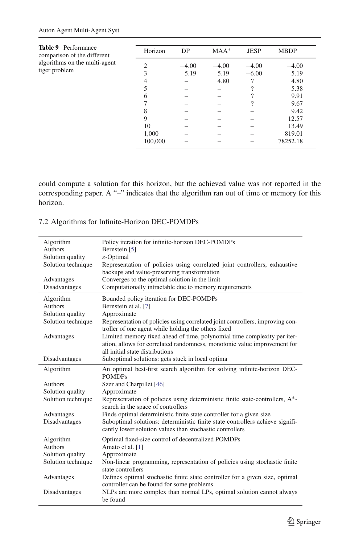<span id="page-56-1"></span>

| <b>Table 9</b> Performance<br>comparison of the different | Horizon                                 | DP              | $MAA*$                  | <b>JESP</b>                                        | <b>MBDP</b>                                                      |
|-----------------------------------------------------------|-----------------------------------------|-----------------|-------------------------|----------------------------------------------------|------------------------------------------------------------------|
| algorithms on the multi-agent<br>tiger problem            | $\overline{2}$<br>3<br>4<br>6<br>8<br>9 | $-4.00$<br>5.19 | $-4.00$<br>5.19<br>4.80 | $-4.00$<br>$-6.00$<br>?<br>$\mathcal{D}$<br>?<br>? | $-4.00$<br>5.19<br>4.80<br>5.38<br>9.91<br>9.67<br>9.42<br>12.57 |
|                                                           | 10<br>1,000<br>100,000                  |                 |                         |                                                    | 13.49<br>819.01<br>78252.18                                      |

could compute a solution for this horizon, but the achieved value was not reported in the corresponding paper. A "–" indicates that the algorithm ran out of time or memory for this horizon.

## <span id="page-56-0"></span>7.2 Algorithms for Infinite-Horizon DEC-POMDPs

| Algorithm<br><b>Authors</b> | Policy iteration for infinite-horizon DEC-POMDPs<br>Bernstein [5]                                                                         |
|-----------------------------|-------------------------------------------------------------------------------------------------------------------------------------------|
| Solution quality            | $\varepsilon$ -Optimal                                                                                                                    |
| Solution technique          | Representation of policies using correlated joint controllers, exhaustive                                                                 |
|                             | backups and value-preserving transformation                                                                                               |
| Advantages                  | Converges to the optimal solution in the limit                                                                                            |
| Disadvantages               | Computationally intractable due to memory requirements                                                                                    |
| Algorithm                   | Bounded policy iteration for DEC-POMDPs                                                                                                   |
| <b>Authors</b>              | Bernstein et al. [7]                                                                                                                      |
| Solution quality            | Approximate                                                                                                                               |
| Solution technique          | Representation of policies using correlated joint controllers, improving con-<br>troller of one agent while holding the others fixed      |
| Advantages                  | Limited memory fixed ahead of time, polynomial time complexity per iter-                                                                  |
|                             | ation, allows for correlated randomness, monotonic value improvement for<br>all initial state distributions                               |
| Disadvantages               | Suboptimal solutions: gets stuck in local optima                                                                                          |
|                             |                                                                                                                                           |
| Algorithm                   | An optimal best-first search algorithm for solving infinite-horizon DEC-<br><b>POMDPs</b>                                                 |
| <b>Authors</b>              | Szer and Charpillet [46]                                                                                                                  |
| Solution quality            | Approximate                                                                                                                               |
| Solution technique          | Representation of policies using deterministic finite state-controllers, $A^*$ -<br>search in the space of controllers                    |
| Advantages                  | Finds optimal deterministic finite state controller for a given size                                                                      |
| Disadvantages               | Suboptimal solutions: deterministic finite state controllers achieve signifi-<br>cantly lower solution values than stochastic controllers |
| Algorithm                   | Optimal fixed-size control of decentralized POMDPs                                                                                        |
| <b>Authors</b>              | Amato et al. [1]                                                                                                                          |
| Solution quality            | Approximate                                                                                                                               |
| Solution technique          | Non-linear programming, representation of policies using stochastic finite                                                                |
|                             | state controllers                                                                                                                         |
| Advantages                  | Defines optimal stochastic finite state controller for a given size, optimal<br>controller can be found for some problems                 |
| Disadvantages               | NLPs are more complex than normal LPs, optimal solution cannot always<br>be found                                                         |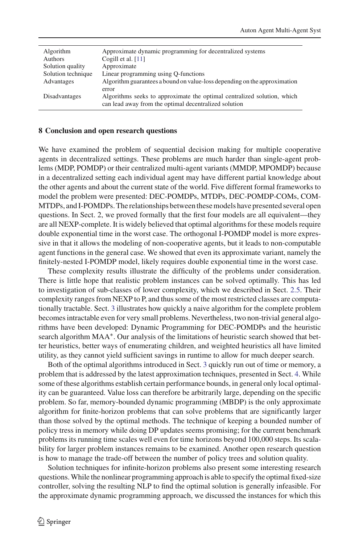| Algorithm          | Approximate dynamic programming for decentralized systems                 |
|--------------------|---------------------------------------------------------------------------|
| Authors            | Cogill et al. $[11]$                                                      |
| Solution quality   | Approximate                                                               |
| Solution technique | Linear programming using Q-functions                                      |
| Advantages         | Algorithm guarantees a bound on value-loss depending on the approximation |
|                    | error                                                                     |
| Disadvantages      | Algorithms seeks to approximate the optimal centralized solution, which   |
|                    | can lead away from the optimal decentralized solution                     |

### <span id="page-57-0"></span>**8 Conclusion and open research questions**

We have examined the problem of sequential decision making for multiple cooperative agents in decentralized settings. These problems are much harder than single-agent problems (MDP, POMDP) or their centralized multi-agent variants (MMDP, MPOMDP) because in a decentralized setting each individual agent may have different partial knowledge about the other agents and about the current state of the world. Five different formal frameworks to model the problem were presented: DEC-POMDPs, MTDPs, DEC-POMDP-COMs, COM-MTDPs, and I-POMDPs. The relationships between these models have presented several open questions. In Sect. 2, we proved formally that the first four models are all equivalent—they are all NEXP-complete. It is widely believed that optimal algorithms for these models require double exponential time in the worst case. The orthogonal I-POMDP model is more expressive in that it allows the modeling of non-cooperative agents, but it leads to non-computable agent functions in the general case. We showed that even its approximate variant, namely the finitely-nested I-POMDP model, likely requires double exponential time in the worst case.

These complexity results illustrate the difficulty of the problems under consideration. There is little hope that realistic problem instances can be solved optimally. This has led to investigation of sub-classes of lower complexity, which we described in Sect. [2.5.](#page-24-0) Their complexity ranges from NEXP to P, and thus some of the most restricted classes are computationally tractable. Sect. [3](#page-29-0) illustrates how quickly a naive algorithm for the complete problem becomes intractable even for very small problems. Nevertheless, two non-trivial general algorithms have been developed: Dynamic Programming for DEC-POMDPs and the heuristic search algorithm MAA<sup>∗</sup>. Our analysis of the limitations of heuristic search showed that better heuristics, better ways of enumerating children, and weighted heuristics all have limited utility, as they cannot yield sufficient savings in runtime to allow for much deeper search.

Both of the optimal algorithms introduced in Sect. [3](#page-29-0) quickly run out of time or memory, a problem that is addressed by the latest approximation techniques, presented in Sect. [4.](#page-39-0) While some of these algorithms establish certain performance bounds, in general only local optimality can be guaranteed. Value loss can therefore be arbitrarily large, depending on the specific problem. So far, memory-bounded dynamic programming (MBDP) is the only approximate algorithm for finite-horizon problems that can solve problems that are significantly larger than those solved by the optimal methods. The technique of keeping a bounded number of policy tress in memory while doing DP updates seems promising; for the current benchmark problems its running time scales well even for time horizons beyond 100,000 steps. Its scalability for larger problem instances remains to be examined. Another open research question is how to manage the trade-off between the number of policy trees and solution quality.

Solution techniques for infinite-horizon problems also present some interesting research questions. While the nonlinear programming approach is able to specify the optimal fixed-size controller, solving the resulting NLP to find the optimal solution is generally infeasible. For the approximate dynamic programming approach, we discussed the instances for which this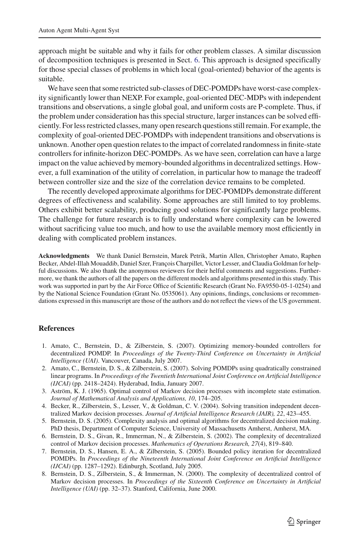approach might be suitable and why it fails for other problem classes. A similar discussion of decomposition techniques is presented in Sect. [6.](#page-51-1) This approach is designed specifically for those special classes of problems in which local (goal-oriented) behavior of the agents is suitable.

We have seen that some restricted sub-classes of DEC-POMDPs have worst-case complexity significantly lower than NEXP. For example, goal-oriented DEC-MDPs with independent transitions and observations, a single global goal, and uniform costs are P-complete. Thus, if the problem under consideration has this special structure, larger instances can be solved efficiently. For less restricted classes, many open research questions still remain. For example, the complexity of goal-oriented DEC-POMDPs with independent transitions and observations is unknown. Another open question relates to the impact of correlated randomness in finite-state controllers for infinite-horizon DEC-POMDPs. As we have seen, correlation can have a large impact on the value achieved by memory-bounded algorithms in decentralized settings. However, a full examination of the utility of correlation, in particular how to manage the tradeoff between controller size and the size of the correlation device remains to be completed.

The recently developed approximate algorithms for DEC-POMDPs demonstrate different degrees of effectiveness and scalability. Some approaches are still limited to toy problems. Others exhibit better scalability, producing good solutions for significantly large problems. The challenge for future research is to fully understand where complexity can be lowered without sacrificing value too much, and how to use the available memory most efficiently in dealing with complicated problem instances.

**Acknowledgments** We thank Daniel Bernstein, Marek Petrik, Martin Allen, Christopher Amato, Raphen Becker, Abdel-Illah Mouaddib, Daniel Szer, François Charpillet, Victor Lesser, and Claudia Goldman for helpful discussions. We also thank the anonymous reviewers for their helful comments and suggestions. Furthermore, we thank the authors of all the papers on the different models and algorithms presented in this study. This work was supported in part by the Air Force Office of Scientific Research (Grant No. FA9550-05-1-0254) and by the National Science Foundation (Grant No. 0535061). Any opinions, findings, conclusions or recommendations expressed in this manuscript are those of the authors and do not reflect the views of the US government.

## **References**

- <span id="page-58-7"></span>1. Amato, C., Bernstein, D., & Zilberstein, S. (2007). Optimizing memory-bounded controllers for decentralized POMDP. In *Proceedings of the Twenty-Third Conference on Uncertainty in Artificial Intelligence (UAI)*. Vancouver, Canada, July 2007.
- <span id="page-58-6"></span>2. Amato, C., Bernstein, D. S., & Zilberstein, S. (2007). Solving POMDPs using quadratically constrained linear programs. In *Proceedings of the Twentieth International Joint Conference on Artificial Intelligence (IJCAI)* (pp. 2418–2424). Hyderabad, India, January 2007.
- <span id="page-58-0"></span>3. Aström, K. J. (1965). Optimal control of Markov decision processes with incomplete state estimation. *Journal of Mathematical Analysis and Applications, 10*, 174–205.
- <span id="page-58-4"></span>4. Becker, R., Zilberstein, S., Lesser, V., & Goldman, C. V. (2004). Solving transition independent decentralized Markov decision processes. *Journal of Artificial Intelligence Research (JAIR), 22*, 423–455.
- <span id="page-58-2"></span>5. Bernstein, D. S. (2005). Complexity analysis and optimal algorithms for decentralized decision making. PhD thesis, Department of Computer Science, University of Massachusetts Amherst, Amherst, MA.
- <span id="page-58-3"></span>6. Bernstein, D. S., Givan, R., Immerman, N., & Zilberstein, S. (2002). The complexity of decentralized control of Markov decision processes. *Mathematics of Operations Research, 27*(4), 819–840.
- <span id="page-58-5"></span>7. Bernstein, D. S., Hansen, E. A., & Zilberstein, S. (2005). Bounded policy iteration for decentralized POMDPs. In *Proceedings of the Nineteenth International Joint Conference on Artificial Intelligence (IJCAI)* (pp. 1287–1292). Edinburgh, Scotland, July 2005.
- <span id="page-58-1"></span>8. Bernstein, D. S., Zilberstein, S., & Immerman, N. (2000). The complexity of decentralized control of Markov decision processes. In *Proceedings of the Sixteenth Conference on Uncertainty in Artificial Intelligence (UAI)* (pp. 32–37). Stanford, California, June 2000.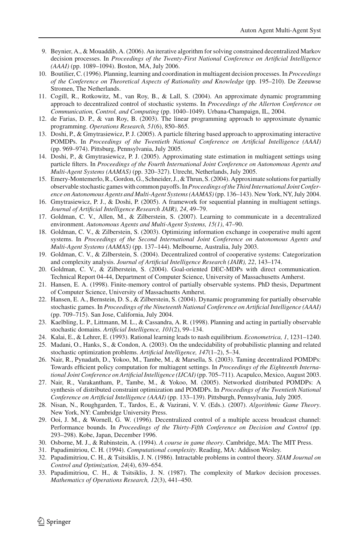- <span id="page-59-18"></span>9. Beynier, A., & Mouaddib, A. (2006). An iterative algorithm for solving constrained decentralized Markov decision processes. In *Proceedings of the Twenty-First National Conference on Artificial Intelligence (AAAI)* (pp. 1089–1094). Boston, MA, July 2006.
- <span id="page-59-19"></span>10. Boutilier, C. (1996). Planning, learning and coordination in multiagent decision processes. In *Proceedings of the Conference on Theoretical Aspects of Rationality and Knowledge* (pp. 195–210). De Zeeuwse Stromen, The Netherlands.
- <span id="page-59-2"></span>11. Cogill, R., Rotkowitz, M., van Roy, B., & Lall, S. (2004). An approximate dynamic programming approach to decentralized control of stochastic systems. In *Proceedings of the Allerton Conference on Communication, Control, and Computing* (pp. 1040–1049). Urbana-Champaign, IL, 2004.
- <span id="page-59-24"></span>12. de Farias, D. P., & van Roy, B. (2003). The linear programming approach to approximate dynamic programming. *Operations Research, 51*(6), 850–865.
- <span id="page-59-16"></span>13. Doshi, P., & Gmytrasiewicz, P. J. (2005). A particle filtering based approach to approximating interactive POMDPs. In *Proceedings of the Twentieth National Conference on Artificial Intelligence (AAAI)* (pp. 969–974). Pittsburg, Pennsylvania, July 2005.
- <span id="page-59-17"></span>14. Doshi, P., & Gmytrasiewicz, P. J. (2005). Approximating state estimation in multiagent settings using particle filters. In *Proceedings of the Fourth International Joint Conference on Autonomous Agents and Multi-Agent Systems (AAMAS)* (pp. 320–327). Utrecht, Netherlands, July 2005.
- <span id="page-59-23"></span>15. Emery-Montemerlo, R., Gordon, G., Schneider, J., & Thrun, S. (2004). Approximate solutions for partially observable stochastic games with common payoffs. In*Proceedings of the Third International Joint Conference on Autonomous Agents and Multi-Agent Systems (AAMAS)* (pp. 136–143). New York, NY, July 2004.
- <span id="page-59-14"></span>16. Gmytrasiewicz, P. J., & Doshi, P. (2005). A framework for sequential planning in multiagent settings. *Journal of Artificial Intelligence Research JAIR), 24*, 49–79.
- <span id="page-59-20"></span>17. Goldman, C. V., Allen, M., & Zilberstein, S. (2007). Learning to communicate in a decentralized environment. *Autonomous Agents and Multi-Agent Systems, 15(1)*, 47–90.
- <span id="page-59-10"></span>18. Goldman, C. V., & Zilberstein, S. (2003). Optimizing information exchange in cooperative multi agent systems. In *Proceedings of the Second International Joint Conference on Autonomous Agents and Multi-Agent Systems (AAMAS)* (pp. 137–144). Melbourne, Australia, July 2003.
- <span id="page-59-9"></span>19. Goldman, C. V., & Zilberstein, S. (2004). Decentralized control of cooperative systems: Categorization and complexity analysis. *Journal of Artificial Intelligence Research (JAIR), 22*, 143–174.
- <span id="page-59-6"></span>20. Goldman, C. V., & Zilberstein, S. (2004). Goal-oriented DEC-MDPs with direct communication. Technical Report 04-44, Department of Computer Science, University of Massachusetts Amherst.
- <span id="page-59-0"></span>21. Hansen, E. A. (1998). Finite-memory control of partially observable systems. PhD thesis, Department of Computer Science, University of Massachuetts Amherst.
- <span id="page-59-21"></span>22. Hansen, E. A., Bernstein, D. S., & Zilberstein, S. (2004). Dynamic programming for partially observable stochastic games. In *Proceedings of the Nineteenth National Conference on Artificial Intelligence (AAAI)* (pp. 709–715). San Jose, California, July 2004.
- <span id="page-59-1"></span>23. Kaelbling, L. P., Littmann, M. L., & Cassandra, A. R. (1998). Planning and acting in partially observable stochastic domains. *Artificial Intelligence, 101*(2), 99–134.
- <span id="page-59-15"></span>24. Kalai, E., & Lehrer, E. (1993). Rational learning leads to nash equilibrium. *Econometrica, 1*, 1231–1240.
- <span id="page-59-13"></span>25. Madani, O., Hanks, S., & Condon, A. (2003). On the undecidability of probabilistic planning and related stochastic optimization problems. *Artificial Intelligence, 147*(1–2), 5–34.
- <span id="page-59-5"></span>26. Nair, R., Pynadath, D., Yokoo, M., Tambe, M., & Marsella, S. (2003). Taming decentralized POMDPs: Towards efficient policy computation for multiagent settings. In *Proceedings of the Eighteenth International Joint Conference on Artificial Intelligence (IJCAI)* (pp. 705–711). Acapulco, Mexico, August 2003.
- <span id="page-59-4"></span>27. Nair, R., Varakantham, P., Tambe, M., & Yokoo, M. (2005). Networked distributed POMDPs: A synthesis of distributed constraint optimization and POMDPs. In *Proceedings of the Twentieth National Conference on Artificial Intelligence (AAAI)* (pp. 133–139). Pittsburgh, Pennsylvania, July 2005.
- <span id="page-59-7"></span>28. Nisan, N., Roughgarden, T., Tardos, E., & Vazirani, V. V. (Eds.). (2007). *Algorithmic Game Theory*. New York, NY: Cambridge University Press.
- <span id="page-59-3"></span>29. Ooi, J. M., & Wornell, G. W. (1996). Decentralized control of a multiple access broadcast channel: Performance bounds. In *Proceedings of the Thirty-Fifth Conference on Decision and Control* (pp. 293–298). Kobe, Japan, December 1996.
- <span id="page-59-22"></span>30. Osborne, M. J., & Rubinstein, A. (1994). *A course in game theory*. Cambridge, MA: The MIT Press.
- <span id="page-59-8"></span>31. Papadimitriou, C. H. (1994). *Computational complexity*. Reading, MA: Addison Wesley.
- <span id="page-59-12"></span>32. Papadimitriou, C. H., & Tsitsiklis, J. N. (1986). Intractable problems in control theory. *SIAM Journal on Control and Optimization, 24*(4), 639–654.
- <span id="page-59-11"></span>33. Papadimitriou, C. H., & Tsitsiklis, J. N. (1987). The complexity of Markov decision processes. *Mathematics of Operations Research, 12*(3), 441–450.